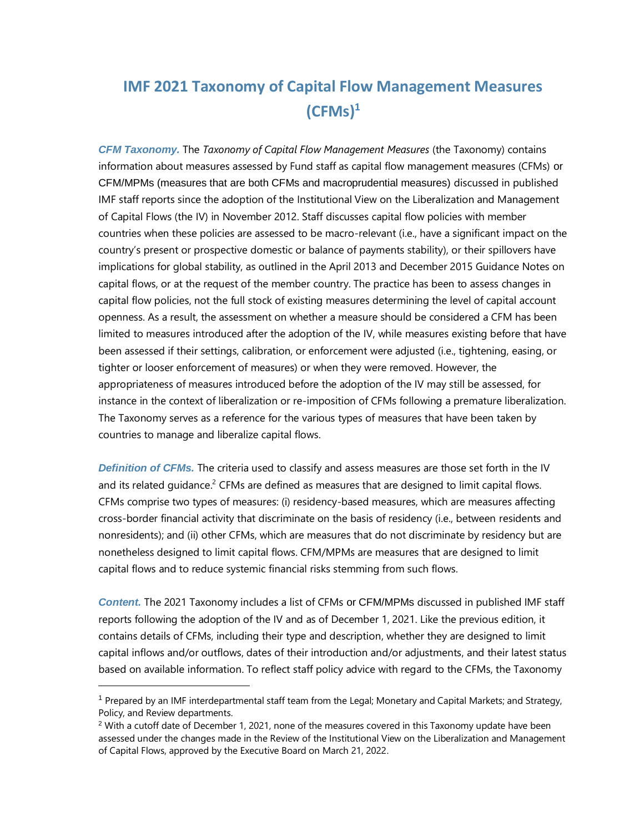*CFM Taxonomy.* The *Taxonomy of Capital Flow Management Measures* (the Taxonomy) contains information about measures assessed by Fund staff as capital flow management measures (CFMs) or CFM/MPMs (measures that are both CFMs and macroprudential measures) discussed in published IMF staff reports since the adoption of the Institutional View on the Liberalization and Management of Capital Flows (the IV) in November 2012. Staff discusses capital flow policies with member countries when these policies are assessed to be macro-relevant (i.e., have a significant impact on the country's present or prospective domestic or balance of payments stability), or their spillovers have implications for global stability, as outlined in the April 2013 and December 2015 Guidance Notes on capital flows, or at the request of the member country. The practice has been to assess changes in capital flow policies, not the full stock of existing measures determining the level of capital account openness. As a result, the assessment on whether a measure should be considered a CFM has been limited to measures introduced after the adoption of the IV, while measures existing before that have been assessed if their settings, calibration, or enforcement were adjusted (i.e., tightening, easing, or tighter or looser enforcement of measures) or when they were removed. However, the appropriateness of measures introduced before the adoption of the IV may still be assessed, for instance in the context of liberalization or re-imposition of CFMs following a premature liberalization. The Taxonomy serves as a reference for the various types of measures that have been taken by countries to manage and liberalize capital flows.

*Definition of CFMs.* The criteria used to classify and assess measures are those set forth in the IV and its related guidance.<sup>2</sup> CFMs are defined as measures that are designed to limit capital flows. CFMs comprise two types of measures: (i) residency-based measures, which are measures affecting cross-border financial activity that discriminate on the basis of residency (i.e., between residents and nonresidents); and (ii) other CFMs, which are measures that do not discriminate by residency but are nonetheless designed to limit capital flows. CFM/MPMs are measures that are designed to limit capital flows and to reduce systemic financial risks stemming from such flows.

*Content.* The 2021 Taxonomy includes a list of CFMs or CFM/MPMs discussed in published IMF staff reports following the adoption of the IV and as of December 1, 2021. Like the previous edition, it contains details of CFMs, including their type and description, whether they are designed to limit capital inflows and/or outflows, dates of their introduction and/or adjustments, and their latest status based on available information. To reflect staff policy advice with regard to the CFMs, the Taxonomy

<sup>1</sup> Prepared by an IMF interdepartmental staff team from the Legal; Monetary and Capital Markets; and Strategy, Policy, and Review departments.

<sup>&</sup>lt;sup>2</sup> With a cutoff date of December 1, 2021, none of the measures covered in this Taxonomy update have been assessed under the changes made in the Review of the Institutional View on the Liberalization and Management of Capital Flows, approved by the Executive Board on March 21, 2022.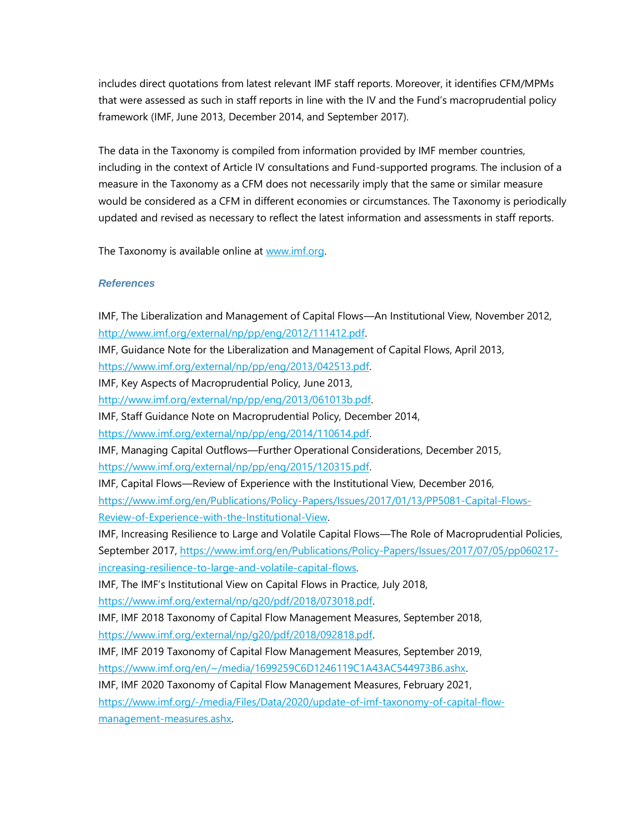includes direct quotations from latest relevant IMF staff reports. Moreover, it identifies CFM/MPMs that were assessed as such in staff reports in line with the IV and the Fund's macroprudential policy framework (IMF, June 2013, December 2014, and September 2017).

The data in the Taxonomy is compiled from information provided by IMF member countries, including in the context of Article IV consultations and Fund-supported programs. The inclusion of a measure in the Taxonomy as a CFM does not necessarily imply that the same or similar measure would be considered as a CFM in different economies or circumstances. The Taxonomy is periodically updated and revised as necessary to reflect the latest information and assessments in staff reports.

The Taxonomy is available online a[t www.imf.org.](http://www.imf.org/)

# *References*

IMF, The Liberalization and Management of Capital Flows—An Institutional View, November 2012, [http://www.imf.org/external/np/pp/eng/2012/111412.pdf.](http://www.imf.org/external/np/pp/eng/2012/111412.pdf) IMF, Guidance Note for the Liberalization and Management of Capital Flows, April 2013, [https://www.imf.org/external/np/pp/eng/2013/042513.pdf.](https://www.imf.org/external/np/pp/eng/2013/042513.pdf) IMF, Key Aspects of Macroprudential Policy, June 2013, [http://www.imf.org/external/np/pp/eng/2013/061013b.pdf.](http://www.imf.org/external/np/pp/eng/2013/061013b.pdf) IMF, Staff Guidance Note on Macroprudential Policy, December 2014, [https://www.imf.org/external/np/pp/eng/2014/110614.pdf.](https://www.imf.org/external/np/pp/eng/2014/110614.pdf) IMF, Managing Capital Outflows—Further Operational Considerations, December 2015, [https://www.imf.org/external/np/pp/eng/2015/120315.pdf.](https://www.imf.org/external/np/pp/eng/2015/120315.pdf) IMF, Capital Flows—Review of Experience with the Institutional View, December 2016, [https://www.imf.org/en/Publications/Policy-Papers/Issues/2017/01/13/PP5081-Capital-Flows-](https://www.imf.org/en/Publications/Policy-Papers/Issues/2017/01/13/PP5081-Capital-Flows-Review-of-Experience-with-the-Institutional-View)[Review-of-Experience-with-the-Institutional-View.](https://www.imf.org/en/Publications/Policy-Papers/Issues/2017/01/13/PP5081-Capital-Flows-Review-of-Experience-with-the-Institutional-View) IMF, Increasing Resilience to Large and Volatile Capital Flows—The Role of Macroprudential Policies, September 2017, [https://www.imf.org/en/Publications/Policy-Papers/Issues/2017/07/05/pp060217](https://www.imf.org/en/Publications/Policy-Papers/Issues/2017/07/05/pp060217-increasing-resilience-to-large-and-volatile-capital-flows) [increasing-resilience-to-large-and-volatile-capital-flows.](https://www.imf.org/en/Publications/Policy-Papers/Issues/2017/07/05/pp060217-increasing-resilience-to-large-and-volatile-capital-flows) IMF, The IMF's Institutional View on Capital Flows in Practice, July 2018, [https://www.imf.org/external/np/g20/pdf/2018/073018.pdf.](https://www.imf.org/external/np/g20/pdf/2018/073018.pdf) IMF, IMF 2018 Taxonomy of Capital Flow Management Measures, September 2018, [https://www.imf.org/external/np/g20/pdf/2018/092818.pdf.](https://www.imf.org/external/np/g20/pdf/2018/092818.pdf) IMF, IMF 2019 Taxonomy of Capital Flow Management Measures, September 2019, [https://www.imf.org/en/~/media/1699259C6D1246119C1A43AC544973B6.ashx.](https://www.imf.org/en/~/media/1699259C6D1246119C1A43AC544973B6.ashx) IMF, IMF 2020 Taxonomy of Capital Flow Management Measures, February 2021, [https://www.imf.org/-/media/Files/Data/2020/update-of-imf-taxonomy-of-capital-flow](https://www.imf.org/-/media/Files/Data/2020/update-of-imf-taxonomy-of-capital-flow-management-measures.ashx)[management-measures.ashx.](https://www.imf.org/-/media/Files/Data/2020/update-of-imf-taxonomy-of-capital-flow-management-measures.ashx)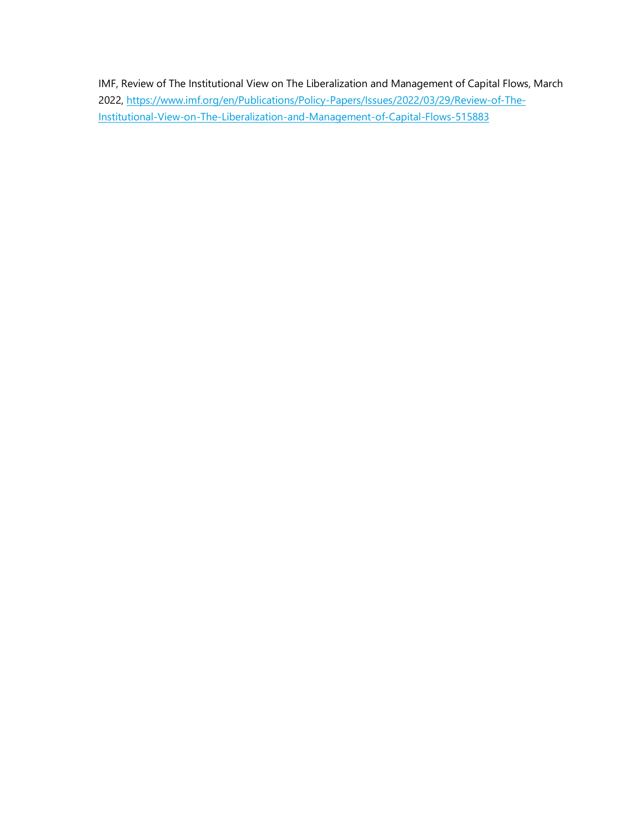IMF, Review of The Institutional View on The Liberalization and Management of Capital Flows, March 2022, [https://www.imf.org/en/Publications/Policy-Papers/Issues/2022/03/29/Review-of-The-](https://www.imf.org/en/Publications/Policy-Papers/Issues/2022/03/29/Review-of-The-Institutional-View-on-The-Liberalization-and-Management-of-Capital-Flows-515883)[Institutional-View-on-The-Liberalization-and-Management-of-Capital-Flows-515883](https://www.imf.org/en/Publications/Policy-Papers/Issues/2022/03/29/Review-of-The-Institutional-View-on-The-Liberalization-and-Management-of-Capital-Flows-515883)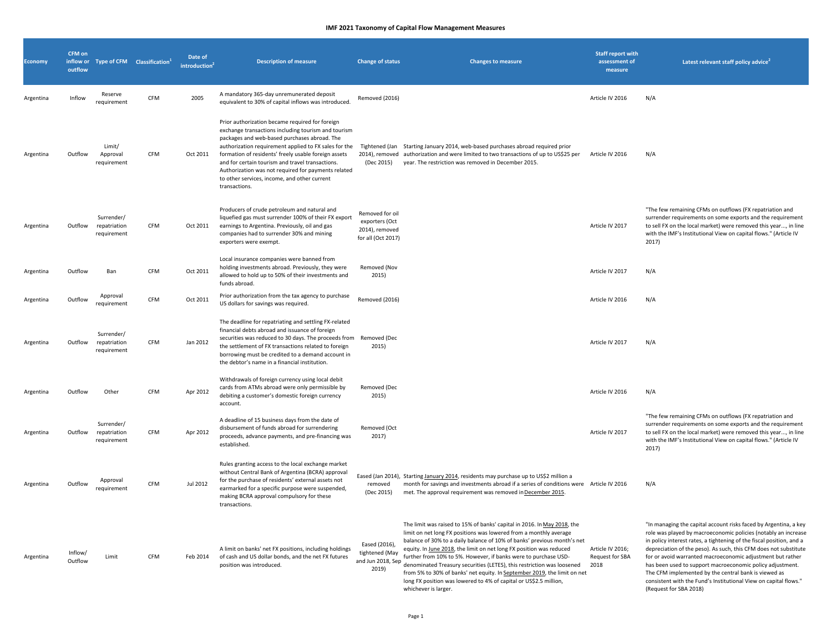| <b>Economy</b> | <b>CFM on</b><br>outflow |                                           | inflow or Type of CFM Classification <sup>1</sup> | Date of<br>introduction <sup>4</sup> | <b>Description of measure</b>                                                                                                                                                                                                                                                                                                                                                                                                                       | <b>Change of status</b>                                                   | <b>Changes to measure</b>                                                                                                                                                                                                                                                                                                                                                                                                                                                                                                                                                                                            | <b>Staff report with</b><br>assessment of<br>measure | Latest relevant staff policy advice <sup>2</sup>                                                                                                                                                                                                                                                                                                                                                                                                                                                                                                                |
|----------------|--------------------------|-------------------------------------------|---------------------------------------------------|--------------------------------------|-----------------------------------------------------------------------------------------------------------------------------------------------------------------------------------------------------------------------------------------------------------------------------------------------------------------------------------------------------------------------------------------------------------------------------------------------------|---------------------------------------------------------------------------|----------------------------------------------------------------------------------------------------------------------------------------------------------------------------------------------------------------------------------------------------------------------------------------------------------------------------------------------------------------------------------------------------------------------------------------------------------------------------------------------------------------------------------------------------------------------------------------------------------------------|------------------------------------------------------|-----------------------------------------------------------------------------------------------------------------------------------------------------------------------------------------------------------------------------------------------------------------------------------------------------------------------------------------------------------------------------------------------------------------------------------------------------------------------------------------------------------------------------------------------------------------|
| Argentina      | Inflow                   | Reserve<br>requirement                    | CFM                                               | 2005                                 | A mandatory 365-day unremunerated deposit<br>equivalent to 30% of capital inflows was introduced.                                                                                                                                                                                                                                                                                                                                                   | Removed (2016)                                                            |                                                                                                                                                                                                                                                                                                                                                                                                                                                                                                                                                                                                                      | Article IV 2016                                      | N/A                                                                                                                                                                                                                                                                                                                                                                                                                                                                                                                                                             |
| Argentina      | Outflow                  | Limit/<br>Approval<br>requirement         | <b>CFM</b>                                        | Oct 2011                             | Prior authorization became required for foreign<br>exchange transactions including tourism and tourism<br>packages and web-based purchases abroad. The<br>authorization requirement applied to FX sales for the<br>formation of residents' freely usable foreign assets<br>and for certain tourism and travel transactions.<br>Authorization was not required for payments related<br>to other services, income, and other current<br>transactions. | Tightened (Jan<br>(Dec 2015)                                              | Starting January 2014, web-based purchases abroad required prior<br>2014), removed authorization and were limited to two transactions of up to US\$25 per<br>year. The restriction was removed in December 2015.                                                                                                                                                                                                                                                                                                                                                                                                     | Article IV 2016                                      | N/A                                                                                                                                                                                                                                                                                                                                                                                                                                                                                                                                                             |
| Argentina      | Outflow                  | Surrender/<br>repatriation<br>requirement | CFM                                               | Oct 2011                             | Producers of crude petroleum and natural and<br>liquefied gas must surrender 100% of their FX export<br>earnings to Argentina. Previously, oil and gas<br>companies had to surrender 30% and mining<br>exporters were exempt.                                                                                                                                                                                                                       | Removed for oil<br>exporters (Oct<br>2014), removed<br>for all (Oct 2017) |                                                                                                                                                                                                                                                                                                                                                                                                                                                                                                                                                                                                                      | Article IV 2017                                      | "The few remaining CFMs on outflows (FX repatriation and<br>surrender requirements on some exports and the requirement<br>to sell FX on the local market) were removed this year, in line<br>with the IMF's Institutional View on capital flows." (Article IV<br>2017)                                                                                                                                                                                                                                                                                          |
| Argentina      | Outflow                  | Ban                                       | CFM                                               | Oct 2011                             | Local insurance companies were banned from<br>holding investments abroad. Previously, they were<br>allowed to hold up to 50% of their investments and<br>funds abroad.                                                                                                                                                                                                                                                                              | Removed (Nov<br>2015)                                                     |                                                                                                                                                                                                                                                                                                                                                                                                                                                                                                                                                                                                                      | Article IV 2017                                      | N/A                                                                                                                                                                                                                                                                                                                                                                                                                                                                                                                                                             |
| Argentina      | Outflow                  | Approval<br>requirement                   | <b>CFM</b>                                        | Oct 2011                             | Prior authorization from the tax agency to purchase<br>US dollars for savings was required.                                                                                                                                                                                                                                                                                                                                                         | Removed (2016)                                                            |                                                                                                                                                                                                                                                                                                                                                                                                                                                                                                                                                                                                                      | Article IV 2016                                      | N/A                                                                                                                                                                                                                                                                                                                                                                                                                                                                                                                                                             |
| Argentina      | Outflow                  | Surrender/<br>repatriation<br>requirement | <b>CFM</b>                                        | Jan 2012                             | The deadline for repatriating and settling FX-related<br>financial debts abroad and issuance of foreign<br>securities was reduced to 30 days. The proceeds from<br>the settlement of FX transactions related to foreign<br>borrowing must be credited to a demand account in<br>the debtor's name in a financial institution.                                                                                                                       | Removed (Dec<br>2015)                                                     |                                                                                                                                                                                                                                                                                                                                                                                                                                                                                                                                                                                                                      | Article IV 2017                                      | N/A                                                                                                                                                                                                                                                                                                                                                                                                                                                                                                                                                             |
| Argentina      | Outflow                  | Other                                     | CFM                                               | Apr 2012                             | Withdrawals of foreign currency using local debit<br>cards from ATMs abroad were only permissible by<br>debiting a customer's domestic foreign currency<br>account.                                                                                                                                                                                                                                                                                 | Removed (Dec<br>2015)                                                     |                                                                                                                                                                                                                                                                                                                                                                                                                                                                                                                                                                                                                      | Article IV 2016                                      | N/A                                                                                                                                                                                                                                                                                                                                                                                                                                                                                                                                                             |
| Argentina      | Outflow                  | Surrender/<br>repatriation<br>requirement | CFM                                               | Apr 2012                             | A deadline of 15 business days from the date of<br>disbursement of funds abroad for surrendering<br>proceeds, advance payments, and pre-financing was<br>established.                                                                                                                                                                                                                                                                               | Removed (Oct<br>2017)                                                     |                                                                                                                                                                                                                                                                                                                                                                                                                                                                                                                                                                                                                      | Article IV 2017                                      | "The few remaining CFMs on outflows (FX repatriation and<br>surrender requirements on some exports and the requirement<br>to sell FX on the local market) were removed this year, in line<br>with the IMF's Institutional View on capital flows." (Article IV<br>2017)                                                                                                                                                                                                                                                                                          |
| Argentina      | Outflow                  | Approval<br>requirement                   | <b>CFM</b>                                        | Jul 2012                             | Rules granting access to the local exchange market<br>without Central Bank of Argentina (BCRA) approval<br>for the purchase of residents' external assets not<br>earmarked for a specific purpose were suspended,<br>making BCRA approval compulsory for these<br>transactions.                                                                                                                                                                     | removed<br>(Dec 2015)                                                     | Eased (Jan 2014), Starting January 2014, residents may purchase up to US\$2 million a<br>month for savings and investments abroad if a series of conditions were Article IV 2016<br>met. The approval requirement was removed in December 2015.                                                                                                                                                                                                                                                                                                                                                                      |                                                      | N/A                                                                                                                                                                                                                                                                                                                                                                                                                                                                                                                                                             |
| Argentina      | Inflow/<br>Outflow       | Limit                                     | CFM                                               | Feb 2014                             | A limit on banks' net FX positions, including holdings<br>of cash and US dollar bonds, and the net FX futures<br>position was introduced.                                                                                                                                                                                                                                                                                                           | Eased (2016),<br>tightened (May<br>and Jun 2018, Sep<br>2019)             | The limit was raised to 15% of banks' capital in 2016. In May 2018, the<br>limit on net long FX positions was lowered from a monthly average<br>balance of 30% to a daily balance of 10% of banks' previous month's net<br>equity. In June 2018, the limit on net long FX position was reduced<br>further from 10% to 5%. However, if banks were to purchase USD-<br>denominated Treasury securities (LETES), this restriction was loosened<br>from 5% to 30% of banks' net equity. In September 2019, the limit on net<br>long FX position was lowered to 4% of capital or US\$2.5 million,<br>whichever is larger. | Article IV 2016;<br>Request for SBA<br>2018          | "In managing the capital account risks faced by Argentina, a key<br>role was played by macroeconomic policies (notably an increase<br>in policy interest rates, a tightening of the fiscal position, and a<br>depreciation of the peso). As such, this CFM does not substitute<br>for or avoid warranted macroeconomic adjustment but rather<br>has been used to support macroeconomic policy adjustment.<br>The CFM implemented by the central bank is viewed as<br>consistent with the Fund's Institutional View on capital flows."<br>(Request for SBA 2018) |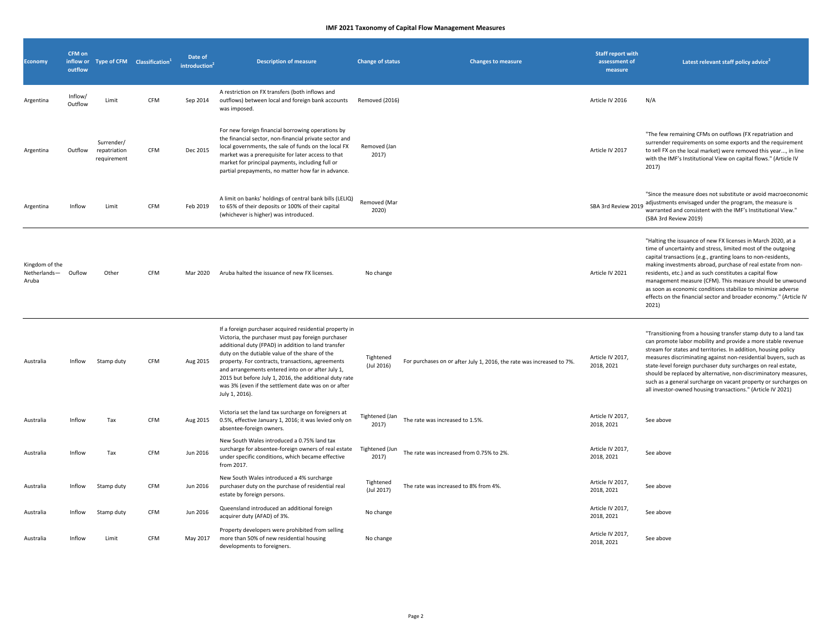| <b>Economy</b>                          | CFM on<br>inflow or<br>outflow |                                           | Type of CFM Classification <sup>1</sup> | Date of<br>introduction <sup>2</sup> | <b>Description of measure</b>                                                                                                                                                                                                                                                                                                                                                                                                                                       | <b>Change of status</b>       | <b>Changes to measure</b>                                             | <b>Staff report with</b><br>assessment of<br>measure | Latest relevant staff policy advice <sup>2</sup>                                                                                                                                                                                                                                                                                                                                                                                                                                                                                           |
|-----------------------------------------|--------------------------------|-------------------------------------------|-----------------------------------------|--------------------------------------|---------------------------------------------------------------------------------------------------------------------------------------------------------------------------------------------------------------------------------------------------------------------------------------------------------------------------------------------------------------------------------------------------------------------------------------------------------------------|-------------------------------|-----------------------------------------------------------------------|------------------------------------------------------|--------------------------------------------------------------------------------------------------------------------------------------------------------------------------------------------------------------------------------------------------------------------------------------------------------------------------------------------------------------------------------------------------------------------------------------------------------------------------------------------------------------------------------------------|
| Argentina                               | Inflow/<br>Outflow             | Limit                                     | CFM                                     | Sep 2014                             | A restriction on FX transfers (both inflows and<br>outflows) between local and foreign bank accounts<br>was imposed.                                                                                                                                                                                                                                                                                                                                                | Removed (2016)                |                                                                       | Article IV 2016                                      | N/A                                                                                                                                                                                                                                                                                                                                                                                                                                                                                                                                        |
| Argentina                               | Outflow                        | Surrender/<br>repatriation<br>requirement | <b>CFM</b>                              | Dec 2015                             | For new foreign financial borrowing operations by<br>the financial sector, non-financial private sector and<br>local governments, the sale of funds on the local FX<br>market was a prerequisite for later access to that<br>market for principal payments, including full or<br>partial prepayments, no matter how far in advance.                                                                                                                                 | Removed (Jan<br>2017)         |                                                                       | Article IV 2017                                      | "The few remaining CFMs on outflows (FX repatriation and<br>surrender requirements on some exports and the requirement<br>to sell FX on the local market) were removed this year, in line<br>with the IMF's Institutional View on capital flows." (Article IV<br>2017)                                                                                                                                                                                                                                                                     |
| Argentina                               | Inflow                         | Limit                                     | CFM                                     | Feb 2019                             | A limit on banks' holdings of central bank bills (LELIQ)<br>to 65% of their deposits or 100% of their capital<br>(whichever is higher) was introduced.                                                                                                                                                                                                                                                                                                              | Removed (Mar<br>2020)         |                                                                       | SBA 3rd Review 2019                                  | "Since the measure does not substitute or avoid macroeconomic<br>adjustments envisaged under the program, the measure is<br>warranted and consistent with the IMF's Institutional View."<br>(SBA 3rd Review 2019)                                                                                                                                                                                                                                                                                                                          |
| Kingdom of the<br>Netherlands-<br>Aruba | Ouflow                         | Other                                     | CFM                                     | Mar 2020                             | Aruba halted the issuance of new FX licenses.                                                                                                                                                                                                                                                                                                                                                                                                                       | No change                     |                                                                       | Article IV 2021                                      | "Halting the issuance of new FX licenses in March 2020, at a<br>time of uncertainty and stress, limited most of the outgoing<br>capital transactions (e.g., granting loans to non-residents,<br>making investments abroad, purchase of real estate from non-<br>residents, etc.) and as such constitutes a capital flow<br>management measure (CFM). This measure should be unwound<br>as soon as economic conditions stabilize to minimize adverse<br>effects on the financial sector and broader economy." (Article IV<br>2021)          |
| Australia                               | Inflow                         | Stamp duty                                | <b>CFM</b>                              | Aug 2015                             | If a foreign purchaser acquired residential property in<br>Victoria, the purchaser must pay foreign purchaser<br>additional duty (FPAD) in addition to land transfer<br>duty on the dutiable value of the share of the<br>property. For contracts, transactions, agreements<br>and arrangements entered into on or after July 1,<br>2015 but before July 1, 2016, the additional duty rate<br>was 3% (even if the settlement date was on or after<br>July 1, 2016). | Tightened<br>$($ Jul 2016 $)$ | For purchases on or after July 1, 2016, the rate was increased to 7%. | Article IV 2017,<br>2018, 2021                       | "Transitioning from a housing transfer stamp duty to a land tax<br>can promote labor mobility and provide a more stable revenue<br>stream for states and territories. In addition, housing policy<br>measures discriminating against non-residential buyers, such as<br>state-level foreign purchaser duty surcharges on real estate,<br>should be replaced by alternative, non-discriminatory measures,<br>such as a general surcharge on vacant property or surcharges on<br>all investor-owned housing transactions." (Article IV 2021) |
| Australia                               | Inflow                         | Tax                                       | CFM                                     | Aug 2015                             | Victoria set the land tax surcharge on foreigners at<br>0.5%, effective January 1, 2016; it was levied only on<br>absentee-foreign owners.                                                                                                                                                                                                                                                                                                                          | Tightened (Jan<br>2017)       | The rate was increased to 1.5%.                                       | Article IV 2017,<br>2018, 2021                       | See above                                                                                                                                                                                                                                                                                                                                                                                                                                                                                                                                  |
| Australia                               | Inflow                         | Tax                                       | CFM                                     | Jun 2016                             | New South Wales introduced a 0.75% land tax<br>surcharge for absentee-foreign owners of real estate<br>under specific conditions, which became effective<br>from 2017.                                                                                                                                                                                                                                                                                              | Tightened (Jun<br>2017)       | The rate was increased from 0.75% to 2%.                              | Article IV 2017,<br>2018, 2021                       | See above                                                                                                                                                                                                                                                                                                                                                                                                                                                                                                                                  |
| Australia                               | Inflow                         | Stamp duty                                | CFM                                     | Jun 2016                             | New South Wales introduced a 4% surcharge<br>purchaser duty on the purchase of residential real<br>estate by foreign persons.                                                                                                                                                                                                                                                                                                                                       | Tightened<br>(Jul 2017)       | The rate was increased to 8% from 4%.                                 | Article IV 2017,<br>2018, 2021                       | See above                                                                                                                                                                                                                                                                                                                                                                                                                                                                                                                                  |
| Australia                               | Inflow                         | Stamp duty                                | CFM                                     | Jun 2016                             | Queensland introduced an additional foreign<br>acquirer duty (AFAD) of 3%.                                                                                                                                                                                                                                                                                                                                                                                          | No change                     |                                                                       | Article IV 2017,<br>2018, 2021                       | See above                                                                                                                                                                                                                                                                                                                                                                                                                                                                                                                                  |
| Australia                               | Inflow                         | Limit                                     | CFM                                     | May 2017                             | Property developers were prohibited from selling<br>more than 50% of new residential housing<br>developments to foreigners.                                                                                                                                                                                                                                                                                                                                         | No change                     |                                                                       | Article IV 2017,<br>2018, 2021                       | See above                                                                                                                                                                                                                                                                                                                                                                                                                                                                                                                                  |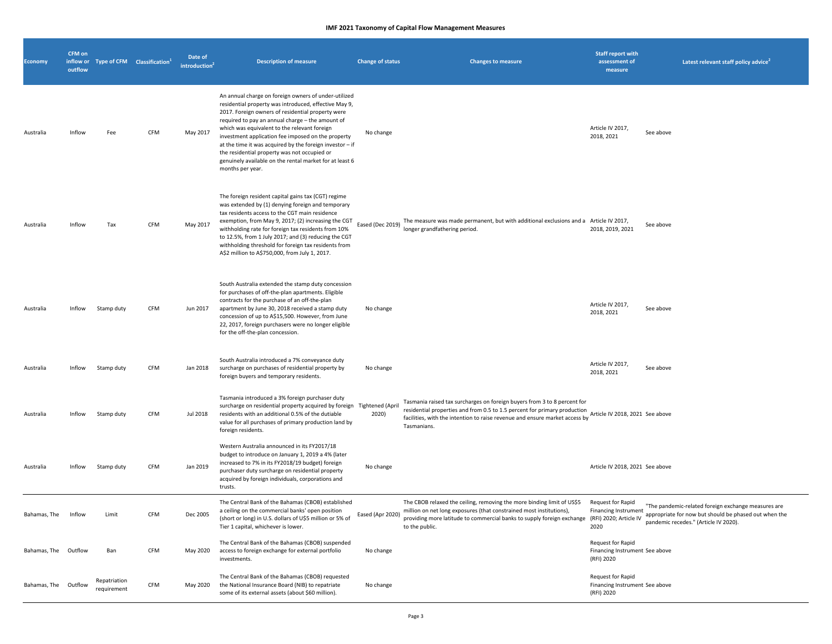| <b>Economy</b>       | <b>CFM</b> on<br>outflow | inflow or Type of CFM Classification <sup>1</sup> |     | Date of<br>introduction <sup>4</sup> | <b>Description of measure</b>                                                                                                                                                                                                                                                                                                                                                                                                                                                                                             | <b>Change of status</b> | <b>Changes to measure</b>                                                                                                                                                                                                                                        | <b>Staff report with</b><br>assessment of<br>measure              | Latest relevant staff policy advice                                                                                                                   |
|----------------------|--------------------------|---------------------------------------------------|-----|--------------------------------------|---------------------------------------------------------------------------------------------------------------------------------------------------------------------------------------------------------------------------------------------------------------------------------------------------------------------------------------------------------------------------------------------------------------------------------------------------------------------------------------------------------------------------|-------------------------|------------------------------------------------------------------------------------------------------------------------------------------------------------------------------------------------------------------------------------------------------------------|-------------------------------------------------------------------|-------------------------------------------------------------------------------------------------------------------------------------------------------|
| Australia            | Inflow                   | Fee                                               | CFM | May 2017                             | An annual charge on foreign owners of under-utilized<br>residential property was introduced, effective May 9,<br>2017. Foreign owners of residential property were<br>required to pay an annual charge - the amount of<br>which was equivalent to the relevant foreign<br>investment application fee imposed on the property<br>at the time it was acquired by the foreign investor $-$ if<br>the residential property was not occupied or<br>genuinely available on the rental market for at least 6<br>months per year. | No change               |                                                                                                                                                                                                                                                                  | Article IV 2017,<br>2018, 2021                                    | See above                                                                                                                                             |
| Australia            | Inflow                   | Tax                                               | CFM | May 2017                             | The foreign resident capital gains tax (CGT) regime<br>was extended by (1) denying foreign and temporary<br>tax residents access to the CGT main residence<br>exemption, from May 9, 2017; (2) increasing the CGT<br>withholding rate for foreign tax residents from 10%<br>to 12.5%, from 1 July 2017; and (3) reducing the CGT<br>withholding threshold for foreign tax residents from<br>A\$2 million to A\$750,000, from July 1, 2017.                                                                                | Eased (Dec 2019)        | The measure was made permanent, but with additional exclusions and a Article IV 2017,<br>longer grandfathering period.                                                                                                                                           | 2018, 2019, 2021                                                  | See above                                                                                                                                             |
| Australia            | Inflow                   | Stamp duty                                        | CFM | Jun 2017                             | South Australia extended the stamp duty concession<br>for purchases of off-the-plan apartments. Eligible<br>contracts for the purchase of an off-the-plan<br>apartment by June 30, 2018 received a stamp duty<br>concession of up to A\$15,500. However, from June<br>22, 2017, foreign purchasers were no longer eligible<br>for the off-the-plan concession.                                                                                                                                                            | No change               |                                                                                                                                                                                                                                                                  | Article IV 2017,<br>2018, 2021                                    | See above                                                                                                                                             |
| Australia            | Inflow                   | Stamp duty                                        | CFM | Jan 2018                             | South Australia introduced a 7% conveyance duty<br>surcharge on purchases of residential property by<br>foreign buyers and temporary residents.                                                                                                                                                                                                                                                                                                                                                                           | No change               |                                                                                                                                                                                                                                                                  | Article IV 2017,<br>2018, 2021                                    | See above                                                                                                                                             |
| Australia            | Inflow                   | Stamp duty                                        | CFM | Jul 2018                             | Tasmania introduced a 3% foreign purchaser duty<br>surcharge on residential property acquired by foreign Tightened (April<br>residents with an additional 0.5% of the dutiable<br>value for all purchases of primary production land by<br>foreign residents.                                                                                                                                                                                                                                                             | 2020)                   | Tasmania raised tax surcharges on foreign buyers from 3 to 8 percent for<br>residential properties and from 0.5 to 1.5 percent for primary production<br>facilities, with the intention to raise revenue and ensure market access by<br>Tasmanians.              | Article IV 2018, 2021 See above                                   |                                                                                                                                                       |
| Australia            | Inflow                   | Stamp duty                                        | CFM | Jan 2019                             | Western Australia announced in its FY2017/18<br>budget to introduce on January 1, 2019 a 4% (later<br>increased to 7% in its FY2018/19 budget) foreign<br>purchaser duty surcharge on residential property<br>acquired by foreign individuals, corporations and<br>trusts.                                                                                                                                                                                                                                                | No change               |                                                                                                                                                                                                                                                                  | Article IV 2018, 2021 See above                                   |                                                                                                                                                       |
| Bahamas, The         | Inflow                   | Limit                                             | CFM | Dec 2005                             | The Central Bank of the Bahamas (CBOB) established<br>a ceiling on the commercial banks' open position<br>(short or long) in U.S. dollars of U\$5 million or 5% of<br>Tier 1 capital, whichever is lower.                                                                                                                                                                                                                                                                                                                 | Eased (Apr 2020)        | The CBOB relaxed the ceiling, removing the more binding limit of US\$5<br>million on net long exposures (that constrained most institutions),<br>providing more latitude to commercial banks to supply foreign exchange (RFI) 2020; Article IV<br>to the public. | Request for Rapid<br><b>Financing Instrument</b><br>2020          | "The pandemic-related foreign exchange measures are<br>appropriate for now but should be phased out when the<br>pandemic recedes." (Article IV 2020). |
| Bahamas, The Outflow |                          | Ban                                               | CFM | May 2020                             | The Central Bank of the Bahamas (CBOB) suspended<br>access to foreign exchange for external portfolio<br>investments.                                                                                                                                                                                                                                                                                                                                                                                                     | No change               |                                                                                                                                                                                                                                                                  | Request for Rapid<br>Financing Instrument See above<br>(RFI) 2020 |                                                                                                                                                       |
| Bahamas, The Outflow |                          | Repatriation<br>requirement                       | CFM | May 2020                             | The Central Bank of the Bahamas (CBOB) requested<br>the National Insurance Board (NIB) to repatriate<br>some of its external assets (about \$60 million).                                                                                                                                                                                                                                                                                                                                                                 | No change               |                                                                                                                                                                                                                                                                  | Request for Rapid<br>Financing Instrument See above<br>(RFI) 2020 |                                                                                                                                                       |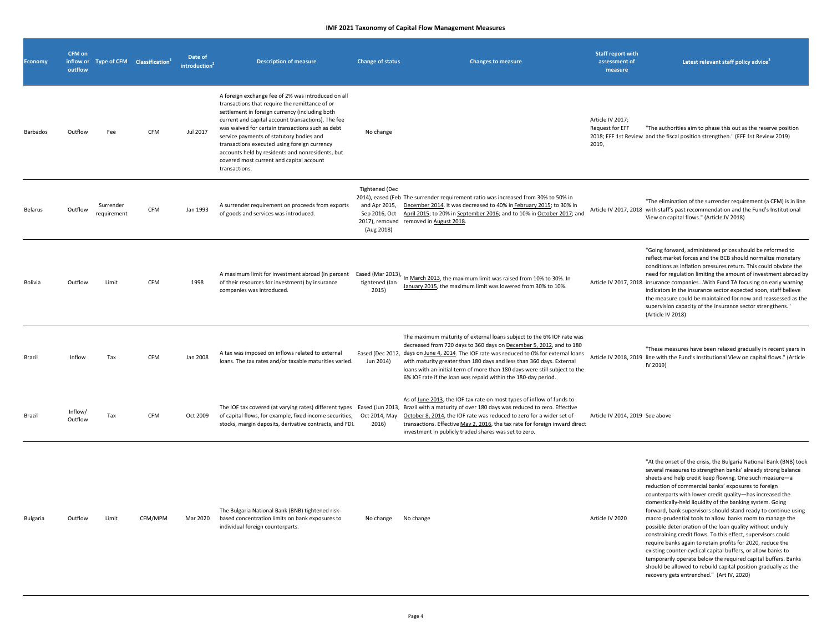| <b>Economy</b> | CFM on<br>outflow  | inflow or Type of CFM Classification <sup>1</sup> |            | Date of<br>introduction <sup>4</sup> | <b>Description of measure</b>                                                                                                                                                                                                                                                                                                                                                                                                                                                 | <b>Change of status</b>                                               | <b>Changes to measure</b>                                                                                                                                                                                                                                                                                                                                                                                                                                       | <b>Staff report with</b><br>assessment of<br>measure | Latest relevant staff policy advice                                                                                                                                                                                                                                                                                                                                                                                                                                                                                                                                                                                                                                                                                                                                                                                                                                                                                                                   |
|----------------|--------------------|---------------------------------------------------|------------|--------------------------------------|-------------------------------------------------------------------------------------------------------------------------------------------------------------------------------------------------------------------------------------------------------------------------------------------------------------------------------------------------------------------------------------------------------------------------------------------------------------------------------|-----------------------------------------------------------------------|-----------------------------------------------------------------------------------------------------------------------------------------------------------------------------------------------------------------------------------------------------------------------------------------------------------------------------------------------------------------------------------------------------------------------------------------------------------------|------------------------------------------------------|-------------------------------------------------------------------------------------------------------------------------------------------------------------------------------------------------------------------------------------------------------------------------------------------------------------------------------------------------------------------------------------------------------------------------------------------------------------------------------------------------------------------------------------------------------------------------------------------------------------------------------------------------------------------------------------------------------------------------------------------------------------------------------------------------------------------------------------------------------------------------------------------------------------------------------------------------------|
| Barbados       | Outflow            | Fee                                               | CFM        | Jul 2017                             | A foreign exchange fee of 2% was introduced on all<br>transactions that require the remittance of or<br>settlement in foreign currency (including both<br>current and capital account transactions). The fee<br>was waived for certain transactions such as debt<br>service payments of statutory bodies and<br>transactions executed using foreign currency<br>accounts held by residents and nonresidents, but<br>covered most current and capital account<br>transactions. | No change                                                             |                                                                                                                                                                                                                                                                                                                                                                                                                                                                 | Article IV 2017;<br>Request for EFF<br>2019,         | "The authorities aim to phase this out as the reserve position<br>2018; EFF 1st Review and the fiscal position strengthen." (EFF 1st Review 2019)                                                                                                                                                                                                                                                                                                                                                                                                                                                                                                                                                                                                                                                                                                                                                                                                     |
| Belarus        | Outflow            | Surrender<br>requirement                          | CFM        | Jan 1993                             | A surrender requirement on proceeds from exports<br>of goods and services was introduced.                                                                                                                                                                                                                                                                                                                                                                                     | <b>Tightened (Dec</b><br>and Apr 2015,<br>Sep 2016, Oct<br>(Aug 2018) | 2014), eased (Feb The surrender requirement ratio was increased from 30% to 50% in<br>December 2014. It was decreased to 40% in February 2015; to 30% in<br>April 2015; to 20% in September 2016; and to 10% in October 2017; and<br>2017), removed removed in August 2018.                                                                                                                                                                                     |                                                      | "The elimination of the surrender requirement (a CFM) is in line<br>Article IV 2017, 2018 with staff's past recommendation and the Fund's Institutional<br>View on capital flows." (Article IV 2018)                                                                                                                                                                                                                                                                                                                                                                                                                                                                                                                                                                                                                                                                                                                                                  |
| Bolivia        | Outflow            | Limit                                             | CFM        | 1998                                 | A maximum limit for investment abroad (in percent Eased (Mar 2013),<br>of their resources for investment) by insurance<br>companies was introduced.                                                                                                                                                                                                                                                                                                                           | tightened (Jan<br>2015)                                               | In March 2013, the maximum limit was raised from 10% to 30%. In<br>January 2015, the maximum limit was lowered from 30% to 10%.                                                                                                                                                                                                                                                                                                                                 |                                                      | "Going forward, administered prices should be reformed to<br>reflect market forces and the BCB should normalize monetary<br>conditions as inflation pressures return. This could obviate the<br>need for regulation limiting the amount of investment abroad by<br>Article IV 2017, 2018 insurance companies With Fund TA focusing on early warning<br>indicators in the insurance sector expected soon, staff believe<br>the measure could be maintained for now and reassessed as the<br>supervision capacity of the insurance sector strengthens."<br>(Article IV 2018)                                                                                                                                                                                                                                                                                                                                                                            |
| Brazil         | Inflow             | Tax                                               | <b>CFM</b> | Jan 2008                             | A tax was imposed on inflows related to external<br>loans. The tax rates and/or taxable maturities varied.                                                                                                                                                                                                                                                                                                                                                                    | Jun 2014)                                                             | The maximum maturity of external loans subject to the 6% IOF rate was<br>decreased from 720 days to 360 days on December 5, 2012, and to 180<br>Eased (Dec 2012, days on June 4, 2014. The IOF rate was reduced to 0% for external loans<br>with maturity greater than 180 days and less than 360 days. External<br>loans with an initial term of more than 180 days were still subject to the<br>6% IOF rate if the loan was repaid within the 180-day period. |                                                      | "These measures have been relaxed gradually in recent years in<br>Article IV 2018, 2019 line with the Fund's Institutional View on capital flows." (Article<br>IV 2019)                                                                                                                                                                                                                                                                                                                                                                                                                                                                                                                                                                                                                                                                                                                                                                               |
| Brazil         | Inflow/<br>Outflow | Tax                                               | CFM        | Oct 2009                             | of capital flows, for example, fixed income securities,<br>stocks, margin deposits, derivative contracts, and FDI.                                                                                                                                                                                                                                                                                                                                                            | Oct 2014, May<br>2016)                                                | As of June 2013, the IOF tax rate on most types of inflow of funds to<br>The IOF tax covered (at varying rates) different types Eased (Jun 2013, Brazil with a maturity of over 180 days was reduced to zero. Effective<br>October 8, 2014, the IOF rate was reduced to zero for a wider set of<br>transactions. Effective May 2, 2016, the tax rate for foreign inward direct<br>investment in publicly traded shares was set to zero.                         | Article IV 2014, 2019 See above                      |                                                                                                                                                                                                                                                                                                                                                                                                                                                                                                                                                                                                                                                                                                                                                                                                                                                                                                                                                       |
| Bulgaria       | Outflow            | Limit                                             | CFM/MPM    | Mar 2020                             | The Bulgaria National Bank (BNB) tightened risk-<br>based concentration limits on bank exposures to<br>individual foreign counterparts.                                                                                                                                                                                                                                                                                                                                       | No change                                                             | No change                                                                                                                                                                                                                                                                                                                                                                                                                                                       | Article IV 2020                                      | "At the onset of the crisis, the Bulgaria National Bank (BNB) took<br>several measures to strengthen banks' already strong balance<br>sheets and help credit keep flowing. One such measure-a<br>reduction of commercial banks' exposures to foreign<br>counterparts with lower credit quality-has increased the<br>domestically-held liquidity of the banking system. Going<br>forward, bank supervisors should stand ready to continue using<br>macro-prudential tools to allow banks room to manage the<br>possible deterioration of the loan quality without unduly<br>constraining credit flows. To this effect, supervisors could<br>require banks again to retain profits for 2020, reduce the<br>existing counter-cyclical capital buffers, or allow banks to<br>temporarily operate below the required capital buffers. Banks<br>should be allowed to rebuild capital position gradually as the<br>recovery gets entrenched." (Art IV, 2020) |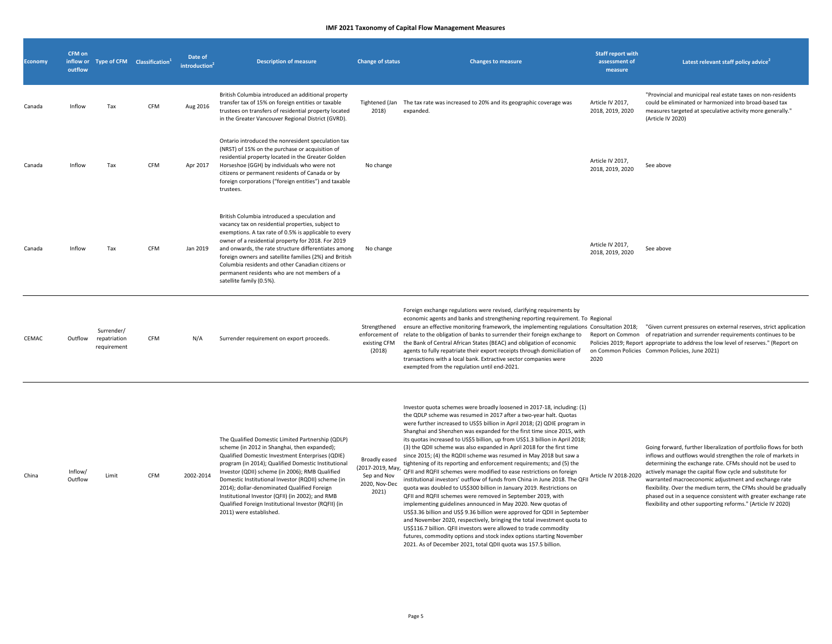| <b>Economy</b> | <b>CFM</b> on<br>inflow or<br>outflow |                                           | Type of CFM Classification <sup>1</sup> | Date of<br>introduction <sup>2</sup> | <b>Description of measure</b>                                                                                                                                                                                                                                                                                                                                                                                                                                                                               | <b>Change of status</b>                                                    | <b>Changes to measure</b>                                                                                                                                                                                                                                                                                                                                                                                                                                                                                                                                                                                                                                                                                                                                                                                                                                                                                                                                                                                                                                                                                                                                                                                                                                                                                                                             | <b>Staff report with</b><br>assessment of<br>measure | Latest relevant staff policy advice <sup>2</sup>                                                                                                                                                                                                                                                                                                                                                                                                                                                                         |
|----------------|---------------------------------------|-------------------------------------------|-----------------------------------------|--------------------------------------|-------------------------------------------------------------------------------------------------------------------------------------------------------------------------------------------------------------------------------------------------------------------------------------------------------------------------------------------------------------------------------------------------------------------------------------------------------------------------------------------------------------|----------------------------------------------------------------------------|-------------------------------------------------------------------------------------------------------------------------------------------------------------------------------------------------------------------------------------------------------------------------------------------------------------------------------------------------------------------------------------------------------------------------------------------------------------------------------------------------------------------------------------------------------------------------------------------------------------------------------------------------------------------------------------------------------------------------------------------------------------------------------------------------------------------------------------------------------------------------------------------------------------------------------------------------------------------------------------------------------------------------------------------------------------------------------------------------------------------------------------------------------------------------------------------------------------------------------------------------------------------------------------------------------------------------------------------------------|------------------------------------------------------|--------------------------------------------------------------------------------------------------------------------------------------------------------------------------------------------------------------------------------------------------------------------------------------------------------------------------------------------------------------------------------------------------------------------------------------------------------------------------------------------------------------------------|
| Canada         | Inflow                                | Tax                                       | <b>CFM</b>                              | Aug 2016                             | British Columbia introduced an additional property<br>transfer tax of 15% on foreign entities or taxable<br>trustees on transfers of residential property located<br>in the Greater Vancouver Regional District (GVRD).                                                                                                                                                                                                                                                                                     | Tightened (Jan<br>2018)                                                    | The tax rate was increased to 20% and its geographic coverage was<br>expanded.                                                                                                                                                                                                                                                                                                                                                                                                                                                                                                                                                                                                                                                                                                                                                                                                                                                                                                                                                                                                                                                                                                                                                                                                                                                                        | Article IV 2017,<br>2018, 2019, 2020                 | "Provincial and municipal real estate taxes on non-residents<br>could be eliminated or harmonized into broad-based tax<br>measures targeted at speculative activity more generally."<br>(Article IV 2020)                                                                                                                                                                                                                                                                                                                |
| Canada         | Inflow                                | Tax                                       | <b>CFM</b>                              | Apr 2017                             | Ontario introduced the nonresident speculation tax<br>(NRST) of 15% on the purchase or acquisition of<br>residential property located in the Greater Golden<br>Horseshoe (GGH) by individuals who were not<br>citizens or permanent residents of Canada or by<br>foreign corporations ("foreign entities") and taxable<br>trustees.                                                                                                                                                                         | No change                                                                  |                                                                                                                                                                                                                                                                                                                                                                                                                                                                                                                                                                                                                                                                                                                                                                                                                                                                                                                                                                                                                                                                                                                                                                                                                                                                                                                                                       | Article IV 2017,<br>2018, 2019, 2020                 | See above                                                                                                                                                                                                                                                                                                                                                                                                                                                                                                                |
| Canada         | Inflow                                | Tax                                       | CFM                                     | Jan 2019                             | British Columbia introduced a speculation and<br>vacancy tax on residential properties, subject to<br>exemptions. A tax rate of 0.5% is applicable to every<br>owner of a residential property for 2018. For 2019<br>and onwards, the rate structure differentiates among<br>foreign owners and satellite families (2%) and British<br>Columbia residents and other Canadian citizens or<br>permanent residents who are not members of a<br>satellite family (0.5%).                                        | No change                                                                  |                                                                                                                                                                                                                                                                                                                                                                                                                                                                                                                                                                                                                                                                                                                                                                                                                                                                                                                                                                                                                                                                                                                                                                                                                                                                                                                                                       | Article IV 2017,<br>2018, 2019, 2020                 | See above                                                                                                                                                                                                                                                                                                                                                                                                                                                                                                                |
| CEMAC          | Outflow                               | Surrender/<br>repatriation<br>requirement | CFM                                     | N/A                                  | Surrender requirement on export proceeds.                                                                                                                                                                                                                                                                                                                                                                                                                                                                   | Strengthened<br>enforcement of<br>existing CFM<br>(2018)                   | Foreign exchange regulations were revised, clarifying requirements by<br>economic agents and banks and strengthening reporting requirement. To Regional<br>ensure an effective monitoring framework, the implementing regulations Consultation 2018; "Given current pressures on external reserves, strict application<br>relate to the obligation of banks to surrender their foreign exchange to<br>the Bank of Central African States (BEAC) and obligation of economic<br>agents to fully repatriate their export receipts through domiciliation of<br>transactions with a local bank. Extractive sector companies were<br>exempted from the regulation until end-2021.                                                                                                                                                                                                                                                                                                                                                                                                                                                                                                                                                                                                                                                                           | 2020                                                 | Report on Common of repatriation and surrender requirements continues to be<br>Policies 2019; Report appropriate to address the low level of reserves." (Report on<br>on Common Policies Common Policies, June 2021)                                                                                                                                                                                                                                                                                                     |
| China          | Inflow/<br>Outflow                    | Limit                                     | CFM                                     | 2002-2014                            | The Qualified Domestic Limited Partnership (QDLP)<br>scheme (in 2012 in Shanghai, then expanded);<br>Qualified Domestic Investment Enterprises (QDIE)<br>program (in 2014); Qualified Domestic Institutional<br>Investor (QDII) scheme (in 2006); RMB Qualified<br>Domestic Institutional Investor (RQDII) scheme (in<br>2014); dollar-denominated Qualified Foreign<br>Institutional Investor (QFII) (in 2002); and RMB<br>Qualified Foreign Institutional Investor (RQFII) (in<br>2011) were established. | Broadly eased<br>(2017-2019, May,<br>Sep and Nov<br>2020, Nov-Dec<br>2021) | Investor quota schemes were broadly loosened in 2017-18, including: (1)<br>the QDLP scheme was resumed in 2017 after a two-year halt. Quotas<br>were further increased to US\$5 billion in April 2018; (2) QDIE program in<br>Shanghai and Shenzhen was expanded for the first time since 2015, with<br>its quotas increased to US\$5 billion, up from US\$1.3 billion in April 2018;<br>(3) the QDII scheme was also expanded in April 2018 for the first time<br>since 2015; (4) the RQDII scheme was resumed in May 2018 but saw a<br>tightening of its reporting and enforcement requirements; and (5) the<br>QFII and RQFII schemes were modified to ease restrictions on foreign<br>institutional investors' outflow of funds from China in June 2018. The QFII<br>quota was doubled to US\$300 billion in January 2019. Restrictions on<br>QFII and RQFII schemes were removed in September 2019, with<br>implementing guidelines announced in May 2020. New quotas of<br>US\$3.36 billion and US\$ 9.36 billion were approved for QDII in September<br>and November 2020, respectively, bringing the total investment quota to<br>US\$116.7 billion. QFII investors were allowed to trade commodity<br>futures, commodity options and stock index options starting November<br>2021. As of December 2021, total QDII quota was 157.5 billion. | Article IV 2018-2020                                 | Going forward, further liberalization of portfolio flows for both<br>inflows and outflows would strengthen the role of markets in<br>determining the exchange rate. CFMs should not be used to<br>actively manage the capital flow cycle and substitute for<br>warranted macroeconomic adjustment and exchange rate<br>flexibility. Over the medium term, the CFMs should be gradually<br>phased out in a sequence consistent with greater exchange rate<br>flexibility and other supporting reforms." (Article IV 2020) |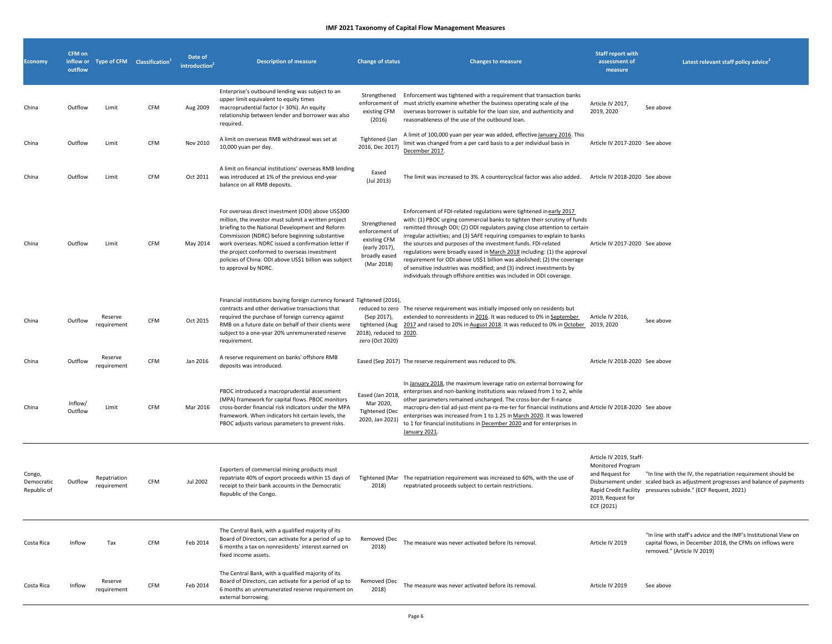| <b>Economy</b>                      | CFM on<br>inflow or<br>outflow |                             | Type of CFM Classification <sup>1</sup> | Date of<br><b>introduction</b> | <b>Description of measure</b>                                                                                                                                                                                                                                                                                                                                                                           | <b>Change of status</b>                                                                        | <b>Changes to measure</b>                                                                                                                                                                                                                                                                                                                                                                                                                                                                                                                                                                                                                                                            | <b>Staff report with</b><br>assessment of<br>measure                                                      | Latest relevant staff policy advice                                                                                                                                                                              |
|-------------------------------------|--------------------------------|-----------------------------|-----------------------------------------|--------------------------------|---------------------------------------------------------------------------------------------------------------------------------------------------------------------------------------------------------------------------------------------------------------------------------------------------------------------------------------------------------------------------------------------------------|------------------------------------------------------------------------------------------------|--------------------------------------------------------------------------------------------------------------------------------------------------------------------------------------------------------------------------------------------------------------------------------------------------------------------------------------------------------------------------------------------------------------------------------------------------------------------------------------------------------------------------------------------------------------------------------------------------------------------------------------------------------------------------------------|-----------------------------------------------------------------------------------------------------------|------------------------------------------------------------------------------------------------------------------------------------------------------------------------------------------------------------------|
| China                               | Outflow                        | Limit                       | <b>CFM</b>                              | Aug 2009                       | Enterprise's outbound lending was subject to an<br>upper limit equivalent to equity times<br>macroprudential factor (= 30%). An equity<br>relationship between lender and borrower was also<br>required.                                                                                                                                                                                                | Strengthened<br>enforcement of<br>existing CFM<br>(2016)                                       | Enforcement was tightened with a requirement that transaction banks<br>must strictly examine whether the business operating scale of the<br>overseas borrower is suitable for the loan size, and authenticity and<br>reasonableness of the use of the outbound loan.                                                                                                                                                                                                                                                                                                                                                                                                                 | Article IV 2017,<br>2019, 2020                                                                            | See above                                                                                                                                                                                                        |
| China                               | Outflow                        | Limit                       | <b>CFM</b>                              | Nov 2010                       | A limit on overseas RMB withdrawal was set at<br>10,000 yuan per day.                                                                                                                                                                                                                                                                                                                                   | Tightened (Jan<br>2016, Dec 2017)                                                              | A limit of 100,000 yuan per year was added, effective January 2016. This<br>limit was changed from a per card basis to a per individual basis in<br>December 2017.                                                                                                                                                                                                                                                                                                                                                                                                                                                                                                                   | Article IV 2017-2020 See above                                                                            |                                                                                                                                                                                                                  |
| China                               | Outflow                        | Limit                       | CFM                                     | Oct 2011                       | A limit on financial institutions' overseas RMB lending<br>was introduced at 1% of the previous end-year<br>balance on all RMB deposits.                                                                                                                                                                                                                                                                | Eased<br>(Jul 2013)                                                                            | The limit was increased to 3%. A countercyclical factor was also added.                                                                                                                                                                                                                                                                                                                                                                                                                                                                                                                                                                                                              | Article IV 2018-2020 See above                                                                            |                                                                                                                                                                                                                  |
| China                               | Outflow                        | Limit                       | <b>CFM</b>                              | May 2014                       | For overseas direct investment (ODI) above US\$300<br>million, the investor must submit a written project<br>briefing to the National Development and Reform<br>Commission (NDRC) before beginning substantive<br>work overseas. NDRC issued a confirmation letter if<br>the project conformed to overseas investment<br>policies of China. ODI above US\$1 billion was subject<br>to approval by NDRC. | Strengthened<br>enforcement of<br>existing CFM<br>(early 2017),<br>broadly eased<br>(Mar 2018) | Enforcement of FDI-related regulations were tightened in early 2017<br>with: (1) PBOC urging commercial banks to tighten their scrutiny of funds<br>remitted through ODI; (2) ODI regulators paying close attention to certain<br>irregular activities; and (3) SAFE requiring companies to explain to banks<br>the sources and purposes of the investment funds. FDI-related<br>regulations were broadly eased in March 2018 including: (1) the approval<br>requirement for ODI above US\$1 billion was abolished; (2) the coverage<br>of sensitive industries was modified; and (3) indirect investments by<br>individuals through offshore entities was included in ODI coverage. | Article IV 2017-2020 See above                                                                            |                                                                                                                                                                                                                  |
| China                               | Outflow                        | Reserve<br>requirement      | <b>CFM</b>                              | Oct 2015                       | Financial institutions buying foreign currency forward Tightened (2016),<br>contracts and other derivative transactions that<br>required the purchase of foreign currency against<br>RMB on a future date on behalf of their clients were<br>subject to a one-year 20% unremunerated reserve<br>requirement.                                                                                            | reduced to zero<br>(Sep 2017),<br>tightened (Aug<br>2018), reduced to 2020.<br>zero (Oct 2020) | The reserve requirement was initially imposed only on residents but<br>extended to nonresidents in 2016. It was reduced to 0% in September<br>2017 and raised to 20% in August 2018. It was reduced to 0% in October 2019, 2020                                                                                                                                                                                                                                                                                                                                                                                                                                                      | Article IV 2016,                                                                                          | See above                                                                                                                                                                                                        |
| China                               | Outflow                        | Reserve<br>requirement      | CFM                                     | Jan 2016                       | A reserve requirement on banks' offshore RMB<br>deposits was introduced.                                                                                                                                                                                                                                                                                                                                |                                                                                                | Eased (Sep 2017) The reserve requirement was reduced to 0%.                                                                                                                                                                                                                                                                                                                                                                                                                                                                                                                                                                                                                          | Article IV 2018-2020 See above                                                                            |                                                                                                                                                                                                                  |
| China                               | Inflow/<br>Outflow             | Limit                       | CFM                                     | Mar 2016                       | PBOC introduced a macroprudential assessment<br>(MPA) framework for capital flows. PBOC monitors<br>cross-border financial risk indicators under the MPA<br>framework. When indicators hit certain levels, the<br>PBOC adjusts various parameters to prevent risks.                                                                                                                                     | Eased (Jan 2018,<br>Mar 2020,<br><b>Tightened (Dec</b><br>2020, Jan 2021)                      | In January 2018, the maximum leverage ratio on external borrowing for<br>enterprises and non-banking institutions was relaxed from 1 to 2, while<br>other parameters remained unchanged. The cross-bor-der fi-nance<br>macropru-den-tial ad-just-ment pa-ra-me-ter for financial institutions and Article IV 2018-2020 See above<br>enterprises was increased from 1 to 1.25 in March 2020. It was lowered<br>to 1 for financial institutions in December 2020 and for enterprises in<br>January 2021.                                                                                                                                                                               |                                                                                                           |                                                                                                                                                                                                                  |
| Congo,<br>Democratic<br>Republic of | Outflow                        | Repatriation<br>requirement | <b>CFM</b>                              | Jul 2002                       | Exporters of commercial mining products must<br>repatriate 40% of export proceeds within 15 days of<br>receipt to their bank accounts in the Democratic<br>Republic of the Congo.                                                                                                                                                                                                                       | 2018)                                                                                          | Tightened (Mar The repatriation requirement was increased to 60%, with the use of<br>repatriated proceeds subject to certain restrictions.                                                                                                                                                                                                                                                                                                                                                                                                                                                                                                                                           | Article IV 2019, Staff-<br><b>Monitored Program</b><br>and Request for<br>2019, Request for<br>ECF (2021) | "In line with the IV, the repatriation requirement should be<br>Disbursement under scaled back as adjustment progresses and balance of payments<br>Rapid Credit Facility pressures subside." (ECF Request, 2021) |
| Costa Rica                          | Inflow                         | Tax                         | CFM                                     | Feb 2014                       | The Central Bank, with a qualified majority of its<br>Board of Directors, can activate for a period of up to<br>6 months a tax on nonresidents' interest earned on<br>fixed income assets.                                                                                                                                                                                                              | Removed (Dec<br>2018)                                                                          | The measure was never activated before its removal.                                                                                                                                                                                                                                                                                                                                                                                                                                                                                                                                                                                                                                  | Article IV 2019                                                                                           | "In line with staff's advice and the IMF's Institutional View on<br>capital flows, in December 2018, the CFMs on inflows were<br>removed." (Article IV 2019)                                                     |
| Costa Rica                          | Inflow                         | Reserve<br>requirement      | <b>CFM</b>                              | Feb 2014                       | The Central Bank, with a qualified majority of its<br>Board of Directors, can activate for a period of up to<br>6 months an unremunerated reserve requirement on<br>external borrowing.                                                                                                                                                                                                                 | Removed (Dec<br>2018)                                                                          | The measure was never activated before its removal.                                                                                                                                                                                                                                                                                                                                                                                                                                                                                                                                                                                                                                  | Article IV 2019                                                                                           | See above                                                                                                                                                                                                        |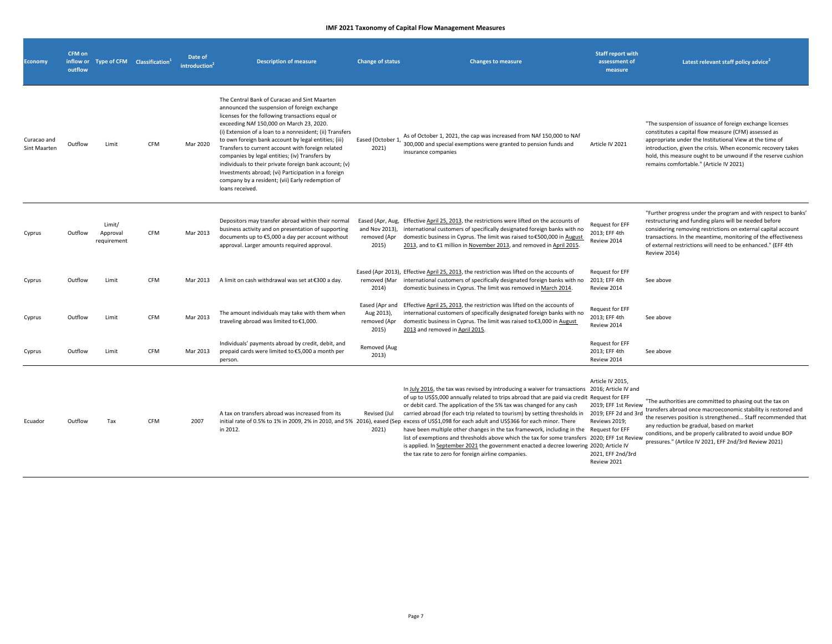| <b>Economy</b>              | <b>CFM on</b><br>outflow | inflow or Type of CFM Classification <sup>1</sup> |            | Date of<br>introduction <sup>2</sup> | <b>Description of measure</b>                                                                                                                                                                                                                                                                                                                                                                                                                                                                                                                                                                                   | <b>Change of status</b>                                     | <b>Changes to measure</b>                                                                                                                                                                                                                                                                                                                                                                                                                                                                                                                                                                                                                                                                                                                                                                                                                             | <b>Staff report with</b><br>assessment of<br>measure                                                                  | Latest relevant staff policy advice <sup>2</sup>                                                                                                                                                                                                                                                                                                              |
|-----------------------------|--------------------------|---------------------------------------------------|------------|--------------------------------------|-----------------------------------------------------------------------------------------------------------------------------------------------------------------------------------------------------------------------------------------------------------------------------------------------------------------------------------------------------------------------------------------------------------------------------------------------------------------------------------------------------------------------------------------------------------------------------------------------------------------|-------------------------------------------------------------|-------------------------------------------------------------------------------------------------------------------------------------------------------------------------------------------------------------------------------------------------------------------------------------------------------------------------------------------------------------------------------------------------------------------------------------------------------------------------------------------------------------------------------------------------------------------------------------------------------------------------------------------------------------------------------------------------------------------------------------------------------------------------------------------------------------------------------------------------------|-----------------------------------------------------------------------------------------------------------------------|---------------------------------------------------------------------------------------------------------------------------------------------------------------------------------------------------------------------------------------------------------------------------------------------------------------------------------------------------------------|
| Curacao and<br>Sint Maarten | Outflow                  | Limit                                             | <b>CFM</b> | Mar 2020                             | The Central Bank of Curacao and Sint Maarten<br>announced the suspension of foreign exchange<br>licenses for the following transactions equal or<br>exceeding NAf 150,000 on March 23, 2020.<br>(i) Extension of a loan to a nonresident; (ii) Transfers<br>to own foreign bank account by legal entities; (iii)<br>Transfers to current account with foreign related<br>companies by legal entities; (iv) Transfers by<br>individuals to their private foreign bank account; (v)<br>Investments abroad; (vi) Participation in a foreign<br>company by a resident; (vii) Early redemption of<br>loans received. | Eased (October 1)<br>2021)                                  | As of October 1, 2021, the cap was increased from NAf 150,000 to NAf<br>300,000 and special exemptions were granted to pension funds and<br>insurance companies                                                                                                                                                                                                                                                                                                                                                                                                                                                                                                                                                                                                                                                                                       | Article IV 2021                                                                                                       | "The suspension of issuance of foreign exchange licenses<br>constitutes a capital flow measure (CFM) assessed as<br>appropriate under the Institutional View at the time of<br>introduction, given the crisis. When economic recovery takes<br>hold, this measure ought to be unwound if the reserve cushion<br>remains comfortable." (Article IV 2021)       |
| Cyprus                      | Outflow                  | Limit/<br>Approval<br>requirement                 | <b>CFM</b> | Mar 2013                             | Depositors may transfer abroad within their normal<br>business activity and on presentation of supporting<br>documents up to €5,000 a day per account without<br>approval. Larger amounts required approval.                                                                                                                                                                                                                                                                                                                                                                                                    | Eased (Apr, Aug,<br>and Nov 2013),<br>removed (Apr<br>2015) | Effective April 25, 2013, the restrictions were lifted on the accounts of<br>international customers of specifically designated foreign banks with no<br>domestic business in Cyprus. The limit was raised to €500,000 in August<br>2013, and to €1 million in November 2013, and removed in April 2015.                                                                                                                                                                                                                                                                                                                                                                                                                                                                                                                                              | <b>Request for EFF</b><br>2013; EFF 4th<br>Review 2014                                                                | "Further progress under the program and with respect to banks'<br>restructuring and funding plans will be needed before<br>considering removing restrictions on external capital account<br>transactions. In the meantime, monitoring of the effectiveness<br>of external restrictions will need to be enhanced." (EFF 4th<br><b>Review 2014)</b>             |
| Cyprus                      | Outflow                  | Limit                                             | <b>CFM</b> | Mar 2013                             | A limit on cash withdrawal was set at €300 a day.                                                                                                                                                                                                                                                                                                                                                                                                                                                                                                                                                               | removed (Mar<br>2014)                                       | Eased (Apr 2013), Effective April 25, 2013, the restriction was lifted on the accounts of<br>international customers of specifically designated foreign banks with no<br>domestic business in Cyprus. The limit was removed in March 2014.                                                                                                                                                                                                                                                                                                                                                                                                                                                                                                                                                                                                            | <b>Request for EFF</b><br>2013; EFF 4th<br>Review 2014                                                                | See above                                                                                                                                                                                                                                                                                                                                                     |
| Cyprus                      | Outflow                  | Limit                                             | CFM        | Mar 2013                             | The amount individuals may take with them when<br>traveling abroad was limited to €1,000.                                                                                                                                                                                                                                                                                                                                                                                                                                                                                                                       | Eased (Apr and<br>Aug 2013),<br>removed (Apr<br>2015)       | Effective April 25, 2013, the restriction was lifted on the accounts of<br>international customers of specifically designated foreign banks with no<br>domestic business in Cyprus. The limit was raised to €3,000 in August<br>2013 and removed in April 2015.                                                                                                                                                                                                                                                                                                                                                                                                                                                                                                                                                                                       | <b>Request for EFF</b><br>2013; EFF 4th<br>Review 2014                                                                | See above                                                                                                                                                                                                                                                                                                                                                     |
| Cyprus                      | Outflow                  | Limit                                             | CFM        | Mar 2013                             | Individuals' payments abroad by credit, debit, and<br>prepaid cards were limited to €5,000 a month per<br>person.                                                                                                                                                                                                                                                                                                                                                                                                                                                                                               | Removed (Aug<br>2013)                                       |                                                                                                                                                                                                                                                                                                                                                                                                                                                                                                                                                                                                                                                                                                                                                                                                                                                       | <b>Request for EFF</b><br>2013; EFF 4th<br>Review 2014                                                                | See above                                                                                                                                                                                                                                                                                                                                                     |
| Ecuador                     | Outflow                  | Tax                                               | <b>CFM</b> | 2007                                 | A tax on transfers abroad was increased from its<br>in 2012.                                                                                                                                                                                                                                                                                                                                                                                                                                                                                                                                                    | Revised (Jul<br>2021)                                       | In July 2016, the tax was revised by introducing a waiver for transactions 2016; Article IV and<br>of up to US\$5,000 annually related to trips abroad that are paid via credit Request for EFF<br>or debit card. The application of the 5% tax was changed for any cash<br>carried abroad (for each trip related to tourism) by setting thresholds in<br>initial rate of 0.5% to 1% in 2009, 2% in 2010, and 5% 2016), eased (Sep excess of US\$1,098 for each adult and US\$366 for each minor. There<br>have been multiple other changes in the tax framework, including in the Request for EFF<br>list of exemptions and thresholds above which the tax for some transfers 2020; EFF 1st Review<br>is applied. In September 2021 the government enacted a decree lowering 2020; Article IV<br>the tax rate to zero for foreign airline companies. | Article IV 2015,<br>2019; EFF 1st Review<br>2019; EFF 2d and 3rd<br>Reviews 2019:<br>2021, EFF 2nd/3rd<br>Review 2021 | "The authorities are committed to phasing out the tax on<br>transfers abroad once macroeconomic stability is restored and<br>the reserves position is strengthened Staff recommended that<br>any reduction be gradual, based on market<br>conditions, and be properly calibrated to avoid undue BOP<br>pressures." (Artilce IV 2021, EFF 2nd/3rd Review 2021) |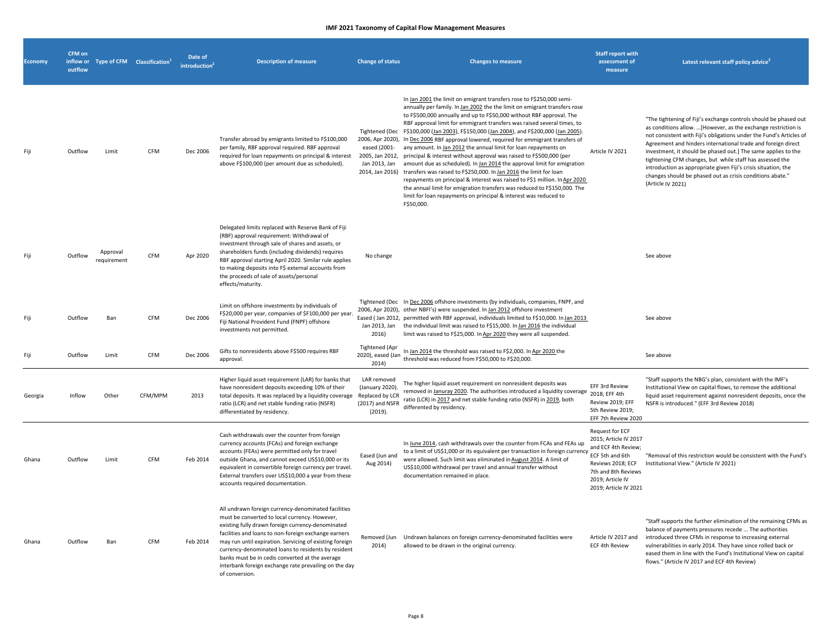| <b>Economy</b> | CFM on<br>inflow or<br>outflow | Type of CFM Classification <sup>1</sup> |         | Date of<br>introduction <sup>4</sup> | <b>Description of measure</b>                                                                                                                                                                                                                                                                                                                                                                                                                                     | <b>Change of status</b>                                                         | <b>Changes to measure</b>                                                                                                                                                                                                                                                                                                                                                                                                                                                                                                                                                                                                                                                                                                                                                                                                                                                                                                                                                                                                                        | <b>Staff report with</b><br>assessment of<br>measure                                                                                                                               | Latest relevant staff policy advice                                                                                                                                                                                                                                                                                                                                                                                                                                                                                                                       |
|----------------|--------------------------------|-----------------------------------------|---------|--------------------------------------|-------------------------------------------------------------------------------------------------------------------------------------------------------------------------------------------------------------------------------------------------------------------------------------------------------------------------------------------------------------------------------------------------------------------------------------------------------------------|---------------------------------------------------------------------------------|--------------------------------------------------------------------------------------------------------------------------------------------------------------------------------------------------------------------------------------------------------------------------------------------------------------------------------------------------------------------------------------------------------------------------------------------------------------------------------------------------------------------------------------------------------------------------------------------------------------------------------------------------------------------------------------------------------------------------------------------------------------------------------------------------------------------------------------------------------------------------------------------------------------------------------------------------------------------------------------------------------------------------------------------------|------------------------------------------------------------------------------------------------------------------------------------------------------------------------------------|-----------------------------------------------------------------------------------------------------------------------------------------------------------------------------------------------------------------------------------------------------------------------------------------------------------------------------------------------------------------------------------------------------------------------------------------------------------------------------------------------------------------------------------------------------------|
|                | Outflow                        | Limit                                   | CFM     | Dec 2006                             | Transfer abroad by emigrants limited to F\$100,000<br>per family, RBF approval required. RBF approval<br>required for loan repayments on principal & interest<br>above F\$100,000 (per amount due as scheduled).                                                                                                                                                                                                                                                  | eased (2001-<br>2005, Jan 2012,<br>Jan 2013, Jan                                | In Jan 2001 the limit on emigrant transfers rose to F\$250,000 semi-<br>annually per family. In Jan 2002 the the limit on emigrant transfers rose<br>to F\$500,000 annually and up to F\$50,000 without RBF approval. The<br>RBF approval limit for emmigrant transfers was raised several times, to<br>Tightened (Dec F\$100,000 (Jan 2003), F\$150,000 (Jan 2004), and F\$200,000 (Jan 2005).<br>2006, Apr 2020), In Dec 2006 RBF approval lowered, required for emmigrant transfers of<br>any amount. In Jan 2012 the annual limit for loan repayments on<br>principal & interest without approval was raised to F\$500,000 (per<br>amount due as scheduled). In Jan 2014 the approval limit for emigration<br>2014, Jan 2016) transfers was raised to F\$250,000. In Jan 2016 the limit for loan<br>repayments on principal & interest was raised to F\$1 million. In Apr 2020<br>the annual limit for emigration transfers was reduced to F\$150,000. The<br>limit for loan repayments on principal & interest was reduced to<br>F\$50,000. | Article IV 2021                                                                                                                                                                    | "The tightening of Fiji's exchange controls should be phased out<br>as conditions allow. [However, as the exchange restriction is<br>not consistent with Fiji's obligations under the Fund's Articles of<br>Agreement and hinders international trade and foreign direct<br>investment, it should be phased out.] The same applies to the<br>tightening CFM changes, but while staff has assessed the<br>introduction as appropriate given Fiji's crisis situation, the<br>changes should be phased out as crisis conditions abate."<br>(Article IV 2021) |
| Fiii           | Outflow                        | Approval<br>requirement                 | CFM     | Apr 2020                             | Delegated limits replaced with Reserve Bank of Fiji<br>(RBF) approval requirement: Withdrawal of<br>investment through sale of shares and assets, or<br>shareholders funds (including dividends) requires<br>RBF approval starting April 2020. Similar rule applies<br>to making deposits into F\$ external accounts from<br>the proceeds of sale of assets/personal<br>effects/maturity.                                                                         | No change                                                                       |                                                                                                                                                                                                                                                                                                                                                                                                                                                                                                                                                                                                                                                                                                                                                                                                                                                                                                                                                                                                                                                  |                                                                                                                                                                                    | See above                                                                                                                                                                                                                                                                                                                                                                                                                                                                                                                                                 |
| Fii            | Outflow                        | Ban                                     | CFM     | Dec 2006                             | Limit on offshore investments by individuals of<br>F\$20,000 per year, companies of \$F100,000 per year.<br>Fiji National Provident Fund (FNPF) offshore<br>investments not permitted.                                                                                                                                                                                                                                                                            | Jan 2013, Jan<br>2016)                                                          | Tightened (Dec In Dec 2006 offshore investments (by individuals, companies, FNPF, and<br>2006, Apr 2020), other NBFI's) were suspended. In Jan 2012 offshore investment<br>Eased (Jan 2012, permitted with RBF approval, individuals limited to F\$10,000. In Jan 2013<br>the individual limit was raised to F\$15,000. In Jan 2016 the individual<br>limit was raised to F\$25,000. In Apr 2020 they were all suspended.                                                                                                                                                                                                                                                                                                                                                                                                                                                                                                                                                                                                                        |                                                                                                                                                                                    | See above                                                                                                                                                                                                                                                                                                                                                                                                                                                                                                                                                 |
|                | Outflow                        | Limit                                   | CFM     | Dec 2006                             | Gifts to nonresidents above F\$500 requires RBF<br>approval.                                                                                                                                                                                                                                                                                                                                                                                                      | Tightened (Apr<br>2020), eased (Jan<br>2014)                                    | In Jan 2014 the threshold was raised to F\$2,000. In Apr 2020 the<br>threshold was reduced from F\$50,000 to F\$20,000.                                                                                                                                                                                                                                                                                                                                                                                                                                                                                                                                                                                                                                                                                                                                                                                                                                                                                                                          |                                                                                                                                                                                    | See above                                                                                                                                                                                                                                                                                                                                                                                                                                                                                                                                                 |
| Georgia        | Inflow                         | Other                                   | CFM/MPM | 2013                                 | Higher liquid asset requirement (LAR) for banks that<br>have nonresident deposits exceeding 10% of their<br>total deposits. It was replaced by a liquidity coverage<br>ratio (LCR) and net stable funding ratio (NSFR)<br>differentiated by residency.                                                                                                                                                                                                            | LAR removed<br>(January 2020).<br>Replaced by LCR<br>(2017) and NSFR<br>(2019). | The higher liquid asset requirement on nonresident deposits was<br>removed in Januray 2020. The authorities introduced a liquidity coverage 2018; EFF 4th<br>ratio (LCR) in 2017 and net stable funding ratio (NSFR) in 2019, both<br>differented by residency.                                                                                                                                                                                                                                                                                                                                                                                                                                                                                                                                                                                                                                                                                                                                                                                  | EFF 3rd Review<br>Review 2019; EFF<br>5th Review 2019;<br>EFF 7th Review 2020                                                                                                      | "Staff supports the NBG's plan, consistent with the IMF's<br>Institutional View on capital flows, to remove the additional<br>liquid asset requirement against nonresident deposits, once the<br>NSFR is introduced." (EFF 3rd Review 2018)                                                                                                                                                                                                                                                                                                               |
| Ghana          | Outflow                        | Limit                                   | CFM     | Feb 2014                             | Cash withdrawals over the counter from foreign<br>currency accounts (FCAs) and foreign exchange<br>accounts (FEAs) were permitted only for travel<br>outside Ghana, and cannot exceed US\$10,000 or its<br>equivalent in convertible foreign currency per travel.<br>External transfers over US\$10,000 a year from these<br>accounts required documentation.                                                                                                     | Eased (Jun and<br>Aug 2014)                                                     | In June 2014, cash withdrawals over the counter from FCAs and FEAs up<br>to a limit of US\$1,000 or its equivalent per transaction in foreign currency<br>were allowed. Such limit was eliminated in August 2014. A limit of<br>US\$10,000 withdrawal per travel and annual transfer without<br>documentation remained in place.                                                                                                                                                                                                                                                                                                                                                                                                                                                                                                                                                                                                                                                                                                                 | <b>Request for ECF</b><br>2015; Article IV 2017<br>and ECF 4th Review;<br>ECF 5th and 6th<br>Reviews 2018; ECF<br>7th and 8th Reviews<br>2019; Article IV<br>2019; Article IV 2021 | "Removal of this restriction would be consistent with the Fund's<br>Institutional View." (Article IV 2021)                                                                                                                                                                                                                                                                                                                                                                                                                                                |
| Ghana          | Outflow                        | Ban                                     | CFM     | Feb 2014                             | All undrawn foreign currency-denominated facilities<br>must be converted to local currency. However,<br>existing fully drawn foreign currency-denominated<br>facilities and loans to non-foreign exchange earners<br>may run until expiration. Servicing of existing foreign<br>currency-denominated loans to residents by resident<br>banks must be in cedis converted at the average<br>interbank foreign exchange rate prevailing on the day<br>of conversion. | Removed (Jun<br>2014)                                                           | Undrawn balances on foreign currency-denominated facilities were<br>allowed to be drawn in the original currency.                                                                                                                                                                                                                                                                                                                                                                                                                                                                                                                                                                                                                                                                                                                                                                                                                                                                                                                                | Article IV 2017 and<br>ECF 4th Review                                                                                                                                              | "Staff supports the further elimination of the remaining CFMs as<br>balance of payments pressures recede  The authorities<br>introduced three CFMs in response to increasing external<br>vulnerabilities in early 2014. They have since rolled back or<br>eased them in line with the Fund's Institutional View on capital<br>flows." (Article IV 2017 and ECF 4th Review)                                                                                                                                                                                |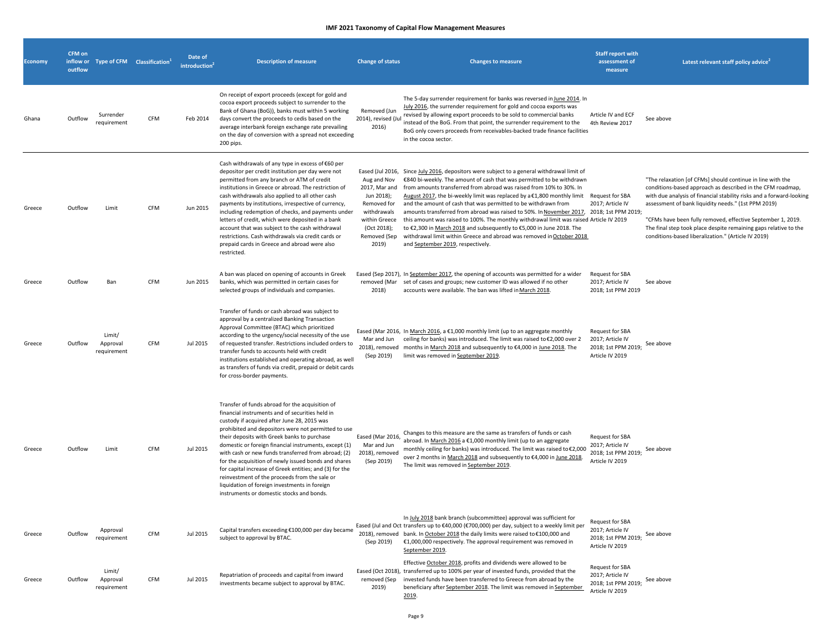| <b>Economy</b> | <b>CFM</b> on<br>outflow | inflow or Type of CFM Classification <sup>1</sup> |            | Date of<br>introduction | <b>Description of measure</b>                                                                                                                                                                                                                                                                                                                                                                                                                                                                                                                                                                                                             | <b>Change of status</b>                                                                                                           | <b>Changes to measure</b>                                                                                                                                                                                                                                                                                                                                                                                                                                                                                                                                                                                                                                                                                                                                            | <b>Staff report with</b><br>assessment of<br>measure                                 | Latest relevant staff policy advice <sup>2</sup>                                                                                                                                                                                                                                                                                                                                                                                                  |
|----------------|--------------------------|---------------------------------------------------|------------|-------------------------|-------------------------------------------------------------------------------------------------------------------------------------------------------------------------------------------------------------------------------------------------------------------------------------------------------------------------------------------------------------------------------------------------------------------------------------------------------------------------------------------------------------------------------------------------------------------------------------------------------------------------------------------|-----------------------------------------------------------------------------------------------------------------------------------|----------------------------------------------------------------------------------------------------------------------------------------------------------------------------------------------------------------------------------------------------------------------------------------------------------------------------------------------------------------------------------------------------------------------------------------------------------------------------------------------------------------------------------------------------------------------------------------------------------------------------------------------------------------------------------------------------------------------------------------------------------------------|--------------------------------------------------------------------------------------|---------------------------------------------------------------------------------------------------------------------------------------------------------------------------------------------------------------------------------------------------------------------------------------------------------------------------------------------------------------------------------------------------------------------------------------------------|
| Ghana          | Outflow                  | Surrender<br>requirement                          | <b>CFM</b> | Feb 2014                | On receipt of export proceeds (except for gold and<br>cocoa export proceeds subject to surrender to the<br>Bank of Ghana (BoG)), banks must within 5 working<br>days convert the proceeds to cedis based on the<br>average interbank foreign exchange rate prevailing<br>on the day of conversion with a spread not exceeding<br>200 pips.                                                                                                                                                                                                                                                                                                | Removed (Jun<br>2014), revised (Jul<br>2016)                                                                                      | The 5-day surrender requirement for banks was reversed in June 2014. In<br>July 2016, the surrender requirement for gold and cocoa exports was<br>revised by allowing export proceeds to be sold to commercial banks<br>instead of the BoG. From that point, the surrender requirement to the<br>BoG only covers proceeds from receivables-backed trade finance facilities<br>in the cocoa sector.                                                                                                                                                                                                                                                                                                                                                                   | Article IV and ECF<br>4th Review 2017                                                | See above                                                                                                                                                                                                                                                                                                                                                                                                                                         |
| Greece         | Outflow                  | Limit                                             | CFM        | Jun 2015                | Cash withdrawals of any type in excess of €60 per<br>depositor per credit institution per day were not<br>permitted from any branch or ATM of credit<br>institutions in Greece or abroad. The restriction of<br>cash withdrawals also applied to all other cash<br>payments by institutions, irrespective of currency,<br>including redemption of checks, and payments under<br>letters of credit, which were deposited in a bank<br>account that was subject to the cash withdrawal<br>restrictions. Cash withdrawals via credit cards or<br>prepaid cards in Greece and abroad were also<br>restricted.                                 | Aug and Nov<br>2017, Mar and<br>Jun 2018);<br>Removed for<br>withdrawals<br>within Greece<br>(Oct 2018);<br>Removed (Sep<br>2019) | Eased (Jul 2016, Since July 2016, depositors were subject to a general withdrawal limit of<br>€840 bi-weekly. The amount of cash that was permitted to be withdrawn<br>from amounts transferred from abroad was raised from 10% to 30%. In<br>August 2017, the bi-weekly limit was replaced by a €1,800 monthly limit<br>and the amount of cash that was permitted to be withdrawn from<br>amounts transferred from abroad was raised to 50%. In November 2017, 2018; 1st PPM 2019;<br>this amount was raised to 100%. The monthly withdrawal limit was raised Article IV 2019<br>to €2,300 in March 2018 and subsequently to €5,000 in June 2018. The<br>withdrawal limit within Greece and abroad was removed in October 2018<br>and September 2019, respectively. | Request for SBA<br>2017; Article IV                                                  | "The relaxation [of CFMs] should continue in line with the<br>conditions-based approach as described in the CFM roadmap,<br>with due analysis of financial stability risks and a forward-looking<br>assessment of bank liquidity needs." (1st PPM 2019)<br>"CFMs have been fully removed, effective September 1, 2019.<br>The final step took place despite remaining gaps relative to the<br>conditions-based liberalization." (Article IV 2019) |
| Greece         | Outflow                  | Ban                                               | CFM        | Jun 2015                | A ban was placed on opening of accounts in Greek<br>banks, which was permitted in certain cases for<br>selected groups of individuals and companies.                                                                                                                                                                                                                                                                                                                                                                                                                                                                                      | 2018)                                                                                                                             | Eased (Sep 2017), In September 2017, the opening of accounts was permitted for a wider<br>removed (Mar set of cases and groups; new customer ID was allowed if no other<br>accounts were available. The ban was lifted in March 2018.                                                                                                                                                                                                                                                                                                                                                                                                                                                                                                                                | Request for SBA<br>2017; Article IV<br>2018; 1st PPM 2019                            | See above                                                                                                                                                                                                                                                                                                                                                                                                                                         |
| Greece         | Outflow                  | Limit/<br>Approval<br>requirement                 | CFM        | Jul 2015                | Transfer of funds or cash abroad was subject to<br>approval by a centralized Banking Transaction<br>Approval Committee (BTAC) which prioritized<br>according to the urgency/social necessity of the use<br>of requested transfer. Restrictions included orders to<br>transfer funds to accounts held with credit<br>institutions established and operating abroad, as well<br>as transfers of funds via credit, prepaid or debit cards<br>for cross-border payments.                                                                                                                                                                      | Mar and Jun<br>(Sep 2019)                                                                                                         | Eased (Mar 2016, In March 2016, a €1,000 monthly limit (up to an aggregate monthly<br>ceiling for banks) was introduced. The limit was raised to €2,000 over 2<br>2018), removed months in March 2018 and subsequently to €4,000 in June 2018. The<br>limit was removed in September 2019.                                                                                                                                                                                                                                                                                                                                                                                                                                                                           | Request for SBA<br>2017; Article IV<br>2018; 1st PPM 2019;<br>Article IV 2019        | See above                                                                                                                                                                                                                                                                                                                                                                                                                                         |
| Greece         | Outflow                  | Limit                                             | CFM        | Jul 2015                | Transfer of funds abroad for the acquisition of<br>financial instruments and of securities held in<br>custody if acquired after June 28, 2015 was<br>prohibited and depositors were not permitted to use<br>their deposits with Greek banks to purchase<br>domestic or foreign financial instruments, except (1)<br>with cash or new funds transferred from abroad; (2)<br>for the acquisition of newly issued bonds and shares<br>for capital increase of Greek entities; and (3) for the<br>reinvestment of the proceeds from the sale or<br>liquidation of foreign investments in foreign<br>instruments or domestic stocks and bonds. | Eased (Mar 2016,<br>Mar and Jun<br>2018), removed<br>(Sep 2019)                                                                   | Changes to this measure are the same as transfers of funds or cash<br>abroad. In March 2016 a €1,000 monthly limit (up to an aggregate<br>monthly ceiling for banks) was introduced. The limit was raised to €2,000<br>over 2 months in March 2018 and subsequently to €4,000 in June 2018.<br>The limit was removed in September 2019.                                                                                                                                                                                                                                                                                                                                                                                                                              | Request for SBA<br>2017; Article IV<br>2018; 1st PPM 2019;<br>Article IV 2019        | See above                                                                                                                                                                                                                                                                                                                                                                                                                                         |
| Greece         | Outflow                  | Approval<br>requirement                           | CFM        | Jul 2015                | Capital transfers exceeding €100,000 per day became<br>subject to approval by BTAC.                                                                                                                                                                                                                                                                                                                                                                                                                                                                                                                                                       | (Sep 2019)                                                                                                                        | In July 2018 bank branch (subcommittee) approval was sufficient for<br>Eased (Jul and Oct transfers up to €40,000 (€700,000) per day, subject to a weekly limit per<br>2018), removed bank. In October 2018 the daily limits were raised to €100,000 and<br>€1,000,000 respectively. The approval requirement was removed in<br>September 2019.                                                                                                                                                                                                                                                                                                                                                                                                                      | <b>Request for SBA</b><br>2017; Article IV<br>2018; 1st PPM 2019;<br>Article IV 2019 | See above                                                                                                                                                                                                                                                                                                                                                                                                                                         |
| Greece         | Outflow                  | Limit/<br>Approval<br>requirement                 | CFM        | Jul 2015                | Repatriation of proceeds and capital from inward<br>investments became subject to approval by BTAC.                                                                                                                                                                                                                                                                                                                                                                                                                                                                                                                                       | removed (Sep<br>2019)                                                                                                             | Effective October 2018, profits and dividends were allowed to be<br>Eased (Oct 2018), transferred up to 100% per year of invested funds, provided that the<br>invested funds have been transferred to Greece from abroad by the<br>beneficiary after September 2018. The limit was removed in September<br>2019.                                                                                                                                                                                                                                                                                                                                                                                                                                                     | Request for SBA<br>2017; Article IV<br>2018; 1st PPM 2019;<br>Article IV 2019        | See above                                                                                                                                                                                                                                                                                                                                                                                                                                         |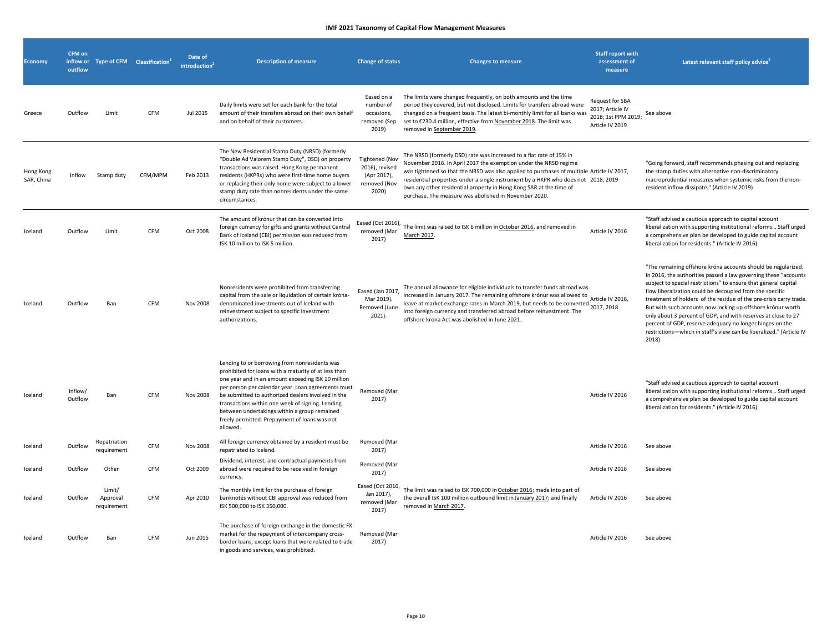| <b>Economy</b>          | CFM on<br>inflow or<br>outflow | Type of CFM Classification <sup>1</sup> |            | Date of<br>introduction <sup>2</sup> | <b>Description of measure</b>                                                                                                                                                                                                                                                                                                                                                                                                            | <b>Change of status</b>                                                         | <b>Changes to measure</b>                                                                                                                                                                                                                                                                                                                                                                                                                                 | <b>Staff report with</b><br>assessment of<br>measure                                 | Latest relevant staff policy advice                                                                                                                                                                                                                                                                                                                                                                                                                                                                                                                                                                               |
|-------------------------|--------------------------------|-----------------------------------------|------------|--------------------------------------|------------------------------------------------------------------------------------------------------------------------------------------------------------------------------------------------------------------------------------------------------------------------------------------------------------------------------------------------------------------------------------------------------------------------------------------|---------------------------------------------------------------------------------|-----------------------------------------------------------------------------------------------------------------------------------------------------------------------------------------------------------------------------------------------------------------------------------------------------------------------------------------------------------------------------------------------------------------------------------------------------------|--------------------------------------------------------------------------------------|-------------------------------------------------------------------------------------------------------------------------------------------------------------------------------------------------------------------------------------------------------------------------------------------------------------------------------------------------------------------------------------------------------------------------------------------------------------------------------------------------------------------------------------------------------------------------------------------------------------------|
| Greece                  | Outflow                        | Limit                                   | <b>CFM</b> | Jul 2015                             | Daily limits were set for each bank for the total<br>amount of their transfers abroad on their own behalf<br>and on behalf of their customers.                                                                                                                                                                                                                                                                                           | Eased on a<br>number of<br>occasions,<br>removed (Sep<br>2019)                  | The limits were changed frequently, on both amounts and the time<br>period they covered, but not disclosed. Limits for transfers abroad were<br>changed on a frequent basis. The latest bi-monthly limit for all banks was<br>set to €230.4 million, effective from November 2018. The limit was<br>removed in September 2019.                                                                                                                            | <b>Request for SBA</b><br>2017; Article IV<br>2018; 1st PPM 2019;<br>Article IV 2019 | See above                                                                                                                                                                                                                                                                                                                                                                                                                                                                                                                                                                                                         |
| Hong Kong<br>SAR, China | Inflow                         | Stamp duty                              | CFM/MPM    | Feb 2013                             | The New Residential Stamp Duty (NRSD) (formerly<br>"Double Ad Valorem Stamp Duty", DSD) on property<br>transactions was raised. Hong Kong permanent<br>residents (HKPRs) who were first-time home buyers<br>or replacing their only home were subject to a lower<br>stamp duty rate than nonresidents under the same<br>circumstances.                                                                                                   | <b>Tightened (Nov</b><br>2016), revised<br>(Apr 2017),<br>removed (Nov<br>2020) | The NRSD (formerly DSD) rate was increased to a flat rate of 15% in<br>November 2016. In April 2017 the exemption under the NRSD regime<br>was tightened so that the NRSD was also applied to purchases of multiple Article IV 2017,<br>residential properties under a single instrument by a HKPR who does not 2018, 2019<br>own any other residential property in Hong Kong SAR at the time of<br>purchase. The measure was abolished in November 2020. |                                                                                      | "Going forward, staff recommends phasing out and replacing<br>the stamp duties with alternative non-discriminatory<br>macroprudential measures when systemic risks from the non-<br>resident inflow dissipate." (Article IV 2019)                                                                                                                                                                                                                                                                                                                                                                                 |
| Iceland                 | Outflow                        | Limit                                   | CFM        | Oct 2008                             | The amount of krónur that can be converted into<br>foreign currency for gifts and grants without Central<br>Bank of Iceland (CBI) permission was reduced from<br>ISK 10 million to ISK 5 million.                                                                                                                                                                                                                                        | Eased (Oct 2016),<br>removed (Mar<br>2017)                                      | The limit was raised to ISK 6 million in October 2016, and removed in<br>March 2017.                                                                                                                                                                                                                                                                                                                                                                      | Article IV 2016                                                                      | "Staff advised a cautious approach to capital account<br>liberalization with supporting institutional reforms Staff urged<br>a comprehensive plan be developed to guide capital account<br>liberalization for residents." (Article IV 2016)                                                                                                                                                                                                                                                                                                                                                                       |
| Iceland                 | Outflow                        | Ban                                     | CFM        | Nov 2008                             | Nonresidents were prohibited from transferring<br>capital from the sale or liquidation of certain króna-<br>denominated investments out of Iceland with<br>reinvestment subject to specific investment<br>authorizations.                                                                                                                                                                                                                | Eased (Jan 2017,<br>Mar 2019).<br>Removed (June<br>2021).                       | The annual allowance for eligible individuals to transfer funds abroad was<br>increased in January 2017. The remaining offshore krónur was allowed to<br>leave at market exchange rates in March 2019, but needs to be converted<br>into foreign currency and transferred abroad before reinvestment. The<br>offshore krona Act was abolished in June 2021.                                                                                               | Article IV 2016,<br>2017, 2018                                                       | "The remaining offshore króna accounts should be regularized.<br>In 2016, the authorities passed a law governing these "accounts<br>subject to special restrictions" to ensure that general capital<br>flow liberalization could be decoupled from the specific<br>treatment of holders of the residue of the pre-crisis carry trade.<br>But with such accounts now locking up offshore krónur worth<br>only about 3 percent of GDP, and with reserves at close to 27<br>percent of GDP, reserve adequacy no longer hinges on the<br>restrictions-which in staff's view can be liberalized." (Article IV<br>2018) |
| Iceland                 | Inflow/<br>Outflow             | Ban                                     | CFM        | <b>Nov 2008</b>                      | Lending to or borrowing from nonresidents was<br>prohibited for loans with a maturity of at less than<br>one year and in an amount exceeding ISK 10 million<br>per person per calendar year. Loan agreements must<br>be submitted to authorized dealers involved in the<br>transactions within one week of signing. Lending<br>between undertakings within a group remained<br>freely permitted. Prepayment of loans was not<br>allowed. | Removed (Mar<br>2017)                                                           |                                                                                                                                                                                                                                                                                                                                                                                                                                                           | Article IV 2016                                                                      | "Staff advised a cautious approach to capital account<br>liberalization with supporting institutional reforms Staff urged<br>a comprehensive plan be developed to guide capital account<br>liberalization for residents." (Article IV 2016)                                                                                                                                                                                                                                                                                                                                                                       |
| Iceland                 | Outflow                        | Repatriation<br>requirement             | CFM        | <b>Nov 2008</b>                      | All foreign currency obtained by a resident must be<br>repatriated to Iceland.                                                                                                                                                                                                                                                                                                                                                           | Removed (Mar<br>2017)                                                           |                                                                                                                                                                                                                                                                                                                                                                                                                                                           | Article IV 2016                                                                      | See above                                                                                                                                                                                                                                                                                                                                                                                                                                                                                                                                                                                                         |
| Iceland                 | Outflow                        | Other                                   | CFM        | Oct 2009                             | Dividend, interest, and contractual payments from<br>abroad were required to be received in foreign<br>currency.                                                                                                                                                                                                                                                                                                                         | Removed (Mar<br>2017)                                                           |                                                                                                                                                                                                                                                                                                                                                                                                                                                           | Article IV 2016                                                                      | See above                                                                                                                                                                                                                                                                                                                                                                                                                                                                                                                                                                                                         |
| Iceland                 | Outflow                        | Limit/<br>Approval<br>requirement       | CFM        | Apr 2010                             | The monthly limit for the purchase of foreign<br>banknotes without CBI approval was reduced from<br>ISK 500,000 to ISK 350,000.                                                                                                                                                                                                                                                                                                          | Eased (Oct 2016,<br>Jan 2017),<br>removed (Mar<br>2017)                         | The limit was raised to ISK 700,000 in October 2016; made into part of<br>the overall ISK 100 million outbound limit in January 2017; and finally<br>removed in March 2017.                                                                                                                                                                                                                                                                               | Article IV 2016                                                                      | See above                                                                                                                                                                                                                                                                                                                                                                                                                                                                                                                                                                                                         |
| Iceland                 | Outflow                        | Ban                                     | CFM        | Jun 2015                             | The purchase of foreign exchange in the domestic FX<br>market for the repayment of intercompany cross-<br>border loans, except loans that were related to trade<br>in goods and services, was prohibited.                                                                                                                                                                                                                                | Removed (Mar<br>2017)                                                           |                                                                                                                                                                                                                                                                                                                                                                                                                                                           | Article IV 2016                                                                      | See above                                                                                                                                                                                                                                                                                                                                                                                                                                                                                                                                                                                                         |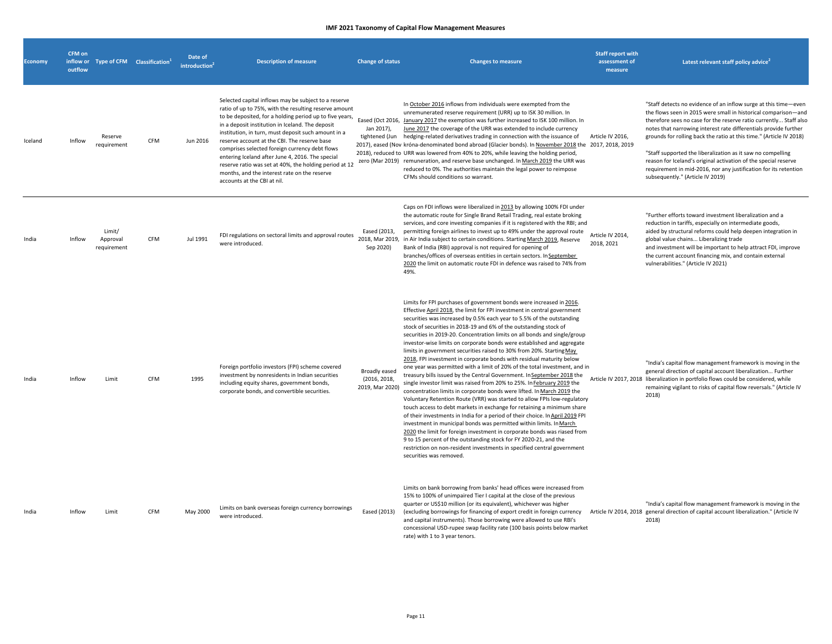| <b>Economy</b> | <b>CFM</b> on<br>outflow | inflow or Type of CFM Classification <sup>1</sup> |            | Date of<br>introduction <sup>2</sup> | <b>Description of measure</b>                                                                                                                                                                                                                                                                                                                                                                                                                                                                                                                                                      | <b>Change of status</b>                                 | <b>Changes to measure</b>                                                                                                                                                                                                                                                                                                                                                                                                                                                                                                                                                                                                                                                                                                                                                                                                                                                                                                                                                                                                                                                                                                                                                                                                                                                                                                                                                                                                                                                             | <b>Staff report with</b><br>assessment of<br>measure | Latest relevant staff policy advice                                                                                                                                                                                                                                                                                                                                                                                                                                                                                                                                                         |
|----------------|--------------------------|---------------------------------------------------|------------|--------------------------------------|------------------------------------------------------------------------------------------------------------------------------------------------------------------------------------------------------------------------------------------------------------------------------------------------------------------------------------------------------------------------------------------------------------------------------------------------------------------------------------------------------------------------------------------------------------------------------------|---------------------------------------------------------|---------------------------------------------------------------------------------------------------------------------------------------------------------------------------------------------------------------------------------------------------------------------------------------------------------------------------------------------------------------------------------------------------------------------------------------------------------------------------------------------------------------------------------------------------------------------------------------------------------------------------------------------------------------------------------------------------------------------------------------------------------------------------------------------------------------------------------------------------------------------------------------------------------------------------------------------------------------------------------------------------------------------------------------------------------------------------------------------------------------------------------------------------------------------------------------------------------------------------------------------------------------------------------------------------------------------------------------------------------------------------------------------------------------------------------------------------------------------------------------|------------------------------------------------------|---------------------------------------------------------------------------------------------------------------------------------------------------------------------------------------------------------------------------------------------------------------------------------------------------------------------------------------------------------------------------------------------------------------------------------------------------------------------------------------------------------------------------------------------------------------------------------------------|
| Iceland        | Inflow                   | Reserve<br>requirement                            | <b>CFM</b> | Jun 2016                             | Selected capital inflows may be subject to a reserve<br>ratio of up to 75%, with the resulting reserve amount<br>to be deposited, for a holding period up to five years,<br>in a deposit institution in Iceland. The deposit<br>institution, in turn, must deposit such amount in a<br>reserve account at the CBI. The reserve base<br>comprises selected foreign currency debt flows<br>entering Iceland after June 4, 2016. The special<br>reserve ratio was set at 40%, the holding period at 12<br>months, and the interest rate on the reserve<br>accounts at the CBI at nil. | Jan 2017),                                              | In October 2016 inflows from individuals were exempted from the<br>unremunerated reserve requirement (URR) up to ISK 30 million. In<br>Eased (Oct 2016, January 2017 the exemption was further increased to ISK 100 million. In<br>June 2017 the coverage of the URR was extended to include currency<br>tightened (Jun hedging-related derivatives trading in connection with the issuance of<br>2017), eased (Nov króna-denominated bond abroad (Glacier bonds). In November 2018 the 2017, 2018, 2019<br>2018), reduced to URR was lowered from 40% to 20%, while leaving the holding period,<br>zero (Mar 2019) remuneration, and reserve base unchanged. In March 2019 the URR was<br>reduced to 0%. The authorities maintain the legal power to reimpose<br>CFMs should conditions so warrant.                                                                                                                                                                                                                                                                                                                                                                                                                                                                                                                                                                                                                                                                                  | Article IV 2016,                                     | "Staff detects no evidence of an inflow surge at this time-even<br>the flows seen in 2015 were small in historical comparison-and<br>therefore sees no case for the reserve ratio currently Staff also<br>notes that narrowing interest rate differentials provide further<br>grounds for rolling back the ratio at this time." (Article IV 2018)<br>"Staff supported the liberalization as it saw no compelling<br>reason for Iceland's original activation of the special reserve<br>requirement in mid-2016, nor any justification for its retention<br>subsequently." (Article IV 2019) |
| India          | Inflow                   | Limit/<br>Approval<br>requirement                 | CFM        | Jul 1991                             | FDI regulations on sectoral limits and approval routes<br>were introduced.                                                                                                                                                                                                                                                                                                                                                                                                                                                                                                         | Eased (2013,<br>Sep 2020)                               | Caps on FDI inflows were liberalized in 2013 by allowing 100% FDI under<br>the automatic route for Single Brand Retail Trading, real estate broking<br>services, and core investing companies if it is registered with the RBI; and<br>permitting foreign airlines to invest up to 49% under the approval route<br>2018, Mar 2019, in Air India subject to certain conditions. Starting March 2019, Reserve<br>Bank of India (RBI) approval is not required for opening of<br>branches/offices of overseas entities in certain sectors. In September<br>2020 the limit on automatic route FDI in defence was raised to 74% from<br>49%.                                                                                                                                                                                                                                                                                                                                                                                                                                                                                                                                                                                                                                                                                                                                                                                                                                               | Article IV 2014,<br>2018, 2021                       | "Further efforts toward investment liberalization and a<br>reduction in tariffs, especially on intermediate goods,<br>aided by structural reforms could help deepen integration in<br>global value chains Liberalizing trade<br>and investment will be important to help attract FDI, improve<br>the current account financing mix, and contain external<br>vulnerabilities." (Article IV 2021)                                                                                                                                                                                             |
| India          | Inflow                   | Limit                                             | <b>CFM</b> | 1995                                 | Foreign portfolio investors (FPI) scheme covered<br>investment by nonresidents in Indian securities<br>including equity shares, government bonds,<br>corporate bonds, and convertible securities.                                                                                                                                                                                                                                                                                                                                                                                  | <b>Broadly eased</b><br>(2016, 2018,<br>2019, Mar 2020) | Limits for FPI purchases of government bonds were increased in 2016.<br>Effective April 2018, the limit for FPI investment in central government<br>securities was increased by 0.5% each year to 5.5% of the outstanding<br>stock of securities in 2018-19 and 6% of the outstanding stock of<br>securities in 2019-20. Concentration limits on all bonds and single/group<br>investor-wise limits on corporate bonds were established and aggregate<br>limits in government securities raised to 30% from 20%. Starting May<br>2018, FPI investment in corporate bonds with residual maturity below<br>one year was permitted with a limit of 20% of the total investment, and in<br>treasury bills issued by the Central Government. In September 2018 the<br>single investor limit was raised from 20% to 25%. In February 2019 the<br>concentration limits in corporate bonds were lifted. In March 2019 the<br>Voluntary Retention Route (VRR) was started to allow FPIs low-regulatory<br>touch access to debt markets in exchange for retaining a minimum share<br>of their investments in India for a period of their choice. In April 2019 FPI<br>investment in municipal bonds was permitted within limits. In March<br>2020 the limit for foreign investment in corporate bonds was riased from<br>9 to 15 percent of the outstanding stock for FY 2020-21, and the<br>restriction on non-resident investments in specified central government<br>securities was removed. |                                                      | "India's capital flow management framework is moving in the<br>general direction of capital account liberalization Further<br>Article IV 2017, 2018 liberalization in portfolio flows could be considered, while<br>remaining vigilant to risks of capital flow reversals." (Article IV<br>2018)                                                                                                                                                                                                                                                                                            |
| India          | Inflow                   | I imit                                            | <b>CFM</b> | May 2000                             | Limits on bank overseas foreign currency borrowings<br>were introduced.                                                                                                                                                                                                                                                                                                                                                                                                                                                                                                            | Eased (2013)                                            | Limits on bank borrowing from banks' head offices were increased from<br>15% to 100% of unimpaired Tier I capital at the close of the previous<br>quarter or US\$10 million (or its equivalent), whichever was higher<br>(excluding borrowings for financing of export credit in foreign currency<br>and capital instruments). Those borrowing were allowed to use RBI's<br>concessional USD-rupee swap facility rate (100 basis points below market<br>rate) with 1 to 3 year tenors.                                                                                                                                                                                                                                                                                                                                                                                                                                                                                                                                                                                                                                                                                                                                                                                                                                                                                                                                                                                                |                                                      | "India's capital flow management framework is moving in the<br>Article IV 2014, 2018 general direction of capital account liberalization." (Article IV<br>2018)                                                                                                                                                                                                                                                                                                                                                                                                                             |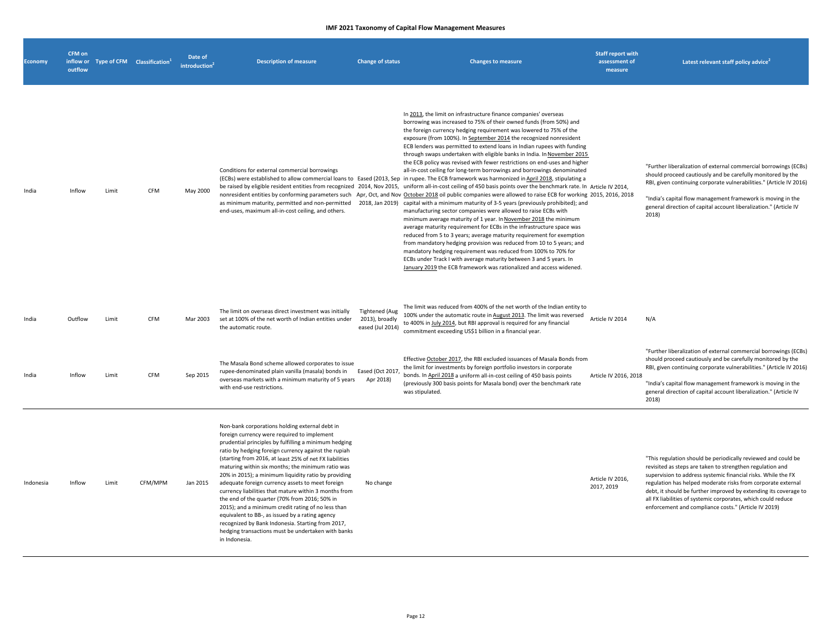| <b>Economy</b> | CFM on<br>inflow or<br>outflow |       | Type of CFM Classification <sup>1</sup> | Date of<br>introduction | <b>Description of measure</b>                                                                                                                                                                                                                                                                                                                                                                                                                                                                                                                                                                                                                                                                                                                                                             | <b>Change of status</b>                                     | <b>Changes to measure</b>                                                                                                                                                                                                                                                                                                                                                                                                                                                                                                                                                                                                                                                                                                                                                                                                                                                                                                                                                                                                                                                                                                                                                                                                                                                                                                                                                                                                                                                                                                                                                                                                                                                                                                                                              | <b>Staff report with</b><br>assessment of<br>measure | Latest relevant staff policy advice <sup>2</sup>                                                                                                                                                                                                                                                                                                                                                                                                         |
|----------------|--------------------------------|-------|-----------------------------------------|-------------------------|-------------------------------------------------------------------------------------------------------------------------------------------------------------------------------------------------------------------------------------------------------------------------------------------------------------------------------------------------------------------------------------------------------------------------------------------------------------------------------------------------------------------------------------------------------------------------------------------------------------------------------------------------------------------------------------------------------------------------------------------------------------------------------------------|-------------------------------------------------------------|------------------------------------------------------------------------------------------------------------------------------------------------------------------------------------------------------------------------------------------------------------------------------------------------------------------------------------------------------------------------------------------------------------------------------------------------------------------------------------------------------------------------------------------------------------------------------------------------------------------------------------------------------------------------------------------------------------------------------------------------------------------------------------------------------------------------------------------------------------------------------------------------------------------------------------------------------------------------------------------------------------------------------------------------------------------------------------------------------------------------------------------------------------------------------------------------------------------------------------------------------------------------------------------------------------------------------------------------------------------------------------------------------------------------------------------------------------------------------------------------------------------------------------------------------------------------------------------------------------------------------------------------------------------------------------------------------------------------------------------------------------------------|------------------------------------------------------|----------------------------------------------------------------------------------------------------------------------------------------------------------------------------------------------------------------------------------------------------------------------------------------------------------------------------------------------------------------------------------------------------------------------------------------------------------|
| India          | Inflow                         | Limit | CFM                                     | May 2000                | Conditions for external commercial borrowings<br>as minimum maturity, permitted and non-permitted<br>end-uses, maximum all-in-cost ceiling, and others.                                                                                                                                                                                                                                                                                                                                                                                                                                                                                                                                                                                                                                   |                                                             | In 2013, the limit on infrastructure finance companies' overseas<br>borrowing was increased to 75% of their owned funds (from 50%) and<br>the foreign currency hedging requirement was lowered to 75% of the<br>exposure (from 100%). In September 2014 the recognized nonresident<br>ECB lenders was permitted to extend loans in Indian rupees with funding<br>through swaps undertaken with eligible banks in India. In November 2015<br>the ECB policy was revised with fewer restrictions on end-uses and higher<br>all-in-cost ceiling for long-term borrowings and borrowings denominated<br>(ECBs) were established to allow commercial loans to Eased (2013, Sep in rupee. The ECB framework was harmonized in April 2018, stipulating a<br>be raised by eligible resident entities from recognized 2014, Nov 2015, uniform all-in-cost ceiling of 450 basis points over the benchmark rate. In Article IV 2014,<br>nonresident entities by conforming parameters such Apr, Oct, and Nov October 2018 oil public companies were allowed to raise ECB for working 2015, 2016, 2018<br>2018, Jan 2019) capital with a minimum maturity of 3-5 years (previously prohibited); and<br>manufacturing sector companies were allowed to raise ECBs with<br>minimum average maturity of 1 year. In November 2018 the minimum<br>average maturity requirement for ECBs in the infrastructure space was<br>reduced from 5 to 3 years; average maturity requirement for exemption<br>from mandatory hedging provision was reduced from 10 to 5 years; and<br>mandatory hedging requirement was reduced from 100% to 70% for<br>ECBs under Track I with average maturity between 3 and 5 years. In<br>January 2019 the ECB framework was rationalized and access widened. |                                                      | "Further liberalization of external commercial borrowings (ECBs)<br>should proceed cautiously and be carefully monitored by the<br>RBI, given continuing corporate vulnerabilities." (Article IV 2016)<br>"India's capital flow management framework is moving in the<br>general direction of capital account liberalization." (Article IV<br>2018)                                                                                                      |
| India          | Outflow                        | Limit | <b>CFM</b>                              | Mar 2003                | The limit on overseas direct investment was initially<br>set at 100% of the net worth of Indian entities under<br>the automatic route.                                                                                                                                                                                                                                                                                                                                                                                                                                                                                                                                                                                                                                                    | <b>Tightened (Aug</b><br>2013), broadly<br>eased (Jul 2014) | The limit was reduced from 400% of the net worth of the Indian entity to<br>100% under the automatic route in August 2013. The limit was reversed<br>to 400% in July 2014, but RBI approval is required for any financial<br>commitment exceeding US\$1 billion in a financial year.                                                                                                                                                                                                                                                                                                                                                                                                                                                                                                                                                                                                                                                                                                                                                                                                                                                                                                                                                                                                                                                                                                                                                                                                                                                                                                                                                                                                                                                                                   | Article IV 2014                                      | N/A                                                                                                                                                                                                                                                                                                                                                                                                                                                      |
| India          | Inflow                         | Limit | CFM                                     | Sep 2015                | The Masala Bond scheme allowed corporates to issue<br>rupee-denominated plain vanilla (masala) bonds in<br>overseas markets with a minimum maturity of 5 years<br>with end-use restrictions.                                                                                                                                                                                                                                                                                                                                                                                                                                                                                                                                                                                              | Eased (Oct 2017<br>Apr 2018)                                | Effective October 2017, the RBI excluded issuances of Masala Bonds from<br>the limit for investments by foreign portfolio investors in corporate<br>bonds. In April 2018 a uniform all-in-cost ceiling of 450 basis points<br>(previously 300 basis points for Masala bond) over the benchmark rate<br>was stipulated.                                                                                                                                                                                                                                                                                                                                                                                                                                                                                                                                                                                                                                                                                                                                                                                                                                                                                                                                                                                                                                                                                                                                                                                                                                                                                                                                                                                                                                                 | Article IV 2016, 2018                                | "Further liberalization of external commercial borrowings (ECBs)<br>should proceed cautiously and be carefully monitored by the<br>RBI, given continuing corporate vulnerabilities." (Article IV 2016)<br>"India's capital flow management framework is moving in the<br>general direction of capital account liberalization." (Article IV<br>2018)                                                                                                      |
| Indonesia      | Inflow                         | Limit | CFM/MPM                                 | Jan 2015                | Non-bank corporations holding external debt in<br>foreign currency were required to implement<br>prudential principles by fulfilling a minimum hedging<br>ratio by hedging foreign currency against the rupiah<br>(starting from 2016, at least 25% of net FX liabilities<br>maturing within six months; the minimum ratio was<br>20% in 2015); a minimum liquidity ratio by providing<br>adequate foreign currency assets to meet foreign<br>currency liabilities that mature within 3 months from<br>the end of the quarter (70% from 2016; 50% in<br>2015); and a minimum credit rating of no less than<br>equivalent to BB-, as issued by a rating agency<br>recognized by Bank Indonesia. Starting from 2017,<br>hedging transactions must be undertaken with banks<br>in Indonesia. | No change                                                   |                                                                                                                                                                                                                                                                                                                                                                                                                                                                                                                                                                                                                                                                                                                                                                                                                                                                                                                                                                                                                                                                                                                                                                                                                                                                                                                                                                                                                                                                                                                                                                                                                                                                                                                                                                        | Article IV 2016,<br>2017, 2019                       | "This regulation should be periodically reviewed and could be<br>revisited as steps are taken to strengthen regulation and<br>supervision to address systemic financial risks. While the FX<br>regulation has helped moderate risks from corporate external<br>debt, it should be further improved by extending its coverage to<br>all FX liabilities of systemic corporates, which could reduce<br>enforcement and compliance costs." (Article IV 2019) |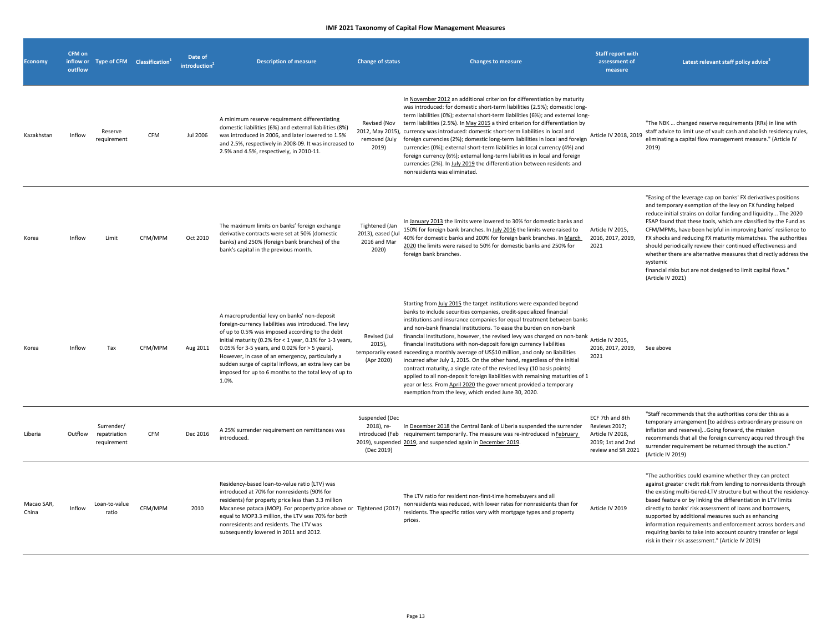| <b>Economy</b>      | CFM on<br>outflow | inflow or Type of CFM Classification <sup>1</sup> |            | Date of<br>introduction <sup>2</sup> | <b>Description of measure</b>                                                                                                                                                                                                                                                                                                                                                                                                                         | <b>Change of status</b>                                      | <b>Changes to measure</b>                                                                                                                                                                                                                                                                                                                                                                                                                                                                                                                                                                                                                                                                                                                                                                                                                                                                                                             | <b>Staff report with</b><br>assessment of<br>measure                                            | Latest relevant staff policy advice <sup>2</sup>                                                                                                                                                                                                                                                                                                                                                                                                                                                                                                                                                                                           |
|---------------------|-------------------|---------------------------------------------------|------------|--------------------------------------|-------------------------------------------------------------------------------------------------------------------------------------------------------------------------------------------------------------------------------------------------------------------------------------------------------------------------------------------------------------------------------------------------------------------------------------------------------|--------------------------------------------------------------|---------------------------------------------------------------------------------------------------------------------------------------------------------------------------------------------------------------------------------------------------------------------------------------------------------------------------------------------------------------------------------------------------------------------------------------------------------------------------------------------------------------------------------------------------------------------------------------------------------------------------------------------------------------------------------------------------------------------------------------------------------------------------------------------------------------------------------------------------------------------------------------------------------------------------------------|-------------------------------------------------------------------------------------------------|--------------------------------------------------------------------------------------------------------------------------------------------------------------------------------------------------------------------------------------------------------------------------------------------------------------------------------------------------------------------------------------------------------------------------------------------------------------------------------------------------------------------------------------------------------------------------------------------------------------------------------------------|
| Kazakhstan          | Inflow            | Reserve<br>requirement                            | CFM        | <b>Jul 2006</b>                      | A minimum reserve requirement differentiating<br>domestic liabilities (6%) and external liabilities (8%)<br>was introduced in 2006, and later lowered to 1.5%<br>and 2.5%, respectively in 2008-09. It was increased to<br>2.5% and 4.5%, respectively, in 2010-11.                                                                                                                                                                                   | Revised (Nov<br>2019)                                        | In November 2012 an additional criterion for differentiation by maturity<br>was introduced: for domestic short-term liabilities (2.5%); domestic long-<br>term liabilities (0%); external short-term liabilities (6%); and external long-<br>term liabilities (2.5%). In May 2015 a third criterion for differentiation by<br>2012, May 2015), currency was introduced: domestic short-term liabilities in local and<br>removed (July foreign currencies (2%); domestic long-term liabilities in local and foreign<br>currencies (0%); external short-term liabilities in local currency (4%) and<br>foreign currency (6%); external long-term liabilities in local and foreign<br>currencies (2%). In July 2019 the differentiation between residents and<br>nonresidents was eliminated.                                                                                                                                            | Article IV 2018, 2019                                                                           | "The NBK  changed reserve requirements (RRs) in line with<br>staff advice to limit use of vault cash and abolish residency rules,<br>eliminating a capital flow management measure." (Article IV<br>2019)                                                                                                                                                                                                                                                                                                                                                                                                                                  |
| Korea               | Inflow            | Limit                                             | CFM/MPM    | Oct 2010                             | The maximum limits on banks' foreign exchange<br>derivative contracts were set at 50% (domestic<br>banks) and 250% (foreign bank branches) of the<br>bank's capital in the previous month.                                                                                                                                                                                                                                                            | Tightened (Jan<br>2013), eased (Jul<br>2016 and Mar<br>2020) | In January 2013 the limits were lowered to 30% for domestic banks and<br>150% for foreign bank branches. In July 2016 the limits were raised to<br>40% for domestic banks and 200% for foreign bank branches. In March<br>2020 the limits were raised to 50% for domestic banks and 250% for<br>foreign bank branches.                                                                                                                                                                                                                                                                                                                                                                                                                                                                                                                                                                                                                | Article IV 2015,<br>2016, 2017, 2019,<br>2021                                                   | "Easing of the leverage cap on banks' FX derivatives positions<br>and temporary exemption of the levy on FX funding helped<br>reduce initial strains on dollar funding and liquidity The 2020<br>FSAP found that these tools, which are classified by the Fund as<br>CFM/MPMs, have been helpful in improving banks' resilience to<br>FX shocks and reducing FX maturity mismatches. The authorities<br>should periodically review their continued effectiveness and<br>whether there are alternative measures that directly address the<br>systemic<br>financial risks but are not designed to limit capital flows."<br>(Article IV 2021) |
| Korea               | Inflow            | Tax                                               | CFM/MPM    | Aug 2011                             | A macroprudential levy on banks' non-deposit<br>foreign-currency liabilities was introduced. The levy<br>of up to 0.5% was imposed according to the debt<br>initial maturity (0.2% for < 1 year, 0.1% for 1-3 years,<br>0.05% for 3-5 years, and 0.02% for > 5 years).<br>However, in case of an emergency, particularly a<br>sudden surge of capital inflows, an extra levy can be<br>imposed for up to 6 months to the total levy of up to<br>1.0%. | Revised (Jul<br>2015),<br>(Apr 2020)                         | Starting from July 2015 the target institutions were expanded beyond<br>banks to include securities companies, credit-specialized financial<br>institutions and insurance companies for equal treatment between banks<br>and non-bank financial institutions. To ease the burden on non-bank<br>financial institutions, however, the revised levy was charged on non-bank<br>Article IV 2015,<br>financial institutions with non-deposit foreign currency liabilities<br>temporarily eased exceeding a monthly average of US\$10 million, and only on liabilities<br>incurred after July 1, 2015. On the other hand, regardless of the initial<br>contract maturity, a single rate of the revised levy (10 basis points)<br>applied to all non-deposit foreign liabilities with remaining maturities of 1<br>year or less. From April 2020 the government provided a temporary<br>exemption from the levy, which ended June 30, 2020. | 2016, 2017, 2019,<br>2021                                                                       | See above                                                                                                                                                                                                                                                                                                                                                                                                                                                                                                                                                                                                                                  |
| Liberia             | Outflow           | Surrender/<br>repatriation<br>requirement         | <b>CFM</b> | Dec 2016                             | A 25% surrender requirement on remittances was<br>introduced.                                                                                                                                                                                                                                                                                                                                                                                         | Suspended (Dec<br>2018), re-<br>(Dec 2019)                   | In December 2018 the Central Bank of Liberia suspended the surrender<br>introduced (Feb requirement temporarily. The measure was re-introduced in February<br>2019), suspended 2019, and suspended again in December 2019.                                                                                                                                                                                                                                                                                                                                                                                                                                                                                                                                                                                                                                                                                                            | ECF 7th and 8th<br>Reviews 2017;<br>Article IV 2018,<br>2019; 1st and 2nd<br>review and SR 2021 | "Staff recommends that the authorities consider this as a<br>temporary arrangement [to address extraordinary pressure on<br>inflation and reserves]Going forward, the mission<br>recommends that all the foreign currency acquired through the<br>surrender requirement be returned through the auction."<br>(Article IV 2019)                                                                                                                                                                                                                                                                                                             |
| Macao SAR,<br>China | Inflow            | Loan-to-value<br>ratio                            | CFM/MPM    | 2010                                 | Residency-based loan-to-value ratio (LTV) was<br>introduced at 70% for nonresidents (90% for<br>residents) for property price less than 3.3 million<br>Macanese pataca (MOP). For property price above or Tightened (2017)<br>equal to MOP3.3 million, the LTV was 70% for both<br>nonresidents and residents. The LTV was<br>subsequently lowered in 2011 and 2012.                                                                                  |                                                              | The LTV ratio for resident non-first-time homebuyers and all<br>nonresidents was reduced, with lower rates for nonresidents than for<br>residents. The specific ratios vary with mortgage types and property<br>prices.                                                                                                                                                                                                                                                                                                                                                                                                                                                                                                                                                                                                                                                                                                               | Article IV 2019                                                                                 | "The authorities could examine whether they can protect<br>against greater credit risk from lending to nonresidents through<br>the existing multi-tiered-LTV structure but without the residency<br>based feature or by linking the differentiation in LTV limits<br>directly to banks' risk assessment of loans and borrowers,<br>supported by additional measures such as enhancing<br>information requirements and enforcement across borders and<br>requiring banks to take into account country transfer or legal<br>risk in their risk assessment." (Article IV 2019)                                                                |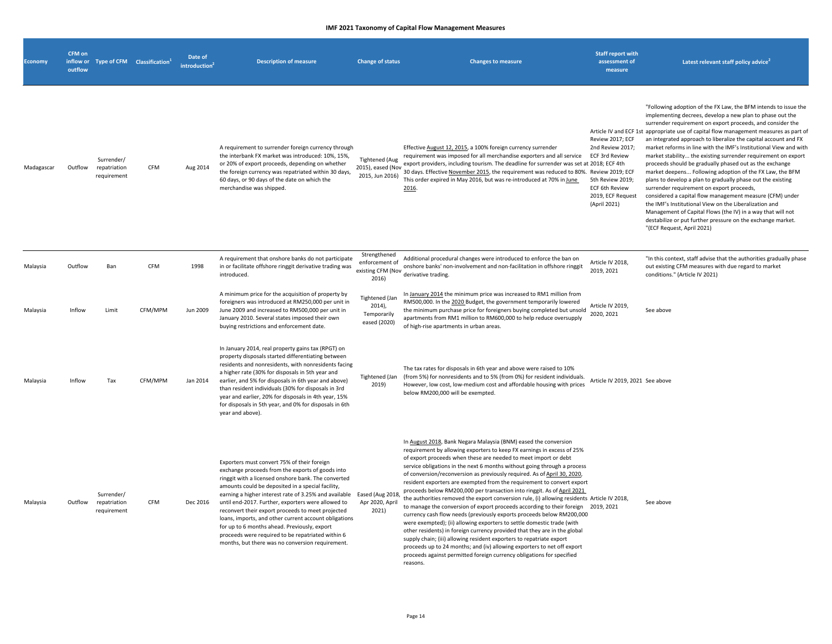| <b>Economy</b> | <b>CFM on</b><br>inflow or<br>outflow | Type of CFM Classification <sup>1</sup>   |            | Date of<br>introduction <sup>2</sup> | <b>Description of measure</b>                                                                                                                                                                                                                                                                                                                                                                                                                                                                                                                                                                     | <b>Change of status</b>                                      | <b>Changes to measure</b>                                                                                                                                                                                                                                                                                                                                                                                                                                                                                                                                                                                                                                                                                                                                                                                                                                                                                                                                                                                                                                                                                                                                                             | <b>Staff report with</b><br>assessment of<br>measure                                                                                     | Latest relevant staff policy advice <sup>4</sup>                                                                                                                                                                                                                                                                                                                                                                                                                                                                                                                                                                                                                                                                                                                                                                                                                                                                                                                                                                  |
|----------------|---------------------------------------|-------------------------------------------|------------|--------------------------------------|---------------------------------------------------------------------------------------------------------------------------------------------------------------------------------------------------------------------------------------------------------------------------------------------------------------------------------------------------------------------------------------------------------------------------------------------------------------------------------------------------------------------------------------------------------------------------------------------------|--------------------------------------------------------------|---------------------------------------------------------------------------------------------------------------------------------------------------------------------------------------------------------------------------------------------------------------------------------------------------------------------------------------------------------------------------------------------------------------------------------------------------------------------------------------------------------------------------------------------------------------------------------------------------------------------------------------------------------------------------------------------------------------------------------------------------------------------------------------------------------------------------------------------------------------------------------------------------------------------------------------------------------------------------------------------------------------------------------------------------------------------------------------------------------------------------------------------------------------------------------------|------------------------------------------------------------------------------------------------------------------------------------------|-------------------------------------------------------------------------------------------------------------------------------------------------------------------------------------------------------------------------------------------------------------------------------------------------------------------------------------------------------------------------------------------------------------------------------------------------------------------------------------------------------------------------------------------------------------------------------------------------------------------------------------------------------------------------------------------------------------------------------------------------------------------------------------------------------------------------------------------------------------------------------------------------------------------------------------------------------------------------------------------------------------------|
| Madagascar     | Outflow                               | Surrender/<br>repatriation<br>requirement | CFM        | Aug 2014                             | A requirement to surrender foreign currency through<br>the interbank FX market was introduced: 10%, 15%,<br>or 20% of export proceeds, depending on whether<br>the foreign currency was repatriated within 30 days,<br>60 days, or 90 days of the date on which the<br>merchandise was shipped.                                                                                                                                                                                                                                                                                                   | Tightened (Aug<br>2015), eased (Nov<br>2015, Jun 2016)       | Effective August 12, 2015, a 100% foreign currency surrender<br>requirement was imposed for all merchandise exporters and all service<br>export providers, including tourism. The deadline for surrender was set at 2018; ECF 4th<br>30 days. Effective November 2015, the requirement was reduced to 80%. Review 2019; ECF<br>This order expired in May 2016, but was re-introduced at 70% in June<br>2016.                                                                                                                                                                                                                                                                                                                                                                                                                                                                                                                                                                                                                                                                                                                                                                          | Review 2017; ECF<br>2nd Review 2017;<br><b>ECF 3rd Review</b><br>5th Review 2019;<br>ECF 6th Review<br>2019, ECF Request<br>(April 2021) | "Following adoption of the FX Law, the BFM intends to issue the<br>implementing decrees, develop a new plan to phase out the<br>surrender requirement on export proceeds, and consider the<br>Article IV and ECF 1st appropriate use of capital flow management measures as part of<br>an integrated approach to liberalize the capital account and FX<br>market reforms in line with the IMF's Institutional View and with<br>market stability the existing surrender requirement on export<br>proceeds should be gradually phased out as the exchange<br>market deepens Following adoption of the FX Law, the BFM<br>plans to develop a plan to gradually phase out the existing<br>surrender requirement on export proceeds,<br>considered a capital flow management measure (CFM) under<br>the IMF's Institutional View on the Liberalization and<br>Management of Capital Flows (the IV) in a way that will not<br>destabilize or put further pressure on the exchange market.<br>"(ECF Request, April 2021) |
| Malaysia       | Outflow                               | Ban                                       | <b>CFM</b> | 1998                                 | A requirement that onshore banks do not participate<br>in or facilitate offshore ringgit derivative trading was<br>introduced.                                                                                                                                                                                                                                                                                                                                                                                                                                                                    | Strengthened<br>enforcement of<br>existing CFM (Nov<br>2016) | Additional procedural changes were introduced to enforce the ban on<br>onshore banks' non-involvement and non-facilitation in offshore ringgit<br>derivative trading.                                                                                                                                                                                                                                                                                                                                                                                                                                                                                                                                                                                                                                                                                                                                                                                                                                                                                                                                                                                                                 | Article IV 2018,<br>2019, 2021                                                                                                           | "In this context, staff advise that the authorities gradually phase<br>out existing CFM measures with due regard to market<br>conditions." (Article IV 2021)                                                                                                                                                                                                                                                                                                                                                                                                                                                                                                                                                                                                                                                                                                                                                                                                                                                      |
| Malaysia       | Inflow                                | Limit                                     | CFM/MPM    | Jun 2009                             | A minimum price for the acquisition of property by<br>foreigners was introduced at RM250,000 per unit in<br>June 2009 and increased to RM500,000 per unit in<br>January 2010. Several states imposed their own<br>buying restrictions and enforcement date.                                                                                                                                                                                                                                                                                                                                       | Tightened (Jan<br>2014),<br>Temporarily<br>eased (2020)      | In January 2014 the minimum price was increased to RM1 million from<br>RM500,000. In the 2020 Budget, the government temporarily lowered<br>the minimum purchase price for foreigners buying completed but unsold<br>apartments from RM1 million to RM600,000 to help reduce oversupply<br>of high-rise apartments in urban areas.                                                                                                                                                                                                                                                                                                                                                                                                                                                                                                                                                                                                                                                                                                                                                                                                                                                    | Article IV 2019,<br>2020, 2021                                                                                                           | See above                                                                                                                                                                                                                                                                                                                                                                                                                                                                                                                                                                                                                                                                                                                                                                                                                                                                                                                                                                                                         |
| Malaysia       | Inflow                                | Tax                                       | CFM/MPM    | Jan 2014                             | In January 2014, real property gains tax (RPGT) on<br>property disposals started differentiating between<br>residents and nonresidents, with nonresidents facing<br>a higher rate (30% for disposals in 5th year and<br>earlier, and 5% for disposals in 6th year and above)<br>than resident individuals (30% for disposals in 3rd<br>year and earlier, 20% for disposals in 4th year, 15%<br>for disposals in 5th year, and 0% for disposals in 6th<br>year and above).                                                                                                                         | Tightened (Jan<br>2019)                                      | The tax rates for disposals in 6th year and above were raised to 10%<br>(from 5%) for nonresidents and to 5% (from 0%) for resident individuals.<br>However, low cost, low-medium cost and affordable housing with prices<br>below RM200,000 will be exempted.                                                                                                                                                                                                                                                                                                                                                                                                                                                                                                                                                                                                                                                                                                                                                                                                                                                                                                                        | Article IV 2019, 2021 See above                                                                                                          |                                                                                                                                                                                                                                                                                                                                                                                                                                                                                                                                                                                                                                                                                                                                                                                                                                                                                                                                                                                                                   |
| Malaysia       | Outflow                               | Surrender/<br>repatriation<br>requirement | CFM        | Dec 2016                             | Exporters must convert 75% of their foreign<br>exchange proceeds from the exports of goods into<br>ringgit with a licensed onshore bank. The converted<br>amounts could be deposited in a special facility,<br>earning a higher interest rate of 3.25% and available<br>until end-2017. Further, exporters were allowed to<br>reconvert their export proceeds to meet projected<br>loans, imports, and other current account obligations<br>for up to 6 months ahead. Previously, export<br>proceeds were required to be repatriated within 6<br>months, but there was no conversion requirement. | Eased (Aug 2018,<br>Apr 2020, April<br>2021)                 | In August 2018, Bank Negara Malaysia (BNM) eased the conversion<br>requirement by allowing exporters to keep FX earnings in excess of 25%<br>of export proceeds when these are needed to meet import or debt<br>service obligations in the next 6 months without going through a process<br>of conversion/reconversion as previously required. As of April 30, 2020,<br>resident exporters are exempted from the requirement to convert export<br>proceeds below RM200,000 per transaction into ringgit. As of April 2021<br>the authorities removed the export conversion rule, (i) allowing residents Article IV 2018,<br>to manage the conversion of export proceeds according to their foreign 2019, 2021<br>currency cash flow needs (previously exports proceeds below RM200,000<br>were exempted); (ii) allowing exporters to settle domestic trade (with<br>other residents) in foreign currency provided that they are in the global<br>supply chain; (iii) allowing resident exporters to repatriate export<br>proceeds up to 24 months; and (iv) allowing exporters to net off export<br>proceeds against permitted foreign currency obligations for specified<br>reasons. |                                                                                                                                          | See above                                                                                                                                                                                                                                                                                                                                                                                                                                                                                                                                                                                                                                                                                                                                                                                                                                                                                                                                                                                                         |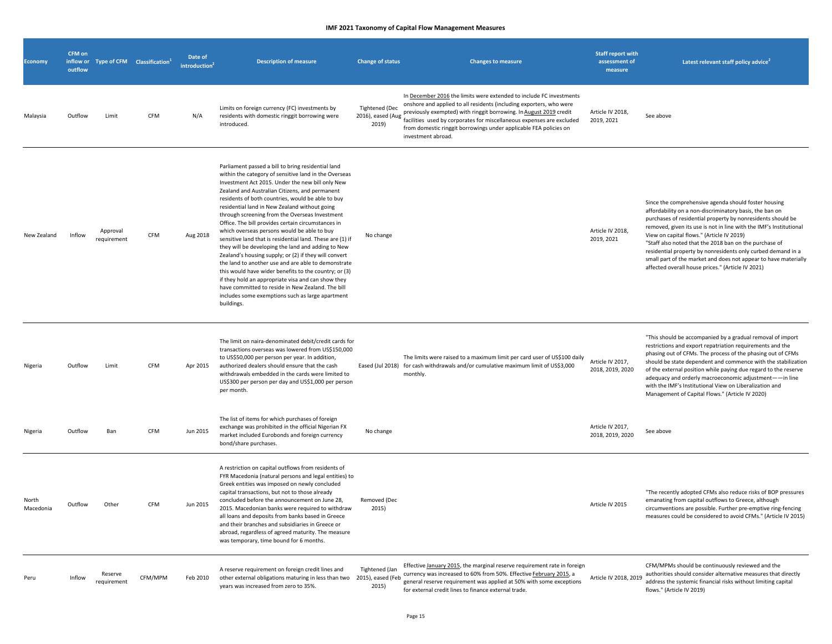| <b>Economy</b>     | <b>CFM on</b><br>outflow | inflow or Type of CFM Classification <sup>1</sup> |            | Date of<br>introduction <sup>2</sup> | <b>Description of measure</b>                                                                                                                                                                                                                                                                                                                                                                                                                                                                                                                                                                                                                                                                                                                                                                                                                                                                                                                           | <b>Change of status</b>                             | <b>Changes to measure</b>                                                                                                                                                                                                                                                                                                                                                            | <b>Staff report with</b><br>assessment of<br>measure | Latest relevant staff policy advice <sup>2</sup>                                                                                                                                                                                                                                                                                                                                                                                                                                                                                                    |
|--------------------|--------------------------|---------------------------------------------------|------------|--------------------------------------|---------------------------------------------------------------------------------------------------------------------------------------------------------------------------------------------------------------------------------------------------------------------------------------------------------------------------------------------------------------------------------------------------------------------------------------------------------------------------------------------------------------------------------------------------------------------------------------------------------------------------------------------------------------------------------------------------------------------------------------------------------------------------------------------------------------------------------------------------------------------------------------------------------------------------------------------------------|-----------------------------------------------------|--------------------------------------------------------------------------------------------------------------------------------------------------------------------------------------------------------------------------------------------------------------------------------------------------------------------------------------------------------------------------------------|------------------------------------------------------|-----------------------------------------------------------------------------------------------------------------------------------------------------------------------------------------------------------------------------------------------------------------------------------------------------------------------------------------------------------------------------------------------------------------------------------------------------------------------------------------------------------------------------------------------------|
| Malaysia           | Outflow                  | Limit                                             | <b>CFM</b> | N/A                                  | Limits on foreign currency (FC) investments by<br>residents with domestic ringgit borrowing were<br>introduced.                                                                                                                                                                                                                                                                                                                                                                                                                                                                                                                                                                                                                                                                                                                                                                                                                                         | <b>Tightened (Dec</b><br>2016), eased (Aug<br>2019) | In December 2016 the limits were extended to include FC investments<br>onshore and applied to all residents (including exporters, who were<br>previously exempted) with ringgit borrowing. In August 2019 credit<br>facilities used by corporates for miscellaneous expenses are excluded<br>from domestic ringgit borrowings under applicable FEA policies on<br>investment abroad. | Article IV 2018,<br>2019, 2021                       | See above                                                                                                                                                                                                                                                                                                                                                                                                                                                                                                                                           |
| New Zealand        | Inflow                   | Approval<br>requirement                           | <b>CFM</b> | Aug 2018                             | Parliament passed a bill to bring residential land<br>within the category of sensitive land in the Overseas<br>Investment Act 2015. Under the new bill only New<br>Zealand and Australian Citizens, and permanent<br>residents of both countries, would be able to buy<br>residential land in New Zealand without going<br>through screening from the Overseas Investment<br>Office. The bill provides certain circumstances in<br>which overseas persons would be able to buy<br>sensitive land that is residential land. These are (1) if<br>they will be developing the land and adding to New<br>Zealand's housing supply; or (2) if they will convert<br>the land to another use and are able to demonstrate<br>this would have wider benefits to the country; or (3)<br>if they hold an appropriate visa and can show they<br>have committed to reside in New Zealand. The bill<br>includes some exemptions such as large apartment<br>buildings. | No change                                           |                                                                                                                                                                                                                                                                                                                                                                                      | Article IV 2018,<br>2019, 2021                       | Since the comprehensive agenda should foster housing<br>affordability on a non-discriminatory basis, the ban on<br>purchases of residential property by nonresidents should be<br>removed, given its use is not in line with the IMF's Institutional<br>View on capital flows." (Article IV 2019)<br>"Staff also noted that the 2018 ban on the purchase of<br>residential property by nonresidents only curbed demand in a<br>small part of the market and does not appear to have materially<br>affected overall house prices." (Article IV 2021) |
| Nigeria            | Outflow                  | Limit                                             | <b>CFM</b> | Apr 2015                             | The limit on naira-denominated debit/credit cards for<br>transactions overseas was lowered from US\$150,000<br>to US\$50,000 per person per year. In addition,<br>authorized dealers should ensure that the cash<br>withdrawals embedded in the cards were limited to<br>US\$300 per person per day and US\$1,000 per person<br>per month.                                                                                                                                                                                                                                                                                                                                                                                                                                                                                                                                                                                                              | Eased (Jul 2018)                                    | The limits were raised to a maximum limit per card user of US\$100 daily<br>for cash withdrawals and/or cumulative maximum limit of US\$3,000<br>monthly.                                                                                                                                                                                                                            | Article IV 2017,<br>2018, 2019, 2020                 | "This should be accompanied by a gradual removal of import<br>restrictions and export repatriation requirements and the<br>phasing out of CFMs. The process of the phasing out of CFMs<br>should be state dependent and commence with the stabilization<br>of the external position while paying due regard to the reserve<br>adequacy and orderly macroeconomic adjustment--in line<br>with the IMF's Institutional View on Liberalization and<br>Management of Capital Flows." (Article IV 2020)                                                  |
| Nigeria            | Outflow                  | Ban                                               | <b>CFM</b> | Jun 2015                             | The list of items for which purchases of foreign<br>exchange was prohibited in the official Nigerian FX<br>market included Eurobonds and foreign currency<br>bond/share purchases.                                                                                                                                                                                                                                                                                                                                                                                                                                                                                                                                                                                                                                                                                                                                                                      | No change                                           |                                                                                                                                                                                                                                                                                                                                                                                      | Article IV 2017,<br>2018, 2019, 2020                 | See above                                                                                                                                                                                                                                                                                                                                                                                                                                                                                                                                           |
| North<br>Macedonia | Outflow                  | Other                                             | <b>CFM</b> | Jun 2015                             | A restriction on capital outflows from residents of<br>FYR Macedonia (natural persons and legal entities) to<br>Greek entities was imposed on newly concluded<br>capital transactions, but not to those already<br>concluded before the announcement on June 28,<br>2015. Macedonian banks were required to withdraw<br>all loans and deposits from banks based in Greece<br>and their branches and subsidiaries in Greece or<br>abroad, regardless of agreed maturity. The measure<br>was temporary, time bound for 6 months.                                                                                                                                                                                                                                                                                                                                                                                                                          | Removed (Dec<br>2015)                               |                                                                                                                                                                                                                                                                                                                                                                                      | Article IV 2015                                      | "The recently adopted CFMs also reduce risks of BOP pressures<br>emanating from capital outflows to Greece, although<br>circumventions are possible. Further pre-emptive ring-fencing<br>measures could be considered to avoid CFMs." (Article IV 2015)                                                                                                                                                                                                                                                                                             |
| Peru               | Inflow                   | Reserve<br>requirement                            | CFM/MPM    | Feb 2010                             | A reserve requirement on foreign credit lines and<br>other external obligations maturing in less than two 2015), eased (Feb<br>years was increased from zero to 35%.                                                                                                                                                                                                                                                                                                                                                                                                                                                                                                                                                                                                                                                                                                                                                                                    | Tightened (Jan<br>2015)                             | Effective January 2015, the marginal reserve requirement rate in foreign<br>currency was increased to 60% from 50%. Effective February 2015, a<br>general reserve requirement was applied at 50% with some exceptions<br>for external credit lines to finance external trade.                                                                                                        | Article IV 2018, 2019                                | CFM/MPMs should be continuously reviewed and the<br>authorities should consider alternative measures that directly<br>address the systemic financial risks without limiting capital<br>flows." (Article IV 2019)                                                                                                                                                                                                                                                                                                                                    |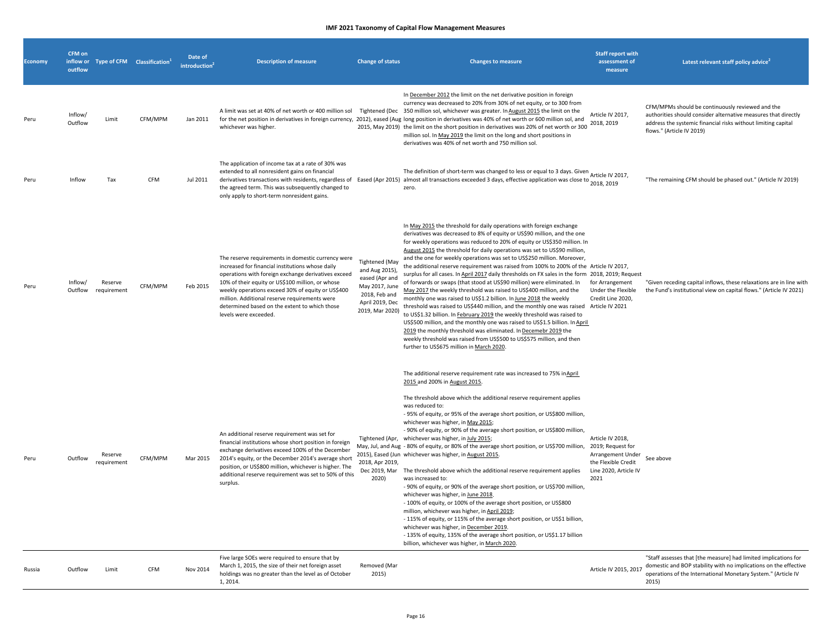| <b>Economy</b> | CFM on<br>outflow  |                        | inflow or Type of CFM Classification <sup>1</sup> | Date of<br><b>introduction</b> | <b>Description of measure</b>                                                                                                                                                                                                                                                                                                                                                                     | <b>Change of status</b>                                                                                                            | <b>Changes to measure</b>                                                                                                                                                                                                                                                                                                                                                                                                                                                                                                                                                                                                                                                                                                                                                                                                                                                                                                                                                                                                                                                                                                                                                                                                                                      | <b>Staff report with</b><br>assessment of<br>measure                                                               | Latest relevant staff policy advice <sup>2</sup>                                                                                                                                                                 |
|----------------|--------------------|------------------------|---------------------------------------------------|--------------------------------|---------------------------------------------------------------------------------------------------------------------------------------------------------------------------------------------------------------------------------------------------------------------------------------------------------------------------------------------------------------------------------------------------|------------------------------------------------------------------------------------------------------------------------------------|----------------------------------------------------------------------------------------------------------------------------------------------------------------------------------------------------------------------------------------------------------------------------------------------------------------------------------------------------------------------------------------------------------------------------------------------------------------------------------------------------------------------------------------------------------------------------------------------------------------------------------------------------------------------------------------------------------------------------------------------------------------------------------------------------------------------------------------------------------------------------------------------------------------------------------------------------------------------------------------------------------------------------------------------------------------------------------------------------------------------------------------------------------------------------------------------------------------------------------------------------------------|--------------------------------------------------------------------------------------------------------------------|------------------------------------------------------------------------------------------------------------------------------------------------------------------------------------------------------------------|
| Peru           | Inflow/<br>Outflow | Limit                  | CFM/MPM                                           | Jan 2011                       | whichever was higher.                                                                                                                                                                                                                                                                                                                                                                             |                                                                                                                                    | In December 2012 the limit on the net derivative position in foreign<br>currency was decreased to 20% from 30% of net equity, or to 300 from<br>A limit was set at 40% of net worth or 400 million sol Tightened (Dec 350 million sol, whichever was greater. In August 2015 the limit on the<br>for the net position in derivatives in foreign currency, 2012), eased (Aug long position in derivatives was 40% of net worth or 600 million sol, and<br>2015, May 2019) the limit on the short position in derivatives was 20% of net worth or 300<br>million sol. In May 2019 the limit on the long and short positions in<br>derivatives was 40% of net worth and 750 million sol.                                                                                                                                                                                                                                                                                                                                                                                                                                                                                                                                                                          | Article IV 2017,<br>2018, 2019                                                                                     | CFM/MPMs should be continuously reviewed and the<br>authorities should consider alternative measures that directly<br>address the systemic financial risks without limiting capital<br>flows." (Article IV 2019) |
| Peru           | Inflow             | Tax                    | CFM                                               | Jul 2011                       | The application of income tax at a rate of 30% was<br>extended to all nonresident gains on financial<br>the agreed term. This was subsequently changed to<br>only apply to short-term nonresident gains.                                                                                                                                                                                          |                                                                                                                                    | The definition of short-term was changed to less or equal to 3 days. Given<br>derivatives transactions with residents, regardless of Eased (Apr 2015) almost all transactions exceeded 3 days, effective application was close to $\frac{\mu_1}{2018}$ , 2019<br>zero.                                                                                                                                                                                                                                                                                                                                                                                                                                                                                                                                                                                                                                                                                                                                                                                                                                                                                                                                                                                         | Article IV 2017,                                                                                                   | "The remaining CFM should be phased out." (Article IV 2019)                                                                                                                                                      |
| Peru           | Inflow/<br>Outflow | Reserve<br>requirement | CFM/MPM                                           | Feb 2015                       | The reserve requirements in domestic currency were<br>increased for financial institutions whose daily<br>operations with foreign exchange derivatives exceed<br>10% of their equity or US\$100 million, or whose<br>weekly operations exceed 30% of equity or US\$400<br>million. Additional reserve requirements were<br>determined based on the extent to which those<br>levels were exceeded. | <b>Tightened</b> (May<br>and Aug 2015),<br>eased (Apr and<br>May 2017, June<br>2018, Feb and<br>April 2019, Dec<br>2019, Mar 2020) | In May 2015 the threshold for daily operations with foreign exchange<br>derivatives was decreased to 8% of equity or US\$90 million, and the one<br>for weekly operations was reduced to 20% of equity or US\$350 million. In<br>August 2015 the threshold for daily operations was set to US\$90 million,<br>and the one for weekly operations was set to US\$250 million. Moreover,<br>the additional reserve requirement was raised from 100% to 200% of the Article IV 2017,<br>surplus for all cases. In April 2017 daily thresholds on FX sales in the form 2018, 2019; Request<br>of forwards or swaps (that stood at US\$90 million) were eliminated. In<br>May 2017 the weekly threshold was raised to US\$400 million, and the<br>monthly one was raised to US\$1.2 billion. In June 2018 the weekly<br>threshold was raised to US\$440 million, and the monthly one was raised Article IV 2021<br>to US\$1.32 billion. In February 2019 the weekly threshold was raised to<br>US\$500 million, and the monthly one was raised to US\$1.5 billion. In April<br>2019 the monthly threshold was eliminated. In Decemebr 2019 the<br>weekly threshold was raised from US\$500 to US\$575 million, and then<br>further to US\$675 million in March 2020. | for Arrangement<br>Under the Flexible<br>Credit Line 2020,                                                         | "Given receding capital inflows, these relaxations are in line with<br>the Fund's institutional view on capital flows." (Article IV 2021)                                                                        |
| Peru           | Outflow            | Reserve<br>requirement | CFM/MPM                                           | Mar 2015                       | An additional reserve requirement was set for<br>financial institutions whose short position in foreign<br>exchange derivatives exceed 100% of the December<br>2014's equity, or the December 2014's average short<br>position, or US\$800 million, whichever is higher. The<br>additional reserve requirement was set to 50% of this<br>surplus.                                                 | Tightened (Apr,<br>2018, Apr 2019,<br>2020)                                                                                        | The additional reserve requirement rate was increased to 75% in April<br>2015 and 200% in August 2015.<br>The threshold above which the additional reserve requirement applies<br>was reduced to:<br>- 95% of equity, or 95% of the average short position, or US\$800 million,<br>whichever was higher, in May 2015;<br>- 90% of equity, or 90% of the average short position, or US\$800 million,<br>whichever was higher, in July 2015;<br>May, Jul, and Aug - 80% of equity, or 80% of the average short position, or US\$700 million,<br>2015), Eased (Jun whichever was higher, in August 2015.<br>Dec 2019, Mar The threshold above which the additional reserve requirement applies<br>was increased to:<br>- 90% of equity, or 90% of the average short position, or US\$700 million,<br>whichever was higher, in June 2018.<br>- 100% of equity, or 100% of the average short position, or US\$800<br>million, whichever was higher, in April 2019;<br>- 115% of equity, or 115% of the average short position, or US\$1 billion,<br>whichever was higher, in December 2019.<br>- 135% of equity, 135% of the average short position, or US\$1.17 billion<br>billion, whichever was higher, in March 2020.                                           | Article IV 2018,<br>2019; Request for<br>Arrangement Under<br>the Flexible Credit<br>Line 2020, Article IV<br>2021 | See above                                                                                                                                                                                                        |
| Russia         | Outflow            | Limit                  | <b>CFM</b>                                        | Nov 2014                       | Five large SOEs were required to ensure that by<br>March 1, 2015, the size of their net foreign asset<br>holdings was no greater than the level as of October<br>1, 2014.                                                                                                                                                                                                                         | Removed (Mar<br>2015)                                                                                                              |                                                                                                                                                                                                                                                                                                                                                                                                                                                                                                                                                                                                                                                                                                                                                                                                                                                                                                                                                                                                                                                                                                                                                                                                                                                                | Article IV 2015, 2017                                                                                              | "Staff assesses that [the measure] had limited implications for<br>domestic and BOP stability with no implications on the effective<br>operations of the International Monetary System." (Article IV<br>2015)    |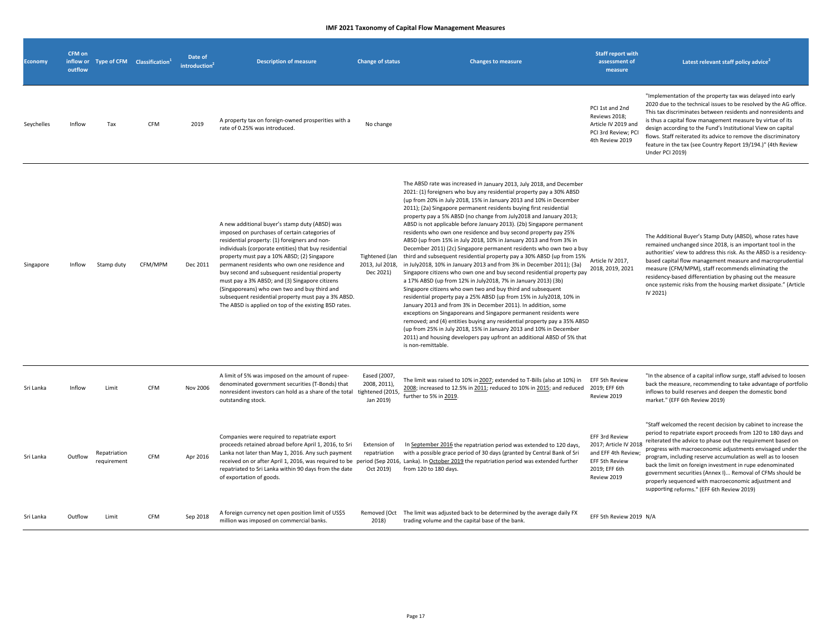| <b>Economy</b> | CFM on<br>outflow |                             | inflow or Type of CFM Classification <sup>1</sup> | Date of<br>introduction <sup>2</sup> | <b>Description of measure</b>                                                                                                                                                                                                                                                                                                                                                                                                                                                                                                                                                 | <b>Change of status</b>                        | <b>Changes to measure</b>                                                                                                                                                                                                                                                                                                                                                                                                                                                                                                                                                                                                                                                                                                                                                                                                                                                                                                                                                                                                                                                                                                                                                                                                                                                                                                                                                                                                                                                         | <b>Staff report with</b><br>assessment of<br>measure                                                             | Latest relevant staff policy advice <sup>2</sup>                                                                                                                                                                                                                                                                                                                                                                                                                                                                                                              |
|----------------|-------------------|-----------------------------|---------------------------------------------------|--------------------------------------|-------------------------------------------------------------------------------------------------------------------------------------------------------------------------------------------------------------------------------------------------------------------------------------------------------------------------------------------------------------------------------------------------------------------------------------------------------------------------------------------------------------------------------------------------------------------------------|------------------------------------------------|-----------------------------------------------------------------------------------------------------------------------------------------------------------------------------------------------------------------------------------------------------------------------------------------------------------------------------------------------------------------------------------------------------------------------------------------------------------------------------------------------------------------------------------------------------------------------------------------------------------------------------------------------------------------------------------------------------------------------------------------------------------------------------------------------------------------------------------------------------------------------------------------------------------------------------------------------------------------------------------------------------------------------------------------------------------------------------------------------------------------------------------------------------------------------------------------------------------------------------------------------------------------------------------------------------------------------------------------------------------------------------------------------------------------------------------------------------------------------------------|------------------------------------------------------------------------------------------------------------------|---------------------------------------------------------------------------------------------------------------------------------------------------------------------------------------------------------------------------------------------------------------------------------------------------------------------------------------------------------------------------------------------------------------------------------------------------------------------------------------------------------------------------------------------------------------|
| Seychelles     | Inflow            | Tax                         | <b>CFM</b>                                        | 2019                                 | A property tax on foreign-owned prosperities with a<br>rate of 0.25% was introduced.                                                                                                                                                                                                                                                                                                                                                                                                                                                                                          | No change                                      |                                                                                                                                                                                                                                                                                                                                                                                                                                                                                                                                                                                                                                                                                                                                                                                                                                                                                                                                                                                                                                                                                                                                                                                                                                                                                                                                                                                                                                                                                   | PCI 1st and 2nd<br>Reviews 2018;<br>Article IV 2019 and<br>PCI 3rd Review; PCI<br>4th Review 2019                | "Implementation of the property tax was delayed into early<br>2020 due to the technical issues to be resolved by the AG office.<br>This tax discriminates between residents and nonresidents and<br>is thus a capital flow management measure by virtue of its<br>design according to the Fund's Institutional View on capital<br>flows. Staff reiterated its advice to remove the discriminatory<br>feature in the tax (see Country Report 19/194.)" (4th Review<br>Under PCI 2019)                                                                          |
| Singapore      | Inflow            | Stamp duty                  | CFM/MPM                                           | Dec 2011                             | A new additional buyer's stamp duty (ABSD) was<br>imposed on purchases of certain categories of<br>residential property: (1) foreigners and non-<br>individuals (corporate entities) that buy residential<br>property must pay a 10% ABSD; (2) Singapore<br>permanent residents who own one residence and<br>buy second and subsequent residential property<br>must pay a 3% ABSD; and (3) Singapore citizens<br>(Singaporeans) who own two and buy third and<br>subsequent residential property must pay a 3% ABSD.<br>The ABSD is applied on top of the existing BSD rates. | Tightened (Jan<br>2013, Jul 2018,<br>Dec 2021) | The ABSD rate was increased in January 2013, July 2018, and December<br>2021: (1) foreigners who buy any residential property pay a 30% ABSD<br>(up from 20% in July 2018, 15% in January 2013 and 10% in December<br>2011); (2a) Singapore permanent residents buying first residential<br>property pay a 5% ABSD (no change from July2018 and January 2013;<br>ABSD is not applicable before January 2013). (2b) Singapore permanent<br>residents who own one residence and buy second property pay 25%<br>ABSD (up from 15% in July 2018, 10% in January 2013 and from 3% in<br>December 2011) (2c) Singapore permanent residents who own two a buy<br>third and subsequent residential property pay a 30% ABSD (up from 15%<br>in July2018, 10% in January 2013 and from 3% in December 2011); (3a)<br>Singapore citizens who own one and buy second residential property pay<br>a 17% ABSD (up from 12% in July2018, 7% in January 2013) (3b)<br>Singapore citizens who own two and buy third and subsequent<br>residential property pay a 25% ABSD (up from 15% in July2018, 10% in<br>January 2013 and from 3% in December 2011). In addition, some<br>exceptions on Singaporeans and Singapore permanent residents were<br>removed; and (4) entities buying any residential property pay a 35% ABSD<br>(up from 25% in July 2018, 15% in January 2013 and 10% in December<br>2011) and housing developers pay upfront an additional ABSD of 5% that<br>is non-remittable. | Article IV 2017,<br>2018, 2019, 2021                                                                             | The Additional Buyer's Stamp Duty (ABSD), whose rates have<br>remained unchanged since 2018, is an important tool in the<br>authorities' view to address this risk. As the ABSD is a residency-<br>based capital flow management measure and macroprudential<br>measure (CFM/MPM), staff recommends eliminating the<br>residency-based differentiation by phasing out the measure<br>once systemic risks from the housing market dissipate." (Article<br>IV 2021)                                                                                             |
| Sri Lanka      | Inflow            | Limit                       | CFM                                               | Nov 2006                             | A limit of 5% was imposed on the amount of rupee-<br>denominated government securities (T-Bonds) that<br>nonresident investors can hold as a share of the total tightened (2015,<br>outstanding stock.                                                                                                                                                                                                                                                                                                                                                                        | Eased (2007,<br>2008, 2011),<br>Jan 2019)      | The limit was raised to 10% in 2007; extended to T-Bills (also at 10%) in<br>2008; increased to 12.5% in 2011; reduced to 10% in 2015; and reduced 2019; EFF 6th<br>further to 5% in 2019.                                                                                                                                                                                                                                                                                                                                                                                                                                                                                                                                                                                                                                                                                                                                                                                                                                                                                                                                                                                                                                                                                                                                                                                                                                                                                        | EFF 5th Review<br>Review 2019                                                                                    | "In the absence of a capital inflow surge, staff advised to loosen<br>back the measure, recommending to take advantage of portfolio<br>inflows to build reserves and deepen the domestic bond<br>market." (EFF 6th Review 2019)                                                                                                                                                                                                                                                                                                                               |
| Sri Lanka      | Outflow           | Repatriation<br>requirement | CFM                                               | Apr 2016                             | Companies were required to repatriate export<br>proceeds retained abroad before April 1, 2016, to Sri<br>Lanka not later than May 1, 2016. Any such payment<br>repatriated to Sri Lanka within 90 days from the date<br>of exportation of goods.                                                                                                                                                                                                                                                                                                                              | Extension of<br>repatriation<br>Oct 2019)      | In September 2016 the repatriation period was extended to 120 days,<br>with a possible grace period of 30 days (granted by Central Bank of Sri<br>received on or after April 1, 2016, was required to be period (Sep 2016, Lanka). In October 2019 the repatriation period was extended further<br>from 120 to 180 days.                                                                                                                                                                                                                                                                                                                                                                                                                                                                                                                                                                                                                                                                                                                                                                                                                                                                                                                                                                                                                                                                                                                                                          | EFF 3rd Review<br>2017; Article IV 2018<br>and EFF 4th Review;<br>EFF 5th Review<br>2019; EFF 6th<br>Review 2019 | "Staff welcomed the recent decision by cabinet to increase the<br>period to repatriate export proceeds from 120 to 180 days and<br>reiterated the advice to phase out the requirement based on<br>progress with macroeconomic adjustments envisaged under the<br>program, including reserve accumulation as well as to loosen<br>back the limit on foreign investment in rupe edenominated<br>government securities (Annex I) Removal of CFMs should be<br>properly sequenced with macroeconomic adjustment and<br>supporting reforms." (EFF 6th Review 2019) |
| Sri Lanka      | Outflow           | Limit                       | CFM                                               | Sep 2018                             | A foreign currency net open position limit of US\$5<br>million was imposed on commercial banks.                                                                                                                                                                                                                                                                                                                                                                                                                                                                               | 2018)                                          | Removed (Oct The limit was adjusted back to be determined by the average daily FX<br>trading volume and the capital base of the bank.                                                                                                                                                                                                                                                                                                                                                                                                                                                                                                                                                                                                                                                                                                                                                                                                                                                                                                                                                                                                                                                                                                                                                                                                                                                                                                                                             | EFF 5th Review 2019 N/A                                                                                          |                                                                                                                                                                                                                                                                                                                                                                                                                                                                                                                                                               |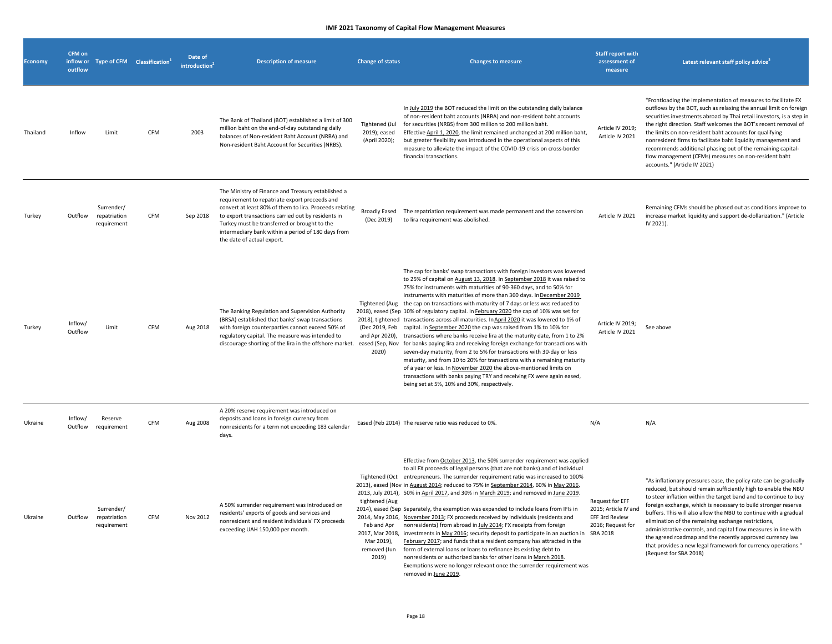| <b>Economy</b> | CFM on<br>outflow  |                                           | inflow or Type of CFM Classification <sup>1</sup> | Date of<br>introduction $\hat{}$ | <b>Description of measure</b>                                                                                                                                                                                                                                                                                                                            | <b>Change of status</b>                                              | <b>Changes to measure</b>                                                                                                                                                                                                                                                                                                                                                                                                                                                                                                                                                                                                                                                                                                                                                                                                                                                                                                                                                                                                                                                                                                                                                                                                                  | <b>Staff report with</b><br>assessment of<br>measure                                       | Latest relevant staff policy advice <sup>2</sup>                                                                                                                                                                                                                                                                                                                                                                                                                                                                                                                                                                                |
|----------------|--------------------|-------------------------------------------|---------------------------------------------------|----------------------------------|----------------------------------------------------------------------------------------------------------------------------------------------------------------------------------------------------------------------------------------------------------------------------------------------------------------------------------------------------------|----------------------------------------------------------------------|--------------------------------------------------------------------------------------------------------------------------------------------------------------------------------------------------------------------------------------------------------------------------------------------------------------------------------------------------------------------------------------------------------------------------------------------------------------------------------------------------------------------------------------------------------------------------------------------------------------------------------------------------------------------------------------------------------------------------------------------------------------------------------------------------------------------------------------------------------------------------------------------------------------------------------------------------------------------------------------------------------------------------------------------------------------------------------------------------------------------------------------------------------------------------------------------------------------------------------------------|--------------------------------------------------------------------------------------------|---------------------------------------------------------------------------------------------------------------------------------------------------------------------------------------------------------------------------------------------------------------------------------------------------------------------------------------------------------------------------------------------------------------------------------------------------------------------------------------------------------------------------------------------------------------------------------------------------------------------------------|
| Thailand       | Inflow             | Limit                                     | CFM                                               | 2003                             | The Bank of Thailand (BOT) established a limit of 300<br>million baht on the end-of-day outstanding daily<br>balances of Non-resident Baht Account (NRBA) and<br>Non-resident Baht Account for Securities (NRBS).                                                                                                                                        | Tightened (Jul<br>2019); eased<br>(April 2020);                      | In July 2019 the BOT reduced the limit on the outstanding daily balance<br>of non-resident baht accounts (NRBA) and non-resident baht accounts<br>for securities (NRBS) from 300 million to 200 million baht.<br>Effective April 1, 2020, the limit remained unchanged at 200 million baht,<br>but greater flexibility was introduced in the operational aspects of this<br>measure to alleviate the impact of the COVID-19 crisis on cross-border<br>financial transactions.                                                                                                                                                                                                                                                                                                                                                                                                                                                                                                                                                                                                                                                                                                                                                              | Article IV 2019;<br>Article IV 2021                                                        | "Frontloading the implementation of measures to facilitate FX<br>outflows by the BOT, such as relaxing the annual limit on foreign<br>securities investments abroad by Thai retail investors, is a step in<br>the right direction. Staff welcomes the BOT's recent removal of<br>the limits on non-resident baht accounts for qualifying<br>nonresident firms to facilitate baht liquidity management and<br>recommends additional phasing out of the remaining capital-<br>flow management (CFMs) measures on non-resident baht<br>accounts." (Article IV 2021)                                                                |
| Turkey         | Outflow            | Surrender/<br>repatriation<br>requirement | CFM                                               | Sep 2018                         | The Ministry of Finance and Treasury established a<br>requirement to repatriate export proceeds and<br>convert at least 80% of them to lira. Proceeds relating<br>to export transactions carried out by residents in<br>Turkey must be transferred or brought to the<br>intermediary bank within a period of 180 days from<br>the date of actual export. | (Dec 2019)                                                           | Broadly Eased The repatriation requirement was made permanent and the conversion<br>to lira requirement was abolished.                                                                                                                                                                                                                                                                                                                                                                                                                                                                                                                                                                                                                                                                                                                                                                                                                                                                                                                                                                                                                                                                                                                     | Article IV 2021                                                                            | Remaining CFMs should be phased out as conditions improve to<br>increase market liquidity and support de-dollarization." (Article<br>IV 2021).                                                                                                                                                                                                                                                                                                                                                                                                                                                                                  |
| Turkey         | Inflow/<br>Outflow | Limit                                     | CFM                                               | Aug 2018                         | The Banking Regulation and Supervision Authority<br>(BRSA) established that banks' swap transactions<br>with foreign counterparties cannot exceed 50% of<br>regulatory capital. The measure was intended to                                                                                                                                              | (Dec 2019, Feb<br>and Apr 2020),<br>2020)                            | The cap for banks' swap transactions with foreign investors was lowered<br>to 25% of capital on August 13, 2018. In September 2018 it was raised to<br>75% for instruments with maturities of 90-360 days, and to 50% for<br>instruments with maturities of more than 360 days. In December 2019<br>Tightened (Aug the cap on transactions with maturity of 7 days or less was reduced to<br>2018), eased (Sep 10% of regulatory capital. In February 2020 the cap of 10% was set for<br>2018), tightened transactions across all maturities. In April 2020 it was lowered to 1% of<br>capital. In September 2020 the cap was raised from 1% to 10% for<br>transactions where banks receive lira at the maturity date, from 1 to 2%<br>discourage shorting of the lira in the offshore market. eased (Sep, Nov for banks paying lira and receiving foreign exchange for transactions with<br>seven-day maturity, from 2 to 5% for transactions with 30-day or less<br>maturity, and from 10 to 20% for transactions with a remaining maturity<br>of a year or less. In November 2020 the above-mentioned limits on<br>transactions with banks paying TRY and receiving FX were again eased,<br>being set at 5%, 10% and 30%, respectively. | Article IV 2019;<br>Article IV 2021                                                        | See above                                                                                                                                                                                                                                                                                                                                                                                                                                                                                                                                                                                                                       |
| Ukraine        | Inflow/<br>Outflow | Reserve<br>requirement                    | CFM                                               | Aug 2008                         | A 20% reserve requirement was introduced on<br>deposits and loans in foreign currency from<br>nonresidents for a term not exceeding 183 calendar<br>days.                                                                                                                                                                                                |                                                                      | Eased (Feb 2014) The reserve ratio was reduced to 0%.                                                                                                                                                                                                                                                                                                                                                                                                                                                                                                                                                                                                                                                                                                                                                                                                                                                                                                                                                                                                                                                                                                                                                                                      | N/A                                                                                        | N/A                                                                                                                                                                                                                                                                                                                                                                                                                                                                                                                                                                                                                             |
| Ukraine        | Outflow            | Surrender/<br>repatriation<br>requirement | CFM                                               | Nov 2012                         | A 50% surrender requirement was introduced on<br>residents' exports of goods and services and<br>nonresident and resident individuals' FX proceeds<br>exceeding UAH 150,000 per month.                                                                                                                                                                   | tightened (Aug<br>Feb and Apr<br>Mar 2019),<br>removed (Jun<br>2019) | Effective from October 2013, the 50% surrender requirement was applied<br>to all FX proceeds of legal persons (that are not banks) and of individual<br>Tightened (Oct entrepreneurs. The surrender requirement ratio was increased to 100%<br>2013), eased (Nov in August 2014; reduced to 75% in September 2014, 60% in May 2016,<br>2013, July 2014), 50% in April 2017, and 30% in March 2019; and removed in June 2019.<br>2014), eased (Sep Separately, the exemption was expanded to include loans from IFIs in<br>2014, May 2016, November 2013; FX proceeds received by individuals (residents and<br>nonresidents) from abroad in July 2014; FX receipts from foreign<br>2017, Mar 2018, investments in May 2016; security deposit to participate in an auction in<br>February 2017; and funds that a resident company has attracted in the<br>form of external loans or loans to refinance its existing debt to<br>nonresidents or authorized banks for other loans in March 2018<br>Exemptions were no longer relevant once the surrender requirement was<br>removed in June 2019.                                                                                                                                             | Request for EFF<br>2015; Article IV and<br>EFF 3rd Review<br>2016; Request for<br>SBA 2018 | "As inflationary pressures ease, the policy rate can be gradually<br>reduced, but should remain sufficiently high to enable the NBU<br>to steer inflation within the target band and to continue to buy<br>foreign exchange, which is necessary to build stronger reserve<br>buffers. This will also allow the NBU to continue with a gradual<br>elimination of the remaining exchange restrictions,<br>administrative controls, and capital flow measures in line with<br>the agreed roadmap and the recently approved currency law<br>that provides a new legal framework for currency operations."<br>(Request for SBA 2018) |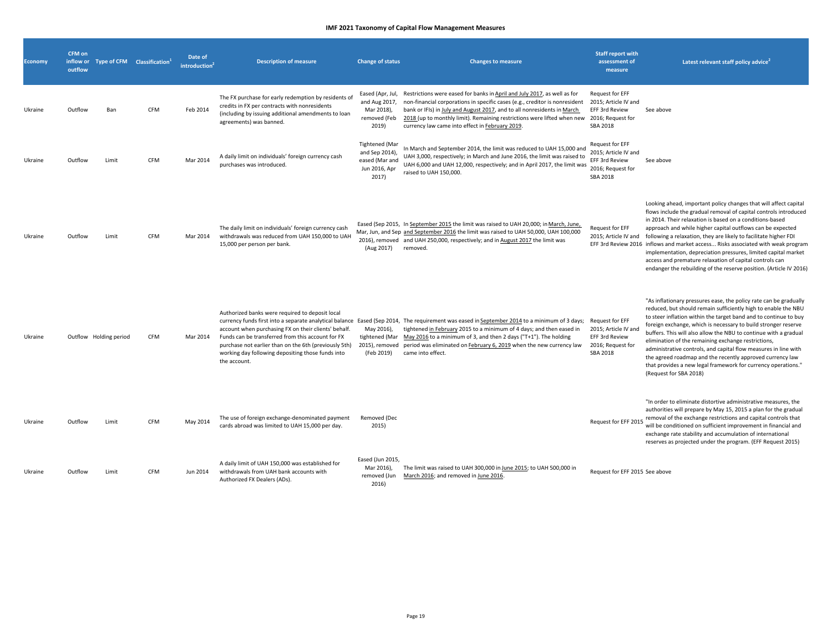| <b>Economy</b> | CFM on<br>outflow |                        | inflow or Type of CFM Classification <sup>1</sup> | Date of<br><b>introduction</b> | <b>Description of measure</b>                                                                                                                                                                                                                                                              | <b>Change of status</b>                                                             | <b>Changes to measure</b>                                                                                                                                                                                                                                                                                                                                                                                          | <b>Staff report with</b><br>assessment of<br>measure                                       | Latest relevant staff policy advice <sup>2</sup>                                                                                                                                                                                                                                                                                                                                                                                                                                                                                                                                                                                |
|----------------|-------------------|------------------------|---------------------------------------------------|--------------------------------|--------------------------------------------------------------------------------------------------------------------------------------------------------------------------------------------------------------------------------------------------------------------------------------------|-------------------------------------------------------------------------------------|--------------------------------------------------------------------------------------------------------------------------------------------------------------------------------------------------------------------------------------------------------------------------------------------------------------------------------------------------------------------------------------------------------------------|--------------------------------------------------------------------------------------------|---------------------------------------------------------------------------------------------------------------------------------------------------------------------------------------------------------------------------------------------------------------------------------------------------------------------------------------------------------------------------------------------------------------------------------------------------------------------------------------------------------------------------------------------------------------------------------------------------------------------------------|
| Ukraine        | Outflow           | Ban                    | <b>CFM</b>                                        | Feb 2014                       | The FX purchase for early redemption by residents of<br>credits in FX per contracts with nonresidents<br>(including by issuing additional amendments to loan<br>agreements) was banned.                                                                                                    | Eased (Apr, Jul,<br>and Aug 2017,<br>Mar 2018),<br>removed (Feb<br>2019)            | Restrictions were eased for banks in April and July 2017, as well as for<br>non-financial corporations in specific cases (e.g., creditor is nonresident<br>bank or IFIs) in July and August 2017, and to all nonresidents in March<br>2018 (up to monthly limit). Remaining restrictions were lifted when new 2016; Request for<br>currency law came into effect in February 2019.                                 | Request for EFF<br>2015; Article IV and<br>EFF 3rd Review<br><b>SBA 2018</b>               | See above                                                                                                                                                                                                                                                                                                                                                                                                                                                                                                                                                                                                                       |
| Ukraine        | Outflow           | Limit                  | <b>CFM</b>                                        | Mar 2014                       | A daily limit on individuals' foreign currency cash<br>purchases was introduced.                                                                                                                                                                                                           | <b>Tightened</b> (Mar<br>and Sep 2014),<br>eased (Mar and<br>Jun 2016, Apr<br>2017) | In March and September 2014, the limit was reduced to UAH 15,000 and<br>UAH 3,000, respectively; in March and June 2016, the limit was raised to<br>UAH 6,000 and UAH 12,000, respectively; and in April 2017, the limit was<br>raised to UAH 150,000.                                                                                                                                                             | Request for EFF<br>2015; Article IV and<br>EFF 3rd Review<br>2016; Request for<br>SBA 2018 | See above                                                                                                                                                                                                                                                                                                                                                                                                                                                                                                                                                                                                                       |
| Ukraine        | Outflow           | Limit                  | <b>CFM</b>                                        | Mar 2014                       | The daily limit on individuals' foreign currency cash<br>withdrawals was reduced from UAH 150,000 to UAH<br>15,000 per person per bank.                                                                                                                                                    | (Aug 2017)                                                                          | Eased (Sep 2015, In September 2015 the limit was raised to UAH 20,000; in March, June,<br>Mar, Jun, and Sep and September 2016 the limit was raised to UAH 50,000, UAH 100,000<br>2016), removed and UAH 250,000, respectively; and in August 2017 the limit was<br>removed.                                                                                                                                       | Request for EFF<br>2015; Article IV and                                                    | Looking ahead, important policy changes that will affect capital<br>flows include the gradual removal of capital controls introduced<br>in 2014. Their relaxation is based on a conditions-based<br>approach and while higher capital outflows can be expected<br>following a relaxation, they are likely to facilitate higher FDI<br>EFF 3rd Review 2016 inflows and market access Risks associated with weak program<br>implementation, depreciation pressures, limited capital market<br>access and premature relaxation of capital controls can<br>endanger the rebuilding of the reserve position. (Article IV 2016)       |
| Ukraine        |                   | Outflow Holding period | CFM                                               | Mar 2014                       | Authorized banks were required to deposit local<br>account when purchasing FX on their clients' behalf.<br>Funds can be transferred from this account for FX<br>purchase not earlier than on the 6th (previously 5th)<br>working day following depositing those funds into<br>the account. | May 2016),<br>(Feb 2019)                                                            | currency funds first into a separate analytical balance Eased (Sep 2014, The requirement was eased in September 2014 to a minimum of 3 days;<br>tightened in February 2015 to a minimum of 4 days; and then eased in<br>tightened (Mar May 2016 to a minimum of 3, and then 2 days ("T+1"). The holding<br>2015), removed period was eliminated on February 6, 2019 when the new currency law<br>came into effect. | Request for EFF<br>2015; Article IV and<br>EFF 3rd Review<br>2016; Request for<br>SBA 2018 | "As inflationary pressures ease, the policy rate can be gradually<br>reduced, but should remain sufficiently high to enable the NBU<br>to steer inflation within the target band and to continue to buy<br>foreign exchange, which is necessary to build stronger reserve<br>buffers. This will also allow the NBU to continue with a gradual<br>elimination of the remaining exchange restrictions,<br>administrative controls, and capital flow measures in line with<br>the agreed roadmap and the recently approved currency law<br>that provides a new legal framework for currency operations."<br>(Request for SBA 2018) |
| Ukraine        | Outflow           | Limit                  | <b>CFM</b>                                        | May 2014                       | The use of foreign exchange-denominated payment<br>cards abroad was limited to UAH 15,000 per day.                                                                                                                                                                                         | Removed (Dec<br>2015)                                                               |                                                                                                                                                                                                                                                                                                                                                                                                                    | Request for EFF 2015                                                                       | "In order to eliminate distortive administrative measures, the<br>authorities will prepare by May 15, 2015 a plan for the gradual<br>removal of the exchange restrictions and capital controls that<br>will be conditioned on sufficient improvement in financial and<br>exchange rate stability and accumulation of international<br>reserves as projected under the program. (EFF Request 2015)                                                                                                                                                                                                                               |
| Ukraine        | Outflow           | Limit                  | <b>CFM</b>                                        | Jun 2014                       | A daily limit of UAH 150,000 was established for<br>withdrawals from UAH bank accounts with<br>Authorized FX Dealers (ADs).                                                                                                                                                                | Eased (Jun 2015,<br>Mar 2016),<br>removed (Jun<br>2016)                             | The limit was raised to UAH 300,000 in June 2015; to UAH 500,000 in<br>March 2016; and removed in June 2016.                                                                                                                                                                                                                                                                                                       | Request for EFF 2015 See above                                                             |                                                                                                                                                                                                                                                                                                                                                                                                                                                                                                                                                                                                                                 |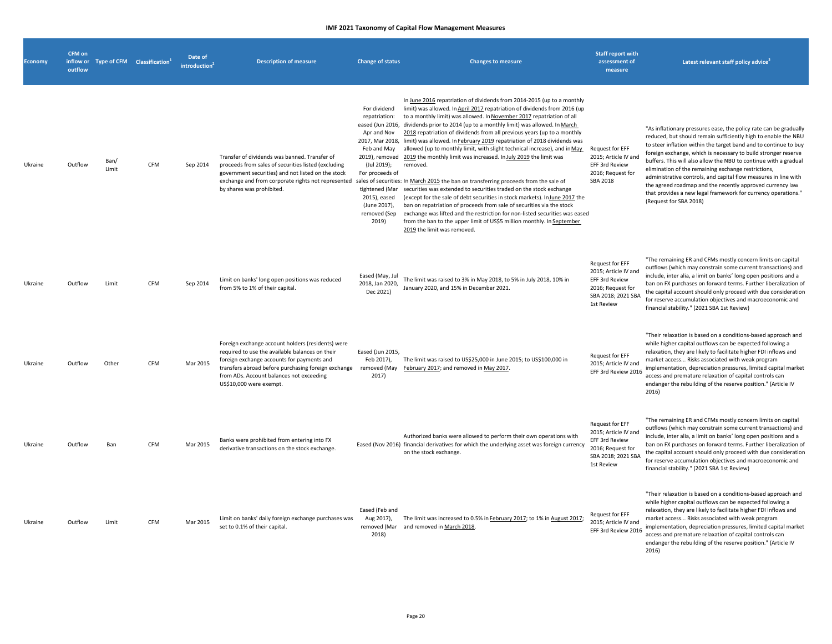| <b>Economy</b> | CFM on<br>outflow |               | inflow or Type of CFM Classification <sup>1</sup> | Date of<br>introduction | <b>Description of measure</b>                                                                                                                                                                                                                                                    | <b>Change of status</b>                                                                                                                                                  | <b>Changes to measure</b>                                                                                                                                                                                                                                                                                                                                                                                                                                                                                                                                                                                                                                                                                                                                                                                                                                                                                                                                                                                                                                                                                                                                                                                                                | <b>Staff report with</b><br>assessment of<br>measure                                                               | Latest relevant staff policy advice <sup>2</sup>                                                                                                                                                                                                                                                                                                                                                                                                                                                                                                                                                                                |
|----------------|-------------------|---------------|---------------------------------------------------|-------------------------|----------------------------------------------------------------------------------------------------------------------------------------------------------------------------------------------------------------------------------------------------------------------------------|--------------------------------------------------------------------------------------------------------------------------------------------------------------------------|------------------------------------------------------------------------------------------------------------------------------------------------------------------------------------------------------------------------------------------------------------------------------------------------------------------------------------------------------------------------------------------------------------------------------------------------------------------------------------------------------------------------------------------------------------------------------------------------------------------------------------------------------------------------------------------------------------------------------------------------------------------------------------------------------------------------------------------------------------------------------------------------------------------------------------------------------------------------------------------------------------------------------------------------------------------------------------------------------------------------------------------------------------------------------------------------------------------------------------------|--------------------------------------------------------------------------------------------------------------------|---------------------------------------------------------------------------------------------------------------------------------------------------------------------------------------------------------------------------------------------------------------------------------------------------------------------------------------------------------------------------------------------------------------------------------------------------------------------------------------------------------------------------------------------------------------------------------------------------------------------------------|
| Ukraine        | Outflow           | Ban/<br>Limit | <b>CFM</b>                                        | Sep 2014                | Transfer of dividends was banned. Transfer of<br>proceeds from sales of securities listed (excluding<br>government securities) and not listed on the stock<br>by shares was prohibited.                                                                                          | For dividend<br>repatriation:<br>Apr and Nov<br>Feb and May<br>(Jul 2019);<br>For proceeds of<br>tightened (Mar<br>2015), eased<br>(June 2017),<br>removed (Sep<br>2019) | In June 2016 repatriation of dividends from 2014-2015 (up to a monthly<br>limit) was allowed. In April 2017 repatriation of dividends from 2016 (up<br>to a monthly limit) was allowed. In November 2017 repatriation of all<br>eased (Jun 2016, dividends prior to 2014 (up to a monthly limit) was allowed. In March<br>2018 repatriation of dividends from all previous years (up to a monthly<br>2017, Mar 2018, limit) was allowed. In February 2019 repatriation of 2018 dividends was<br>allowed (up to monthly limit, with slight technical increase), and in May<br>2019), removed 2019 the monthly limit was increased. In July 2019 the limit was<br>removed.<br>exchange and from corporate rights not represented sales of securities: In March 2015 the ban on transferring proceeds from the sale of<br>securities was extended to securities traded on the stock exchange<br>(except for the sale of debt securities in stock markets). InJune 2017 the<br>ban on repatriation of proceeds from sale of securities via the stock<br>exchange was lifted and the restriction for non-listed securities was eased<br>from the ban to the upper limit of US\$5 million monthly. In September<br>2019 the limit was removed. | Request for EFF<br>2015: Article IV and<br>EFF 3rd Review<br>2016; Request for<br>SBA 2018                         | "As inflationary pressures ease, the policy rate can be gradually<br>reduced, but should remain sufficiently high to enable the NBU<br>to steer inflation within the target band and to continue to buy<br>foreign exchange, which is necessary to build stronger reserve<br>buffers. This will also allow the NBU to continue with a gradual<br>elimination of the remaining exchange restrictions,<br>administrative controls, and capital flow measures in line with<br>the agreed roadmap and the recently approved currency law<br>that provides a new legal framework for currency operations."<br>(Request for SBA 2018) |
| Ukraine        | Outflow           | Limit         | CFM                                               | Sep 2014                | Limit on banks' long open positions was reduced<br>from 5% to 1% of their capital.                                                                                                                                                                                               | Eased (May, Jul<br>2018, Jan 2020,<br>Dec 2021)                                                                                                                          | The limit was raised to 3% in May 2018, to 5% in July 2018, 10% in<br>January 2020, and 15% in December 2021.                                                                                                                                                                                                                                                                                                                                                                                                                                                                                                                                                                                                                                                                                                                                                                                                                                                                                                                                                                                                                                                                                                                            | Request for EFF<br>2015; Article IV and<br>EFF 3rd Review<br>2016; Request for<br>SBA 2018; 2021 SBA<br>1st Review | "The remaining ER and CFMs mostly concern limits on capital<br>outflows (which may constrain some current transactions) and<br>include, inter alia, a limit on banks' long open positions and a<br>ban on FX purchases on forward terms. Further liberalization of<br>the capital account should only proceed with due consideration<br>for reserve accumulation objectives and macroeconomic and<br>financial stability." (2021 SBA 1st Review)                                                                                                                                                                                |
| Ukraine        | Outflow           | Other         | CFM                                               | Mar 2015                | Foreign exchange account holders (residents) were<br>required to use the available balances on their<br>foreign exchange accounts for payments and<br>transfers abroad before purchasing foreign exchange<br>from ADs. Account balances not exceeding<br>US\$10,000 were exempt. | Eased (Jun 2015,<br>Feb 2017),<br>removed (May<br>2017)                                                                                                                  | The limit was raised to US\$25,000 in June 2015; to US\$100,000 in<br>February 2017; and removed in May 2017.                                                                                                                                                                                                                                                                                                                                                                                                                                                                                                                                                                                                                                                                                                                                                                                                                                                                                                                                                                                                                                                                                                                            | Request for EFF<br>2015; Article IV and<br>EFF 3rd Review 2016                                                     | "Their relaxation is based on a conditions-based approach and<br>while higher capital outflows can be expected following a<br>relaxation, they are likely to facilitate higher FDI inflows and<br>market access Risks associated with weak program<br>implementation, depreciation pressures, limited capital market<br>access and premature relaxation of capital controls can<br>endanger the rebuilding of the reserve position." (Article IV<br>2016)                                                                                                                                                                       |
| Ukraine        | Outflow           | Ban           | CFM                                               | Mar 2015                | Banks were prohibited from entering into FX<br>derivative transactions on the stock exchange.                                                                                                                                                                                    |                                                                                                                                                                          | Authorized banks were allowed to perform their own operations with<br>Eased (Nov 2016) financial derivatives for which the underlying asset was foreign currency<br>on the stock exchange.                                                                                                                                                                                                                                                                                                                                                                                                                                                                                                                                                                                                                                                                                                                                                                                                                                                                                                                                                                                                                                               | Request for EFF<br>2015; Article IV and<br>EFF 3rd Review<br>2016; Request for<br>SBA 2018; 2021 SBA<br>1st Review | "The remaining ER and CFMs mostly concern limits on capital<br>outflows (which may constrain some current transactions) and<br>include, inter alia, a limit on banks' long open positions and a<br>ban on FX purchases on forward terms. Further liberalization of<br>the capital account should only proceed with due consideration<br>for reserve accumulation objectives and macroeconomic and<br>financial stability." (2021 SBA 1st Review)                                                                                                                                                                                |
| Ukraine        | Outflow           | Limit         | CFM                                               | Mar 2015                | Limit on banks' daily foreign exchange purchases was<br>set to 0.1% of their capital.                                                                                                                                                                                            | Eased (Feb and<br>Aug 2017),<br>removed (Mar<br>2018)                                                                                                                    | The limit was increased to 0.5% in February 2017; to 1% in August 2017;<br>and removed in March 2018.                                                                                                                                                                                                                                                                                                                                                                                                                                                                                                                                                                                                                                                                                                                                                                                                                                                                                                                                                                                                                                                                                                                                    | Request for EFF<br>2015; Article IV and<br>EFF 3rd Review 2016                                                     | "Their relaxation is based on a conditions-based approach and<br>while higher capital outflows can be expected following a<br>relaxation, they are likely to facilitate higher FDI inflows and<br>market access Risks associated with weak program<br>implementation, depreciation pressures, limited capital market<br>access and premature relaxation of capital controls can<br>endanger the rebuilding of the reserve position." (Article IV<br>2016)                                                                                                                                                                       |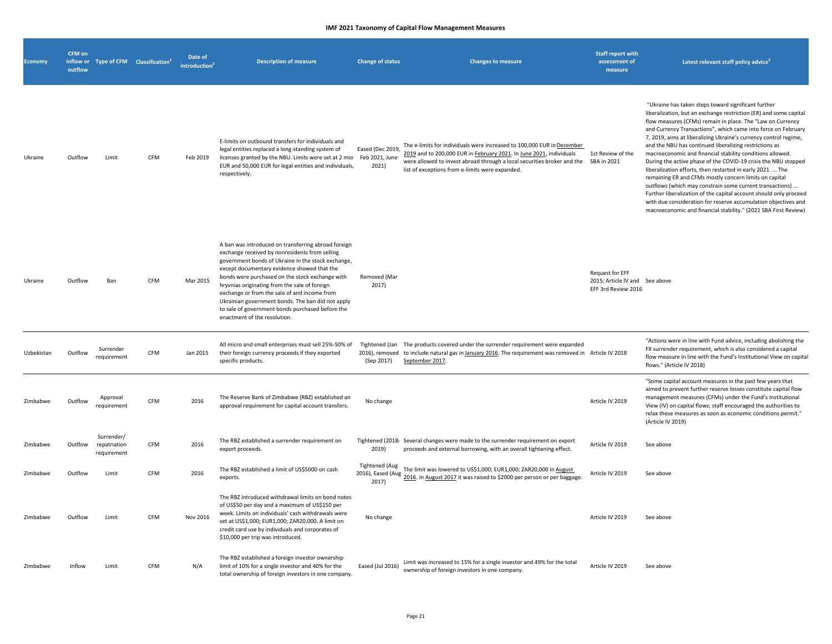| <b>Economy</b> | CFM on<br>inflow or<br>outflow | Type of CFM Classification <sup>1</sup>   |            | Date of<br>introduction | <b>Description of measure</b>                                                                                                                                                                                                                                                                                                                                                                                                                                                                           | <b>Change of status</b>                     | <b>Changes to measure</b>                                                                                                                                                                                                                                                               | <b>Staff report with</b><br>assessment of<br>measure                     | Latest relevant staff policy advice <sup>4</sup>                                                                                                                                                                                                                                                                                                                                                                                                                                                                                                                                                                                                                                                                                                                                                                                                                                                                   |
|----------------|--------------------------------|-------------------------------------------|------------|-------------------------|---------------------------------------------------------------------------------------------------------------------------------------------------------------------------------------------------------------------------------------------------------------------------------------------------------------------------------------------------------------------------------------------------------------------------------------------------------------------------------------------------------|---------------------------------------------|-----------------------------------------------------------------------------------------------------------------------------------------------------------------------------------------------------------------------------------------------------------------------------------------|--------------------------------------------------------------------------|--------------------------------------------------------------------------------------------------------------------------------------------------------------------------------------------------------------------------------------------------------------------------------------------------------------------------------------------------------------------------------------------------------------------------------------------------------------------------------------------------------------------------------------------------------------------------------------------------------------------------------------------------------------------------------------------------------------------------------------------------------------------------------------------------------------------------------------------------------------------------------------------------------------------|
| Ukraine        | Outflow                        | Limit                                     | CFM        | Feb 2019                | E-limits on outbound transfers for individuals and<br>legal entities replaced a long-standing system of<br>licenses granted by the NBU. Limits were set at 2 mio<br>EUR and 50,000 EUR for legal entities and individuals,<br>respectively.                                                                                                                                                                                                                                                             | Eased (Dec 2019,<br>Feb 2021, June<br>2021) | The e-limits for individuals were increased to 100,000 EUR in December<br>2019 and to 200,000 EUR in February 2021. In June 2021, individuals<br>were allowed to invest abroad through a local securities broker and the SBA in 2021<br>list of exceptions from e-limits were expanded. | 1st Review of the                                                        | "Ukraine has taken steps toward significant further<br>liberalization, but an exchange restriction (ER) and some capital<br>flow measures (CFMs) remain in place. The "Law on Currency<br>and Currency Transactions", which came into force on February<br>7, 2019, aims at liberalizing Ukraine's currency control regime,<br>and the NBU has continued liberalizing restrictions as<br>macroeconomic and financial stability conditions allowed.<br>During the active phase of the COVID-19 crisis the NBU stopped<br>liberalization efforts, then restarted in early 2021.  The<br>remaining ER and CFMs mostly concern limits on capital<br>outflows (which may constrain some current transactions)<br>Further liberalization of the capital account should only proceed<br>with due consideration for reserve accumulation objectives and<br>macroeconomic and financial stability." (2021 SBA First Review) |
| Ukraine        | Outflow                        | Ban                                       | <b>CFM</b> | Mar 2015                | A ban was introduced on transferring abroad foreign<br>exchange received by nonresidents from selling<br>government bonds of Ukraine in the stock exchange,<br>except documentary evidence showed that the<br>bonds were purchased on the stock exchange with<br>hryvnias originating from the sale of foreign<br>exchange or from the sale of and income from<br>Ukrainian government bonds. The ban did not apply<br>to sale of government bonds purchased before the<br>enactment of the resolution. | Removed (Mar<br>2017)                       |                                                                                                                                                                                                                                                                                         | Request for EFF<br>2015; Article IV and See above<br>EFF 3rd Review 2016 |                                                                                                                                                                                                                                                                                                                                                                                                                                                                                                                                                                                                                                                                                                                                                                                                                                                                                                                    |
| Uzbekistan     | Outflow                        | Surrender<br>requirement                  | CFM        | Jan 2015                | All micro and small enterprises must sell 25%-50% of<br>their foreign currency proceeds if they exported<br>specific products.                                                                                                                                                                                                                                                                                                                                                                          | (Sep 2017)                                  | Tightened (Jan The products covered under the surrender requirement were expanded<br>2016), removed to include natural gas in January 2016. The requirement was removed in Article IV 2018<br>September 2017.                                                                           |                                                                          | "Actions were in line with Fund advice, including abolishing the<br>FX surrender requirement, which is also considered a capital<br>flow measure in line with the Fund's Institutional View on capital<br>flows." (Article IV 2018)                                                                                                                                                                                                                                                                                                                                                                                                                                                                                                                                                                                                                                                                                |
| Zimbabwe       | Outflow                        | Approval<br>requirement                   | CFM        | 2016                    | The Reserve Bank of Zimbabwe (RBZ) established an<br>approval requirement for capital account transfers.                                                                                                                                                                                                                                                                                                                                                                                                | No change                                   |                                                                                                                                                                                                                                                                                         | Article IV 2019                                                          | "Some capital account measures in the past few years that<br>aimed to prevent further reserve losses constitute capital flow<br>management measures (CFMs) under the Fund's Institutional<br>View (IV) on capital flows; staff encouraged the authorities to<br>relax these measures as soon as economic conditions permit.'<br>(Article IV 2019)                                                                                                                                                                                                                                                                                                                                                                                                                                                                                                                                                                  |
| Zimbabwe       | Outflow                        | Surrender/<br>repatriation<br>requirement | CFM        | 2016                    | The RBZ established a surrender requirement on<br>export proceeds.                                                                                                                                                                                                                                                                                                                                                                                                                                      | 2019)                                       | Tightened (2018- Several changes were made to the surrender requirement on export<br>proceeds and external borrowing, with an overall tightening effect.                                                                                                                                | Article IV 2019                                                          | See above                                                                                                                                                                                                                                                                                                                                                                                                                                                                                                                                                                                                                                                                                                                                                                                                                                                                                                          |
| Zimbabwe       | Outflow                        | Limit                                     | CFM        | 2016                    | The RBZ established a limit of US\$5000 on cash<br>exports.                                                                                                                                                                                                                                                                                                                                                                                                                                             | <b>Tightened (Aug</b><br>2017)              | The limit was lowered to US\$1,000; EUR1,000; ZAR20,000 in August<br>2016), Eased (Aug 2016. In August 2017 it was raised to \$2000 per person or per baggage.                                                                                                                          | Article IV 2019                                                          | See above                                                                                                                                                                                                                                                                                                                                                                                                                                                                                                                                                                                                                                                                                                                                                                                                                                                                                                          |
| Zimbabwe       | Outflow                        | Limit                                     | <b>CFM</b> | Nov 2016                | The RBZ introduced withdrawal limits on bond notes<br>of US\$50 per day and a maximum of US\$150 per<br>week. Limits on individuals' cash withdrawals were<br>set at US\$1,000; EUR1,000; ZAR20,000. A limit on<br>credit card use by individuals and corporates of<br>\$10,000 per trip was introduced.                                                                                                                                                                                                | No change                                   |                                                                                                                                                                                                                                                                                         | Article IV 2019                                                          | See above                                                                                                                                                                                                                                                                                                                                                                                                                                                                                                                                                                                                                                                                                                                                                                                                                                                                                                          |
| Zimbabwe       | Inflow                         | Limit                                     | CFM        | N/A                     | The RBZ established a foreign investor ownership<br>limit of 10% for a single investor and 40% for the<br>total ownership of foreign investors in one company.                                                                                                                                                                                                                                                                                                                                          | Eased (Jul 2016)                            | Limit was increased to 15% for a single investor and 49% for the total<br>ownership of foreign investors in one company.                                                                                                                                                                | Article IV 2019                                                          | See above                                                                                                                                                                                                                                                                                                                                                                                                                                                                                                                                                                                                                                                                                                                                                                                                                                                                                                          |